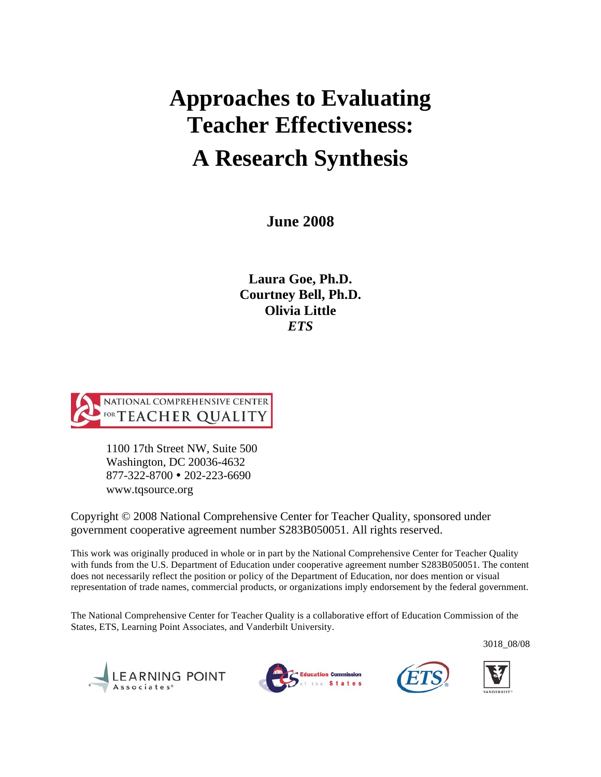# **A Research Synthesis Approaches to Evaluating Teacher Effectiveness:**

 **June 2008** 

 **Laura Goe, Ph.D. Courtney Bell, Ph.D. Olivia Little** *ETS* 



1100 17th Street NW, Suite 500 Washington, DC 20036-4632 877-322-8700 202-223-6690 www.tqsource.org

Copyright © 2008 National Comprehensive Center for Teacher Quality, sponsored under government cooperative agreement number S283B050051. All rights reserved.

 This work was originally produced in whole or in part by the National Comprehensive Center for Teacher Quality with funds from the U.S. Department of Education under cooperative agreement number S283B050051. The content does not necessarily reflect the position or policy of the Department of Education, nor does mention or visual representation of trade names, commercial products, or organizations imply endorsement by the federal government.

 The National Comprehensive Center for Teacher Quality is a collaborative effort of Education Commission of the States, ETS, Learning Point Associates, and Vanderbilt University.

3018\_08/08







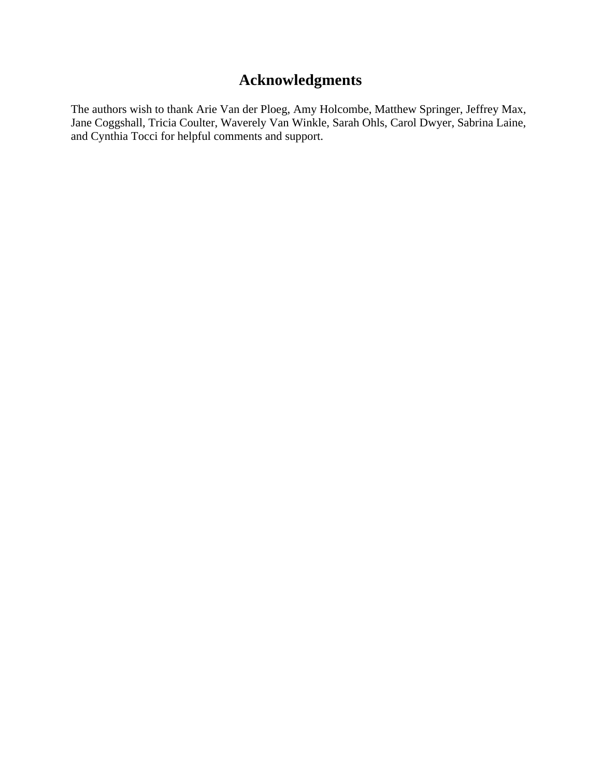# **Acknowledgments**

The authors wish to thank Arie Van der Ploeg, Amy Holcombe, Matthew Springer, Jeffrey Max, Jane Coggshall, Tricia Coulter, Waverely Van Winkle, Sarah Ohls, Carol Dwyer, Sabrina Laine, and Cynthia Tocci for helpful comments and support.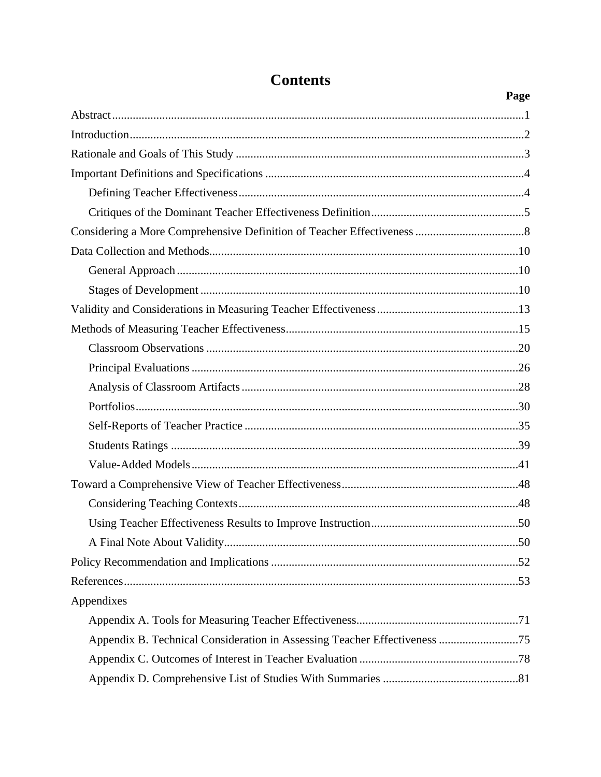|                                                                           | Page |
|---------------------------------------------------------------------------|------|
|                                                                           |      |
|                                                                           |      |
|                                                                           |      |
|                                                                           |      |
|                                                                           |      |
|                                                                           |      |
|                                                                           |      |
|                                                                           |      |
|                                                                           |      |
|                                                                           |      |
|                                                                           |      |
|                                                                           |      |
|                                                                           |      |
|                                                                           |      |
|                                                                           |      |
|                                                                           |      |
|                                                                           |      |
|                                                                           |      |
|                                                                           |      |
|                                                                           |      |
|                                                                           |      |
|                                                                           |      |
|                                                                           |      |
|                                                                           |      |
|                                                                           |      |
| Appendixes                                                                |      |
|                                                                           |      |
| Appendix B. Technical Consideration in Assessing Teacher Effectiveness 75 |      |
|                                                                           |      |
|                                                                           |      |

# **Contents**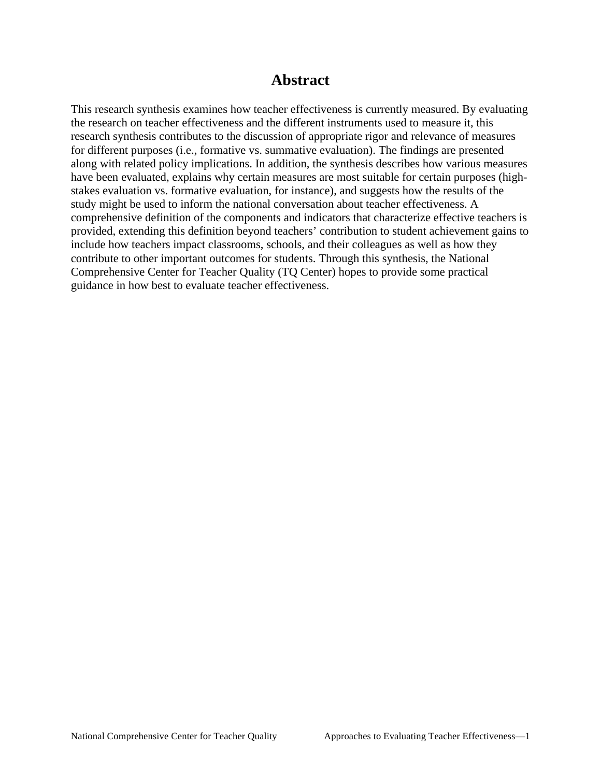### **Abstract**

 study might be used to inform the national conversation about teacher effectiveness. A guidance in how best to evaluate teacher effectiveness. This research synthesis examines how teacher effectiveness is currently measured. By evaluating the research on teacher effectiveness and the different instruments used to measure it, this research synthesis contributes to the discussion of appropriate rigor and relevance of measures for different purposes (i.e., formative vs. summative evaluation). The findings are presented along with related policy implications. In addition, the synthesis describes how various measures have been evaluated, explains why certain measures are most suitable for certain purposes (highstakes evaluation vs. formative evaluation, for instance), and suggests how the results of the comprehensive definition of the components and indicators that characterize effective teachers is provided, extending this definition beyond teachers' contribution to student achievement gains to include how teachers impact classrooms, schools, and their colleagues as well as how they contribute to other important outcomes for students. Through this synthesis, the National Comprehensive Center for Teacher Quality (TQ Center) hopes to provide some practical guidance in how best to evaluate teacher effectiveness. National Comprehensive Center for Teacher Quality Approaches to Evaluating Teacher Effectiveness—1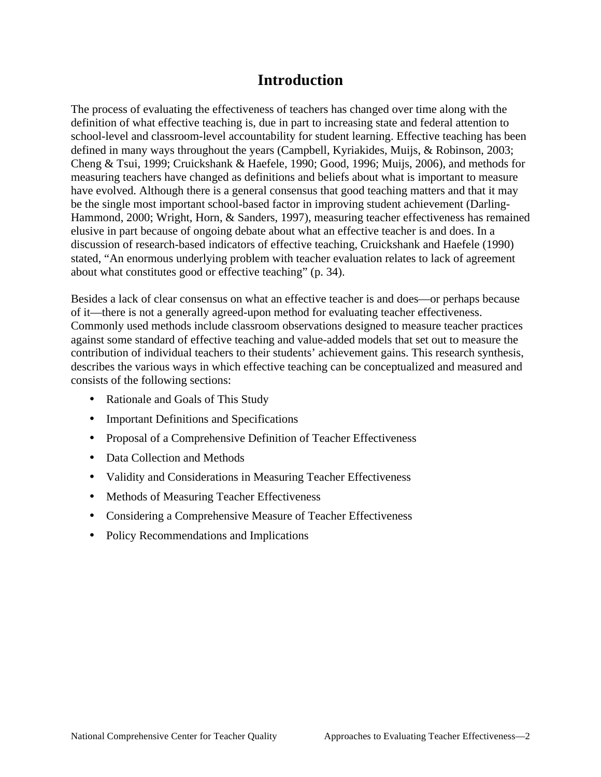## **Introduction**

 Cheng & Tsui, 1999; Cruickshank & Haefele, 1990; Good, 1996; Muijs, 2006), and methods for The process of evaluating the effectiveness of teachers has changed over time along with the definition of what effective teaching is, due in part to increasing state and federal attention to school-level and classroom-level accountability for student learning. Effective teaching has been defined in many ways throughout the years (Campbell, Kyriakides, Muijs, & Robinson, 2003; measuring teachers have changed as definitions and beliefs about what is important to measure have evolved. Although there is a general consensus that good teaching matters and that it may be the single most important school-based factor in improving student achievement (Darling-Hammond, 2000; Wright, Horn, & Sanders, 1997), measuring teacher effectiveness has remained elusive in part because of ongoing debate about what an effective teacher is and does. In a discussion of research-based indicators of effective teaching, Cruickshank and Haefele (1990) stated, "An enormous underlying problem with teacher evaluation relates to lack of agreement about what constitutes good or effective teaching" (p. 34).

Besides a lack of clear consensus on what an effective teacher is and does—or perhaps because of it—there is not a generally agreed-upon method for evaluating teacher effectiveness. Commonly used methods include classroom observations designed to measure teacher practices against some standard of effective teaching and value-added models that set out to measure the contribution of individual teachers to their students' achievement gains. This research synthesis, describes the various ways in which effective teaching can be conceptualized and measured and consists of the following sections:

- Rationale and Goals of This Study
- Important Definitions and Specifications
- Proposal of a Comprehensive Definition of Teacher Effectiveness
- Data Collection and Methods
- Validity and Considerations in Measuring Teacher Effectiveness
- Methods of Measuring Teacher Effectiveness
- Considering a Comprehensive Measure of Teacher Effectiveness
- Policy Recommendations and Implications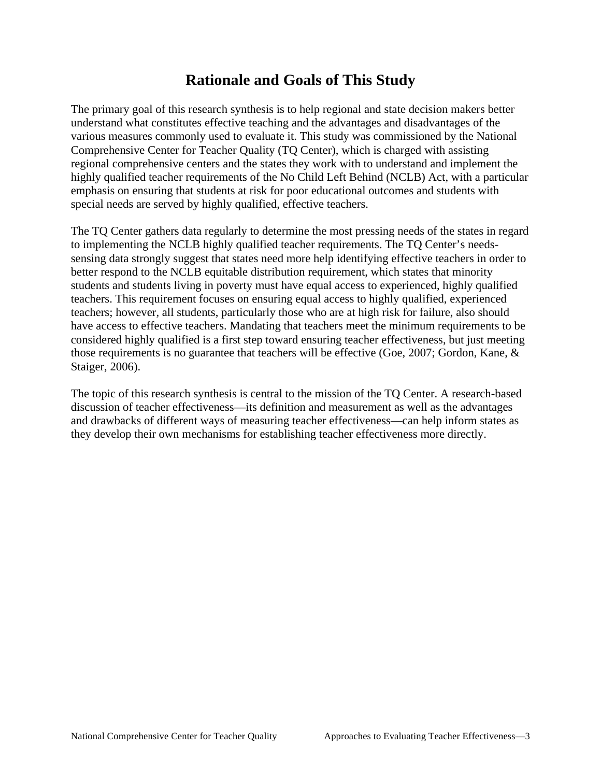# **Rationale and Goals of This Study**

The primary goal of this research synthesis is to help regional and state decision makers better understand what constitutes effective teaching and the advantages and disadvantages of the various measures commonly used to evaluate it. This study was commissioned by the National Comprehensive Center for Teacher Quality (TQ Center), which is charged with assisting regional comprehensive centers and the states they work with to understand and implement the highly qualified teacher requirements of the No Child Left Behind (NCLB) Act, with a particular emphasis on ensuring that students at risk for poor educational outcomes and students with special needs are served by highly qualified, effective teachers.

Staiger, 2006). The TQ Center gathers data regularly to determine the most pressing needs of the states in regard to implementing the NCLB highly qualified teacher requirements. The TQ Center's needssensing data strongly suggest that states need more help identifying effective teachers in order to better respond to the NCLB equitable distribution requirement, which states that minority students and students living in poverty must have equal access to experienced, highly qualified teachers. This requirement focuses on ensuring equal access to highly qualified, experienced teachers; however, all students, particularly those who are at high risk for failure, also should have access to effective teachers. Mandating that teachers meet the minimum requirements to be considered highly qualified is a first step toward ensuring teacher effectiveness, but just meeting those requirements is no guarantee that teachers will be effective (Goe, 2007; Gordon, Kane, &

The topic of this research synthesis is central to the mission of the TQ Center. A research-based discussion of teacher effectiveness—its definition and measurement as well as the advantages and drawbacks of different ways of measuring teacher effectiveness—can help inform states as they develop their own mechanisms for establishing teacher effectiveness more directly.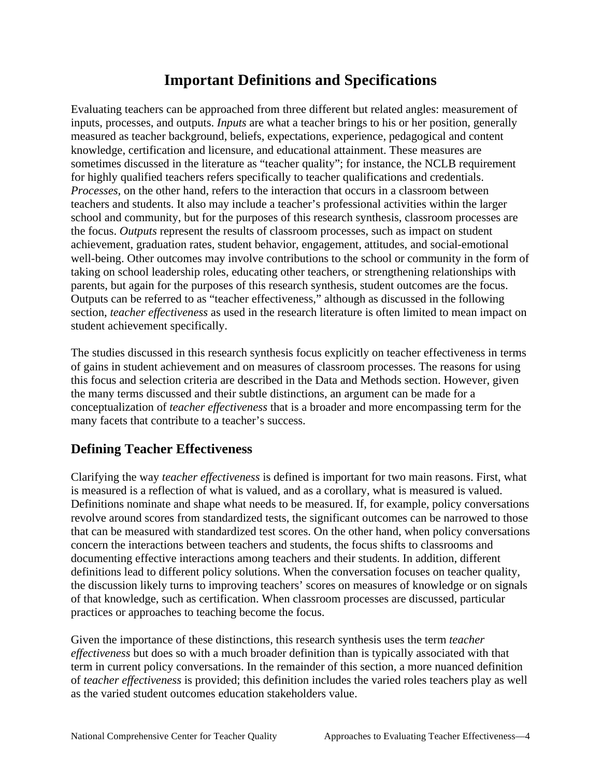# **Important Definitions and Specifications**

 teachers and students. It also may include a teacher's professional activities within the larger Evaluating teachers can be approached from three different but related angles: measurement of inputs, processes, and outputs. *Inputs* are what a teacher brings to his or her position, generally measured as teacher background, beliefs, expectations, experience, pedagogical and content knowledge, certification and licensure, and educational attainment. These measures are sometimes discussed in the literature as "teacher quality"; for instance, the NCLB requirement for highly qualified teachers refers specifically to teacher qualifications and credentials. *Processes,* on the other hand, refers to the interaction that occurs in a classroom between school and community, but for the purposes of this research synthesis, classroom processes are the focus. *Outputs* represent the results of classroom processes, such as impact on student achievement, graduation rates, student behavior, engagement, attitudes, and social-emotional well-being. Other outcomes may involve contributions to the school or community in the form of taking on school leadership roles, educating other teachers, or strengthening relationships with parents, but again for the purposes of this research synthesis, student outcomes are the focus. Outputs can be referred to as "teacher effectiveness," although as discussed in the following section, *teacher effectiveness* as used in the research literature is often limited to mean impact on student achievement specifically.

 conceptualization of *teacher effectiveness* that is a broader and more encompassing term for the The studies discussed in this research synthesis focus explicitly on teacher effectiveness in terms of gains in student achievement and on measures of classroom processes. The reasons for using this focus and selection criteria are described in the Data and Methods section. However, given the many terms discussed and their subtle distinctions, an argument can be made for a many facets that contribute to a teacher's success.

## **Defining Teacher Effectiveness**

practices or approaches to teaching become the focus. Clarifying the way *teacher effectiveness* is defined is important for two main reasons. First, what is measured is a reflection of what is valued, and as a corollary, what is measured is valued. Definitions nominate and shape what needs to be measured. If, for example, policy conversations revolve around scores from standardized tests, the significant outcomes can be narrowed to those that can be measured with standardized test scores. On the other hand, when policy conversations concern the interactions between teachers and students, the focus shifts to classrooms and documenting effective interactions among teachers and their students. In addition, different definitions lead to different policy solutions. When the conversation focuses on teacher quality, the discussion likely turns to improving teachers' scores on measures of knowledge or on signals of that knowledge, such as certification. When classroom processes are discussed, particular

Given the importance of these distinctions, this research synthesis uses the term *teacher effectiveness* but does so with a much broader definition than is typically associated with that term in current policy conversations. In the remainder of this section, a more nuanced definition of *teacher effectiveness* is provided; this definition includes the varied roles teachers play as well as the varied student outcomes education stakeholders value.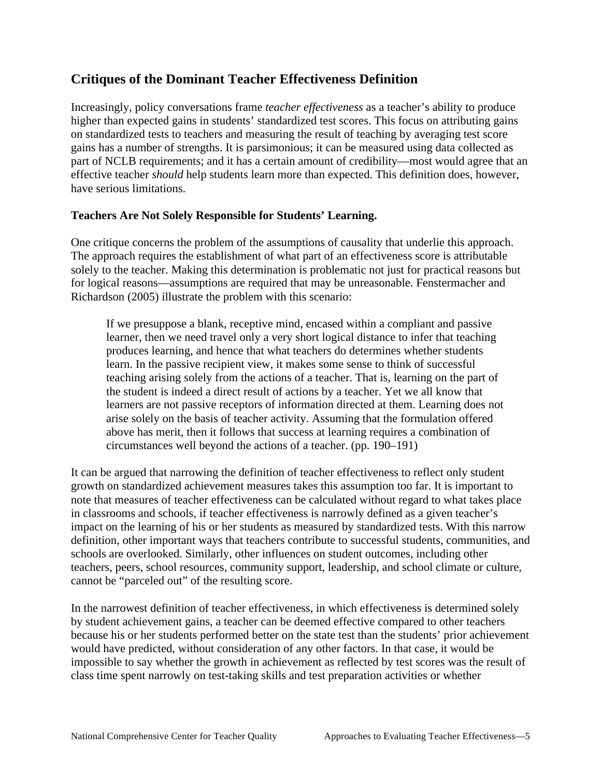### **Critiques of the Dominant Teacher Effectiveness Definition**

Increasingly, policy conversations frame *teacher effectiveness* as a teacher's ability to produce higher than expected gains in students' standardized test scores. This focus on attributing gains on standardized tests to teachers and measuring the result of teaching by averaging test score gains has a number of strengths. It is parsimonious; it can be measured using data collected as part of NCLB requirements; and it has a certain amount of credibility—most would agree that an effective teacher *should* help students learn more than expected. This definition does, however, have serious limitations.

#### **Teachers Are Not Solely Responsible for Students' Learning.**

One critique concerns the problem of the assumptions of causality that underlie this approach. The approach requires the establishment of what part of an effectiveness score is attributable solely to the teacher. Making this determination is problematic not just for practical reasons but for logical reasons—assumptions are required that may be unreasonable. Fenstermacher and Richardson (2005) illustrate the problem with this scenario:

If we presuppose a blank, receptive mind, encased within a compliant and passive learner, then we need travel only a very short logical distance to infer that teaching produces learning, and hence that what teachers do determines whether students learn. In the passive recipient view, it makes some sense to think of successful teaching arising solely from the actions of a teacher. That is, learning on the part of the student is indeed a direct result of actions by a teacher. Yet we all know that learners are not passive receptors of information directed at them. Learning does not arise solely on the basis of teacher activity. Assuming that the formulation offered above has merit, then it follows that success at learning requires a combination of circumstances well beyond the actions of a teacher. (pp. 190–191)

It can be argued that narrowing the definition of teacher effectiveness to reflect only student growth on standardized achievement measures takes this assumption too far. It is important to note that measures of teacher effectiveness can be calculated without regard to what takes place in classrooms and schools, if teacher effectiveness is narrowly defined as a given teacher's impact on the learning of his or her students as measured by standardized tests. With this narrow definition, other important ways that teachers contribute to successful students, communities, and schools are overlooked. Similarly, other influences on student outcomes, including other teachers, peers, school resources, community support, leadership, and school climate or culture, cannot be "parceled out" of the resulting score.

In the narrowest definition of teacher effectiveness, in which effectiveness is determined solely by student achievement gains, a teacher can be deemed effective compared to other teachers because his or her students performed better on the state test than the students' prior achievement would have predicted, without consideration of any other factors. In that case, it would be impossible to say whether the growth in achievement as reflected by test scores was the result of class time spent narrowly on test-taking skills and test preparation activities or whether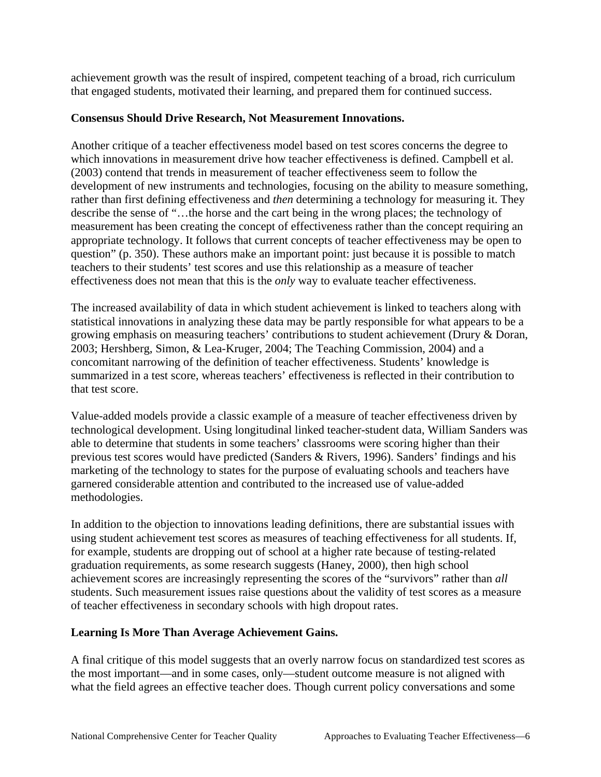achievement growth was the result of inspired, competent teaching of a broad, rich curriculum that engaged students, motivated their learning, and prepared them for continued success.

#### **Consensus Should Drive Research, Not Measurement Innovations.**

effectiveness does not mean that this is the *only* way to evaluate teacher effectiveness. Another critique of a teacher effectiveness model based on test scores concerns the degree to which innovations in measurement drive how teacher effectiveness is defined. Campbell et al. (2003) contend that trends in measurement of teacher effectiveness seem to follow the development of new instruments and technologies, focusing on the ability to measure something, rather than first defining effectiveness and *then* determining a technology for measuring it. They describe the sense of "…the horse and the cart being in the wrong places; the technology of measurement has been creating the concept of effectiveness rather than the concept requiring an appropriate technology. It follows that current concepts of teacher effectiveness may be open to question" (p. 350). These authors make an important point: just because it is possible to match teachers to their students' test scores and use this relationship as a measure of teacher

that test score. The increased availability of data in which student achievement is linked to teachers along with statistical innovations in analyzing these data may be partly responsible for what appears to be a growing emphasis on measuring teachers' contributions to student achievement (Drury & Doran, 2003; Hershberg, Simon, & Lea-Kruger, 2004; The Teaching Commission, 2004) and a concomitant narrowing of the definition of teacher effectiveness. Students' knowledge is summarized in a test score, whereas teachers' effectiveness is reflected in their contribution to

Value-added models provide a classic example of a measure of teacher effectiveness driven by technological development. Using longitudinal linked teacher-student data, William Sanders was able to determine that students in some teachers' classrooms were scoring higher than their previous test scores would have predicted (Sanders & Rivers, 1996). Sanders' findings and his marketing of the technology to states for the purpose of evaluating schools and teachers have garnered considerable attention and contributed to the increased use of value-added methodologies.

In addition to the objection to innovations leading definitions, there are substantial issues with using student achievement test scores as measures of teaching effectiveness for all students. If, for example, students are dropping out of school at a higher rate because of testing-related graduation requirements, as some research suggests (Haney, 2000), then high school achievement scores are increasingly representing the scores of the "survivors" rather than *all*  students. Such measurement issues raise questions about the validity of test scores as a measure of teacher effectiveness in secondary schools with high dropout rates.

### **Learning Is More Than Average Achievement Gains.**

A final critique of this model suggests that an overly narrow focus on standardized test scores as the most important—and in some cases, only—student outcome measure is not aligned with what the field agrees an effective teacher does. Though current policy conversations and some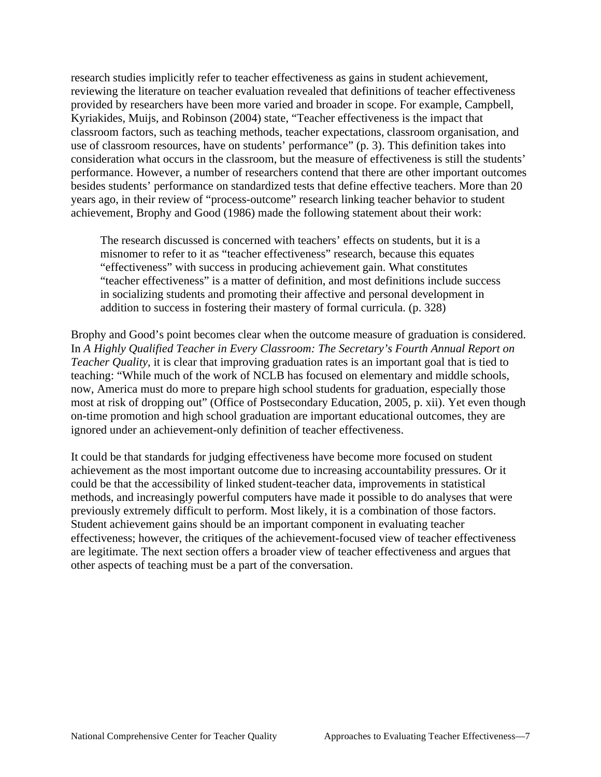research studies implicitly refer to teacher effectiveness as gains in student achievement, reviewing the literature on teacher evaluation revealed that definitions of teacher effectiveness provided by researchers have been more varied and broader in scope. For example, Campbell, Kyriakides, Muijs, and Robinson (2004) state, "Teacher effectiveness is the impact that classroom factors, such as teaching methods, teacher expectations, classroom organisation, and use of classroom resources, have on students' performance" (p. 3). This definition takes into consideration what occurs in the classroom, but the measure of effectiveness is still the students' performance. However, a number of researchers contend that there are other important outcomes besides students' performance on standardized tests that define effective teachers. More than 20 years ago, in their review of "process-outcome" research linking teacher behavior to student achievement, Brophy and Good (1986) made the following statement about their work:

The research discussed is concerned with teachers' effects on students, but it is a misnomer to refer to it as "teacher effectiveness" research, because this equates "effectiveness" with success in producing achievement gain. What constitutes "teacher effectiveness" is a matter of definition, and most definitions include success in socializing students and promoting their affective and personal development in addition to success in fostering their mastery of formal curricula. (p. 328)

Brophy and Good's point becomes clear when the outcome measure of graduation is considered. In *A Highly Qualified Teacher in Every Classroom: The Secretary's Fourth Annual Report on Teacher Quality*, it is clear that improving graduation rates is an important goal that is tied to teaching: "While much of the work of NCLB has focused on elementary and middle schools, now, America must do more to prepare high school students for graduation, especially those most at risk of dropping out" (Office of Postsecondary Education, 2005, p. xii). Yet even though on-time promotion and high school graduation are important educational outcomes, they are ignored under an achievement-only definition of teacher effectiveness.

other aspects of teaching must be a part of the conversation. It could be that standards for judging effectiveness have become more focused on student achievement as the most important outcome due to increasing accountability pressures. Or it could be that the accessibility of linked student-teacher data, improvements in statistical methods, and increasingly powerful computers have made it possible to do analyses that were previously extremely difficult to perform. Most likely, it is a combination of those factors. Student achievement gains should be an important component in evaluating teacher effectiveness; however, the critiques of the achievement-focused view of teacher effectiveness are legitimate. The next section offers a broader view of teacher effectiveness and argues that other aspects of teaching must be a part of the conversation.<br>National Comprehensive Center for Teacher Quality Approaches to Evaluating Teacher Effectiveness—7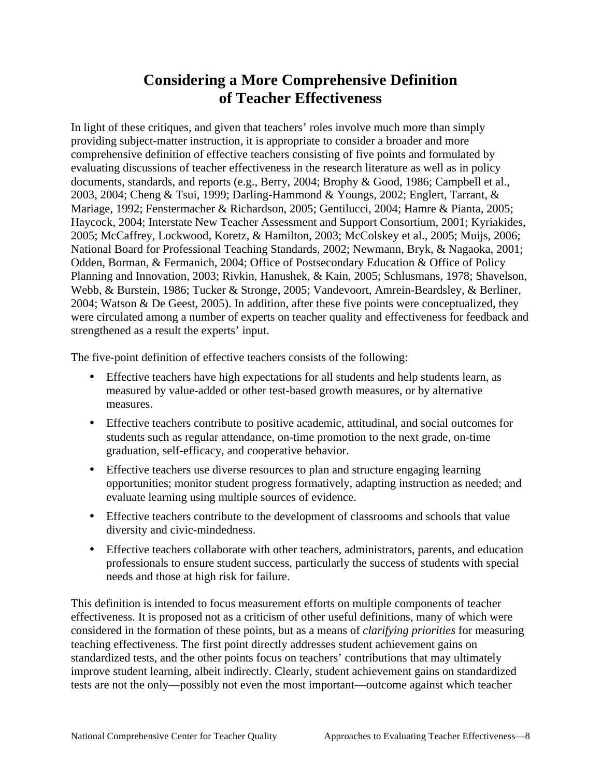# **Considering a More Comprehensive Definition of Teacher Effectiveness**

In light of these critiques, and given that teachers' roles involve much more than simply providing subject-matter instruction, it is appropriate to consider a broader and more comprehensive definition of effective teachers consisting of five points and formulated by evaluating discussions of teacher effectiveness in the research literature as well as in policy documents, standards, and reports (e.g., Berry, 2004; Brophy & Good, 1986; Campbell et al., 2003, 2004; Cheng & Tsui, 1999; Darling-Hammond & Youngs, 2002; Englert, Tarrant, & Mariage, 1992; Fenstermacher & Richardson, 2005; Gentilucci, 2004; Hamre & Pianta, 2005; Haycock, 2004; Interstate New Teacher Assessment and Support Consortium, 2001; Kyriakides, 2005; McCaffrey, Lockwood, Koretz, & Hamilton, 2003; McColskey et al., 2005; Muijs, 2006; National Board for Professional Teaching Standards, 2002; Newmann, Bryk, & Nagaoka, 2001; Odden, Borman, & Fermanich, 2004; Office of Postsecondary Education & Office of Policy Planning and Innovation, 2003; Rivkin, Hanushek, & Kain, 2005; Schlusmans, 1978; Shavelson, Webb, & Burstein, 1986; Tucker & Stronge, 2005; Vandevoort, Amrein-Beardsley, & Berliner, 2004; Watson & De Geest, 2005). In addition, after these five points were conceptualized, they were circulated among a number of experts on teacher quality and effectiveness for feedback and strengthened as a result the experts' input.

The five-point definition of effective teachers consists of the following:

- • Effective teachers have high expectations for all students and help students learn, as measured by value-added or other test-based growth measures, or by alternative measures.
- Effective teachers contribute to positive academic, attitudinal, and social outcomes for students such as regular attendance, on-time promotion to the next grade, on-time graduation, self-efficacy, and cooperative behavior.
- Effective teachers use diverse resources to plan and structure engaging learning opportunities; monitor student progress formatively, adapting instruction as needed; and evaluate learning using multiple sources of evidence.
- Effective teachers contribute to the development of classrooms and schools that value diversity and civic-mindedness.
- Effective teachers collaborate with other teachers, administrators, parents, and education professionals to ensure student success, particularly the success of students with special needs and those at high risk for failure.

This definition is intended to focus measurement efforts on multiple components of teacher effectiveness. It is proposed not as a criticism of other useful definitions, many of which were considered in the formation of these points, but as a means of *clarifying priorities* for measuring teaching effectiveness. The first point directly addresses student achievement gains on standardized tests, and the other points focus on teachers' contributions that may ultimately improve student learning, albeit indirectly. Clearly, student achievement gains on standardized tests are not the only—possibly not even the most important—outcome against which teacher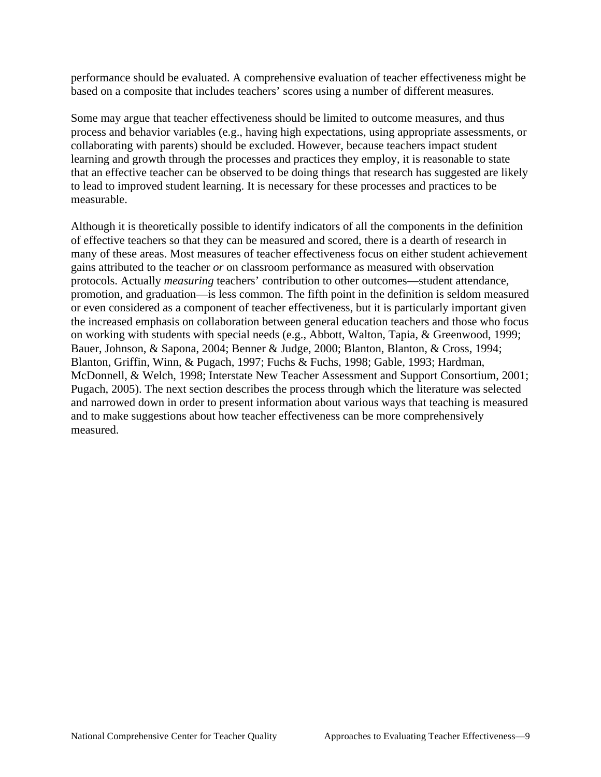performance should be evaluated. A comprehensive evaluation of teacher effectiveness might be based on a composite that includes teachers' scores using a number of different measures.

Some may argue that teacher effectiveness should be limited to outcome measures, and thus process and behavior variables (e.g., having high expectations, using appropriate assessments, or collaborating with parents) should be excluded. However, because teachers impact student learning and growth through the processes and practices they employ, it is reasonable to state that an effective teacher can be observed to be doing things that research has suggested are likely to lead to improved student learning. It is necessary for these processes and practices to be measurable.

measured Although it is theoretically possible to identify indicators of all the components in the definition of effective teachers so that they can be measured and scored, there is a dearth of research in many of these areas. Most measures of teacher effectiveness focus on either student achievement gains attributed to the teacher *or* on classroom performance as measured with observation protocols. Actually *measuring* teachers' contribution to other outcomes—student attendance, promotion, and graduation—is less common. The fifth point in the definition is seldom measured or even considered as a component of teacher effectiveness, but it is particularly important given the increased emphasis on collaboration between general education teachers and those who focus on working with students with special needs (e.g., Abbott, Walton, Tapia, & Greenwood, 1999; Bauer, Johnson, & Sapona, 2004; Benner & Judge, 2000; Blanton, Blanton, & Cross, 1994; Blanton, Griffin, Winn, & Pugach, 1997; Fuchs & Fuchs, 1998; Gable, 1993; Hardman, McDonnell, & Welch, 1998; Interstate New Teacher Assessment and Support Consortium, 2001; Pugach, 2005). The next section describes the process through which the literature was selected and narrowed down in order to present information about various ways that teaching is measured and to make suggestions about how teacher effectiveness can be more comprehensively measured.<br>
National Comprehensive Center for Teacher Quality Approaches to Evaluating Teacher Effectiveness—9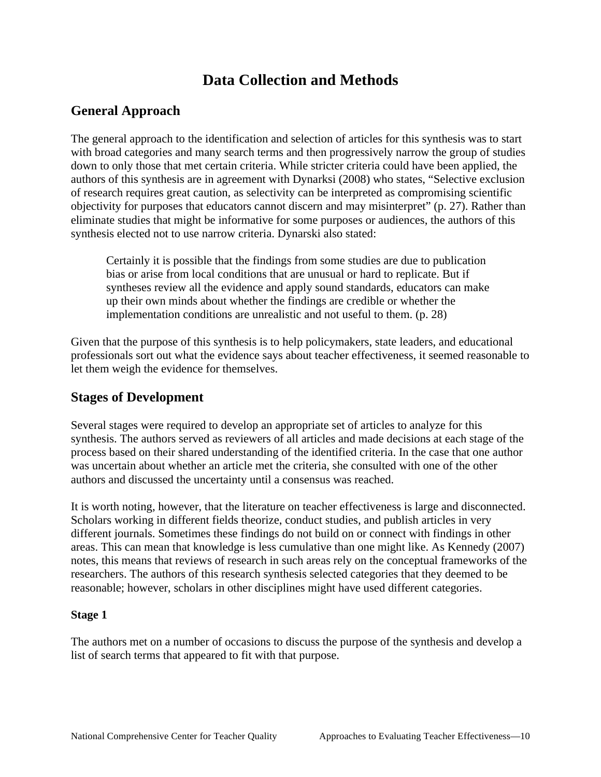# **Data Collection and Methods**

### **General Approach**

The general approach to the identification and selection of articles for this synthesis was to start with broad categories and many search terms and then progressively narrow the group of studies down to only those that met certain criteria. While stricter criteria could have been applied, the authors of this synthesis are in agreement with Dynarksi (2008) who states, "Selective exclusion of research requires great caution, as selectivity can be interpreted as compromising scientific objectivity for purposes that educators cannot discern and may misinterpret" (p. 27). Rather than eliminate studies that might be informative for some purposes or audiences, the authors of this synthesis elected not to use narrow criteria. Dynarski also stated:

Certainly it is possible that the findings from some studies are due to publication bias or arise from local conditions that are unusual or hard to replicate. But if syntheses review all the evidence and apply sound standards, educators can make up their own minds about whether the findings are credible or whether the implementation conditions are unrealistic and not useful to them. (p. 28)

 let them weigh the evidence for themselves. Given that the purpose of this synthesis is to help policymakers, state leaders, and educational professionals sort out what the evidence says about teacher effectiveness, it seemed reasonable to

### **Stages of Development**

Several stages were required to develop an appropriate set of articles to analyze for this synthesis. The authors served as reviewers of all articles and made decisions at each stage of the process based on their shared understanding of the identified criteria. In the case that one author was uncertain about whether an article met the criteria, she consulted with one of the other authors and discussed the uncertainty until a consensus was reached.

 reasonable; however, scholars in other disciplines might have used different categories. It is worth noting, however, that the literature on teacher effectiveness is large and disconnected. Scholars working in different fields theorize, conduct studies, and publish articles in very different journals. Sometimes these findings do not build on or connect with findings in other areas. This can mean that knowledge is less cumulative than one might like. As Kennedy (2007) notes, this means that reviews of research in such areas rely on the conceptual frameworks of the researchers. The authors of this research synthesis selected categories that they deemed to be

### **Stage 1**

list of search terms that appeared to fit with that purpose. The authors met on a number of occasions to discuss the purpose of the synthesis and develop a list of search terms that appeared to fit with that purpose. National Comprehensive Center for Teacher Quality Approaches to Evaluating Teacher Effectiveness—10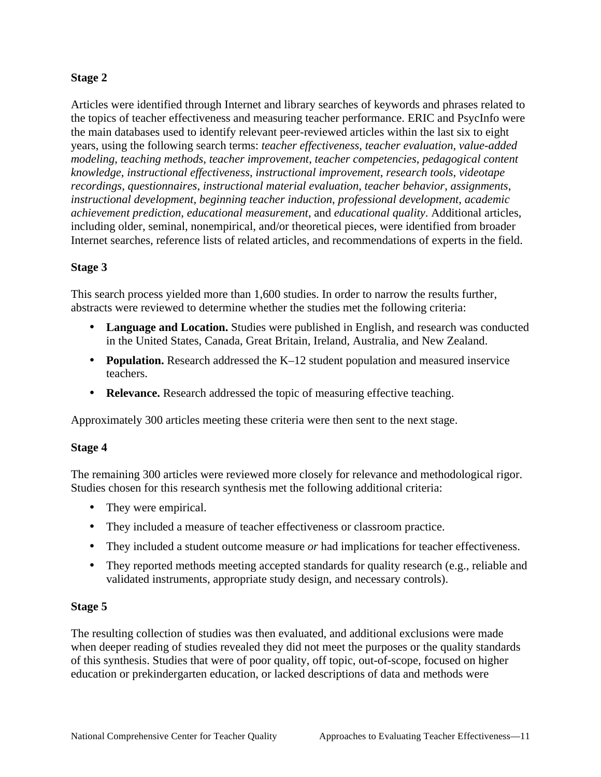#### **Stage 2**

 Internet searches, reference lists of related articles, and recommendations of experts in the field. Articles were identified through Internet and library searches of keywords and phrases related to the topics of teacher effectiveness and measuring teacher performance. ERIC and PsycInfo were the main databases used to identify relevant peer-reviewed articles within the last six to eight years, using the following search terms: *teacher effectiveness*, *teacher evaluation*, *value-added modeling*, *teaching methods*, *teacher improvement*, *teacher competencies*, *pedagogical content knowledge*, *instructional effectiveness*, *instructional improvement*, *research tools*, *videotape recordings*, *questionnaires*, *instructional material evaluation*, *teacher behavior*, *assignments*, *instructional development*, *beginning teacher induction*, *professional development*, *academic achievement prediction*, *educational measurement*, and *educational quality*. Additional articles, including older, seminal, nonempirical, and/or theoretical pieces, were identified from broader

#### **Stage 3**

This search process yielded more than 1,600 studies. In order to narrow the results further, abstracts were reviewed to determine whether the studies met the following criteria:

- • **Language and Location.** Studies were published in English, and research was conducted in the United States, Canada, Great Britain, Ireland, Australia, and New Zealand.
- **Population.** Research addressed the K–12 student population and measured inservice teachers.
- **Relevance.** Research addressed the topic of measuring effective teaching.

Approximately 300 articles meeting these criteria were then sent to the next stage.

#### **Stage 4**

The remaining 300 articles were reviewed more closely for relevance and methodological rigor. Studies chosen for this research synthesis met the following additional criteria:

- They were empirical.
- They included a measure of teacher effectiveness or classroom practice.
- They included a student outcome measure *or* had implications for teacher effectiveness.
- They reported methods meeting accepted standards for quality research (e.g., reliable and validated instruments, appropriate study design, and necessary controls).

#### **Stage 5**

The resulting collection of studies was then evaluated, and additional exclusions were made when deeper reading of studies revealed they did not meet the purposes or the quality standards of this synthesis. Studies that were of poor quality, off topic, out-of-scope, focused on higher education or prekindergarten education, or lacked descriptions of data and methods were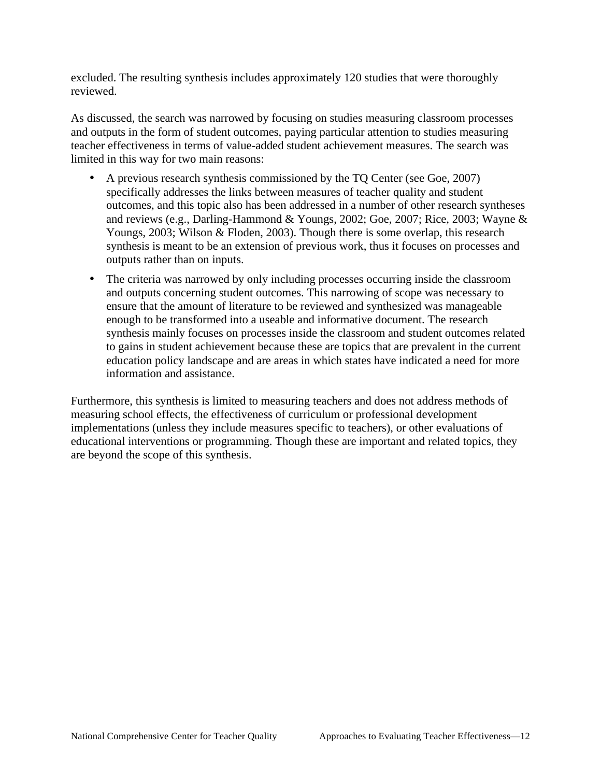excluded. The resulting synthesis includes approximately 120 studies that were thoroughly reviewed.

As discussed, the search was narrowed by focusing on studies measuring classroom processes and outputs in the form of student outcomes, paying particular attention to studies measuring teacher effectiveness in terms of value-added student achievement measures. The search was limited in this way for two main reasons:

- A previous research synthesis commissioned by the TQ Center (see Goe, 2007) specifically addresses the links between measures of teacher quality and student outcomes, and this topic also has been addressed in a number of other research syntheses and reviews (e.g., Darling-Hammond & Youngs, 2002; Goe, 2007; Rice, 2003; Wayne & Youngs, 2003; Wilson & Floden, 2003). Though there is some overlap, this research synthesis is meant to be an extension of previous work, thus it focuses on processes and outputs rather than on inputs.
- The criteria was narrowed by only including processes occurring inside the classroom and outputs concerning student outcomes. This narrowing of scope was necessary to ensure that the amount of literature to be reviewed and synthesized was manageable enough to be transformed into a useable and informative document. The research synthesis mainly focuses on processes inside the classroom and student outcomes related to gains in student achievement because these are topics that are prevalent in the current education policy landscape and are areas in which states have indicated a need for more information and assistance.

Furthermore, this synthesis is limited to measuring teachers and does not address methods of measuring school effects, the effectiveness of curriculum or professional development implementations (unless they include measures specific to teachers), or other evaluations of educational interventions or programming. Though these are important and related topics, they are beyond the scope of this synthesis.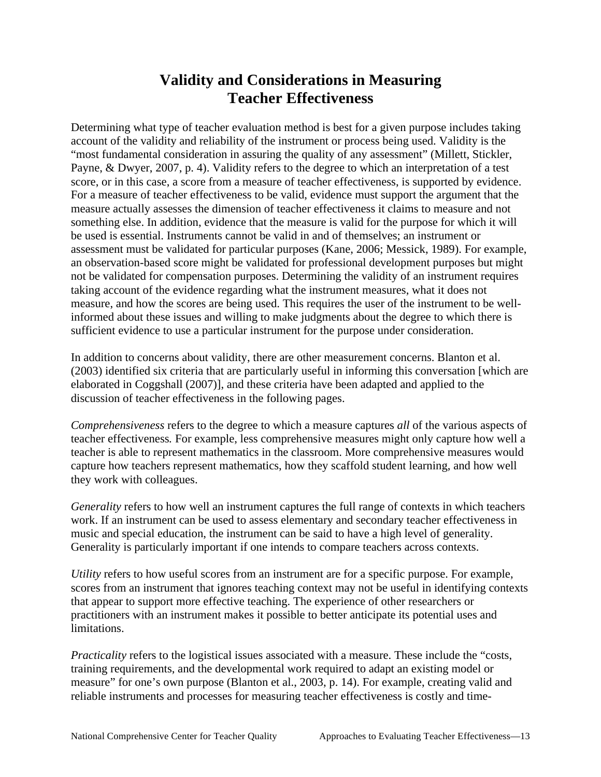# **Validity and Considerations in Measuring Teacher Effectiveness**

Determining what type of teacher evaluation method is best for a given purpose includes taking account of the validity and reliability of the instrument or process being used. Validity is the "most fundamental consideration in assuring the quality of any assessment" (Millett, Stickler, Payne, & Dwyer, 2007, p. 4). Validity refers to the degree to which an interpretation of a test score, or in this case, a score from a measure of teacher effectiveness, is supported by evidence. For a measure of teacher effectiveness to be valid, evidence must support the argument that the measure actually assesses the dimension of teacher effectiveness it claims to measure and not something else. In addition, evidence that the measure is valid for the purpose for which it will be used is essential. Instruments cannot be valid in and of themselves; an instrument or assessment must be validated for particular purposes (Kane, 2006; Messick, 1989). For example, an observation-based score might be validated for professional development purposes but might not be validated for compensation purposes. Determining the validity of an instrument requires taking account of the evidence regarding what the instrument measures, what it does not measure, and how the scores are being used. This requires the user of the instrument to be wellinformed about these issues and willing to make judgments about the degree to which there is sufficient evidence to use a particular instrument for the purpose under consideration.

In addition to concerns about validity, there are other measurement concerns. Blanton et al. (2003) identified six criteria that are particularly useful in informing this conversation [which are elaborated in Coggshall (2007)], and these criteria have been adapted and applied to the discussion of teacher effectiveness in the following pages.

 they work with colleagues. *Comprehensiveness* refers to the degree to which a measure captures *all* of the various aspects of teacher effectiveness*.* For example, less comprehensive measures might only capture how well a teacher is able to represent mathematics in the classroom. More comprehensive measures would capture how teachers represent mathematics, how they scaffold student learning, and how well

*Generality* refers to how well an instrument captures the full range of contexts in which teachers work. If an instrument can be used to assess elementary and secondary teacher effectiveness in music and special education, the instrument can be said to have a high level of generality. Generality is particularly important if one intends to compare teachers across contexts.

*Utility* refers to how useful scores from an instrument are for a specific purpose. For example, scores from an instrument that ignores teaching context may not be useful in identifying contexts that appear to support more effective teaching. The experience of other researchers or practitioners with an instrument makes it possible to better anticipate its potential uses and limitations.

*Practicality* refers to the logistical issues associated with a measure. These include the "costs, training requirements, and the developmental work required to adapt an existing model or measure" for one's own purpose (Blanton et al., 2003, p. 14). For example, creating valid and reliable instruments and processes for measuring teacher effectiveness is costly and time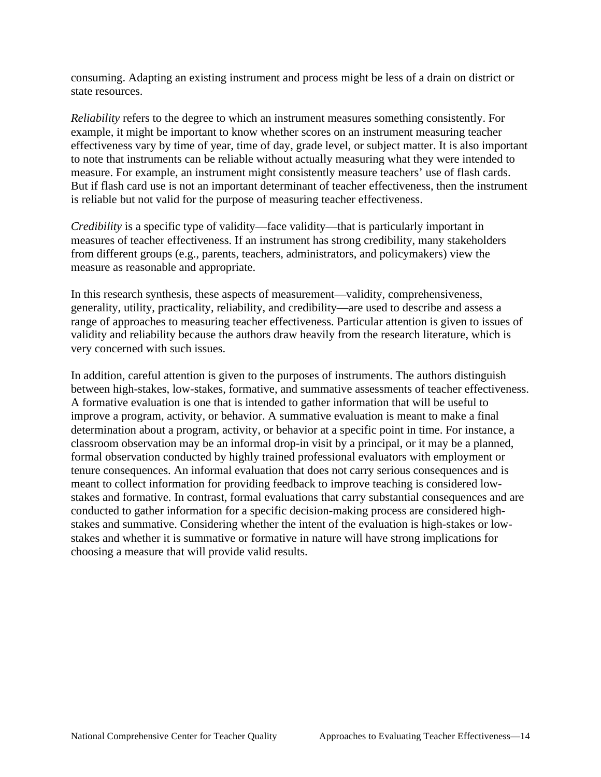consuming. Adapting an existing instrument and process might be less of a drain on district or state resources.

 is reliable but not valid for the purpose of measuring teacher effectiveness. *Reliability* refers to the degree to which an instrument measures something consistently. For example, it might be important to know whether scores on an instrument measuring teacher effectiveness vary by time of year, time of day, grade level, or subject matter. It is also important to note that instruments can be reliable without actually measuring what they were intended to measure. For example, an instrument might consistently measure teachers' use of flash cards. But if flash card use is not an important determinant of teacher effectiveness, then the instrument

*Credibility* is a specific type of validity—face validity—that is particularly important in measures of teacher effectiveness. If an instrument has strong credibility, many stakeholders from different groups (e.g., parents, teachers, administrators, and policymakers) view the measure as reasonable and appropriate.

very concerned with such issues. In this research synthesis, these aspects of measurement—validity, comprehensiveness, generality, utility, practicality, reliability, and credibility—are used to describe and assess a range of approaches to measuring teacher effectiveness. Particular attention is given to issues of validity and reliability because the authors draw heavily from the research literature, which is

In addition, careful attention is given to the purposes of instruments. The authors distinguish between high-stakes, low-stakes, formative, and summative assessments of teacher effectiveness. A formative evaluation is one that is intended to gather information that will be useful to improve a program, activity, or behavior. A summative evaluation is meant to make a final determination about a program, activity, or behavior at a specific point in time. For instance, a classroom observation may be an informal drop-in visit by a principal, or it may be a planned, formal observation conducted by highly trained professional evaluators with employment or tenure consequences. An informal evaluation that does not carry serious consequences and is meant to collect information for providing feedback to improve teaching is considered lowstakes and formative. In contrast, formal evaluations that carry substantial consequences and are conducted to gather information for a specific decision-making process are considered highstakes and summative. Considering whether the intent of the evaluation is high-stakes or lowstakes and whether it is summative or formative in nature will have strong implications for choosing a measure that will provide valid results.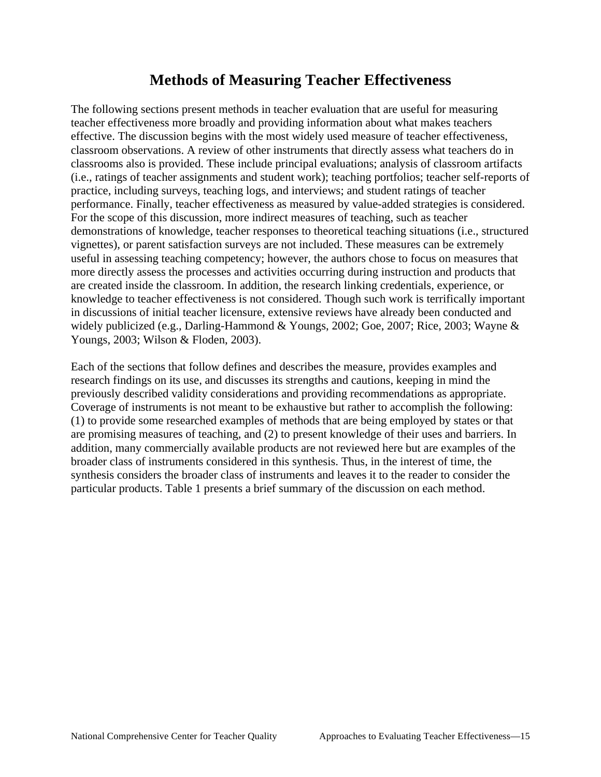# **Methods of Measuring Teacher Effectiveness**

Youngs, 2003; Wilson & Floden, 2003). The following sections present methods in teacher evaluation that are useful for measuring teacher effectiveness more broadly and providing information about what makes teachers effective. The discussion begins with the most widely used measure of teacher effectiveness, classroom observations. A review of other instruments that directly assess what teachers do in classrooms also is provided. These include principal evaluations; analysis of classroom artifacts (i.e., ratings of teacher assignments and student work); teaching portfolios; teacher self-reports of practice, including surveys, teaching logs, and interviews; and student ratings of teacher performance. Finally, teacher effectiveness as measured by value-added strategies is considered. For the scope of this discussion, more indirect measures of teaching, such as teacher demonstrations of knowledge, teacher responses to theoretical teaching situations (i.e., structured vignettes), or parent satisfaction surveys are not included. These measures can be extremely useful in assessing teaching competency; however, the authors chose to focus on measures that more directly assess the processes and activities occurring during instruction and products that are created inside the classroom. In addition, the research linking credentials, experience, or knowledge to teacher effectiveness is not considered. Though such work is terrifically important in discussions of initial teacher licensure, extensive reviews have already been conducted and widely publicized (e.g., Darling-Hammond & Youngs, 2002; Goe, 2007; Rice, 2003; Wayne &

Each of the sections that follow defines and describes the measure, provides examples and research findings on its use, and discusses its strengths and cautions, keeping in mind the previously described validity considerations and providing recommendations as appropriate. Coverage of instruments is not meant to be exhaustive but rather to accomplish the following: (1) to provide some researched examples of methods that are being employed by states or that are promising measures of teaching, and (2) to present knowledge of their uses and barriers. In addition, many commercially available products are not reviewed here but are examples of the broader class of instruments considered in this synthesis. Thus, in the interest of time, the synthesis considers the broader class of instruments and leaves it to the reader to consider the particular products. Table 1 presents a brief summary of the discussion on each method.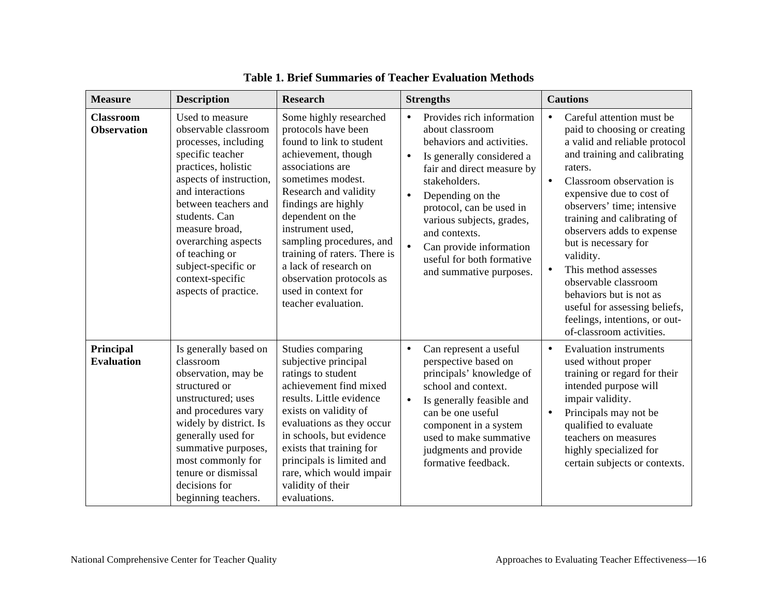| <b>Measure</b>                         | <b>Description</b>                                                                                                                                                                                                                                                                                                               | <b>Research</b>                                                                                                                                                                                                                                                                                                                                                                                  | <b>Strengths</b>                                                                                                                                                                                                                                                                                                                                                 | <b>Cautions</b>                                                                                                                                                                                                                                                                                                                                                                                                                                                                                                                              |
|----------------------------------------|----------------------------------------------------------------------------------------------------------------------------------------------------------------------------------------------------------------------------------------------------------------------------------------------------------------------------------|--------------------------------------------------------------------------------------------------------------------------------------------------------------------------------------------------------------------------------------------------------------------------------------------------------------------------------------------------------------------------------------------------|------------------------------------------------------------------------------------------------------------------------------------------------------------------------------------------------------------------------------------------------------------------------------------------------------------------------------------------------------------------|----------------------------------------------------------------------------------------------------------------------------------------------------------------------------------------------------------------------------------------------------------------------------------------------------------------------------------------------------------------------------------------------------------------------------------------------------------------------------------------------------------------------------------------------|
| <b>Classroom</b><br><b>Observation</b> | Used to measure<br>observable classroom<br>processes, including<br>specific teacher<br>practices, holistic<br>aspects of instruction,<br>and interactions<br>between teachers and<br>students. Can<br>measure broad,<br>overarching aspects<br>of teaching or<br>subject-specific or<br>context-specific<br>aspects of practice. | Some highly researched<br>protocols have been<br>found to link to student<br>achievement, though<br>associations are<br>sometimes modest.<br>Research and validity<br>findings are highly<br>dependent on the<br>instrument used,<br>sampling procedures, and<br>training of raters. There is<br>a lack of research on<br>observation protocols as<br>used in context for<br>teacher evaluation. | Provides rich information<br>$\bullet$<br>about classroom<br>behaviors and activities.<br>$\bullet$<br>Is generally considered a<br>fair and direct measure by<br>stakeholders.<br>Depending on the<br>protocol, can be used in<br>various subjects, grades,<br>and contexts.<br>Can provide information<br>useful for both formative<br>and summative purposes. | Careful attention must be<br>$\bullet$<br>paid to choosing or creating<br>a valid and reliable protocol<br>and training and calibrating<br>raters.<br>Classroom observation is<br>$\bullet$<br>expensive due to cost of<br>observers' time; intensive<br>training and calibrating of<br>observers adds to expense<br>but is necessary for<br>validity.<br>This method assesses<br>$\bullet$<br>observable classroom<br>behaviors but is not as<br>useful for assessing beliefs,<br>feelings, intentions, or out-<br>of-classroom activities. |
| Principal<br><b>Evaluation</b>         | Is generally based on<br>classroom<br>observation, may be<br>structured or<br>unstructured; uses<br>and procedures vary<br>widely by district. Is<br>generally used for<br>summative purposes,<br>most commonly for<br>tenure or dismissal<br>decisions for<br>beginning teachers.                                               | Studies comparing<br>subjective principal<br>ratings to student<br>achievement find mixed<br>results. Little evidence<br>exists on validity of<br>evaluations as they occur<br>in schools, but evidence<br>exists that training for<br>principals is limited and<br>rare, which would impair<br>validity of their<br>evaluations.                                                                | Can represent a useful<br>$\bullet$<br>perspective based on<br>principals' knowledge of<br>school and context.<br>Is generally feasible and<br>$\bullet$<br>can be one useful<br>component in a system<br>used to make summative<br>judgments and provide<br>formative feedback.                                                                                 | <b>Evaluation instruments</b><br>$\bullet$<br>used without proper<br>training or regard for their<br>intended purpose will<br>impair validity.<br>Principals may not be<br>qualified to evaluate<br>teachers on measures<br>highly specialized for<br>certain subjects or contexts.                                                                                                                                                                                                                                                          |

### **Table 1. Brief Summaries of Teacher Evaluation Methods**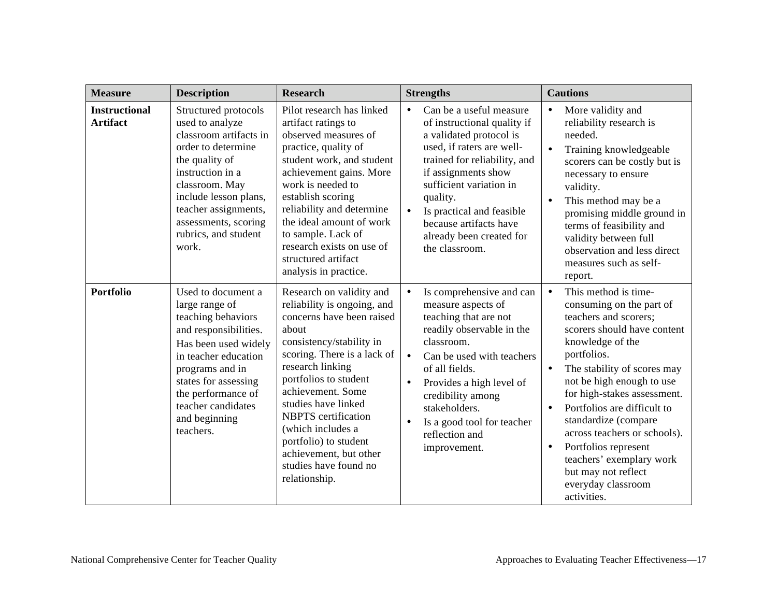| <b>Measure</b>                          | <b>Description</b>                                                                                                                                                                                                                                        | <b>Research</b>                                                                                                                                                                                                                                                                                                                                                                                   | <b>Strengths</b>                                                                                                                                                                                                                                                                                                                                        | <b>Cautions</b>                                                                                                                                                                                                                                                                                                                                                                                                                                                                      |
|-----------------------------------------|-----------------------------------------------------------------------------------------------------------------------------------------------------------------------------------------------------------------------------------------------------------|---------------------------------------------------------------------------------------------------------------------------------------------------------------------------------------------------------------------------------------------------------------------------------------------------------------------------------------------------------------------------------------------------|---------------------------------------------------------------------------------------------------------------------------------------------------------------------------------------------------------------------------------------------------------------------------------------------------------------------------------------------------------|--------------------------------------------------------------------------------------------------------------------------------------------------------------------------------------------------------------------------------------------------------------------------------------------------------------------------------------------------------------------------------------------------------------------------------------------------------------------------------------|
| <b>Instructional</b><br><b>Artifact</b> | Structured protocols<br>used to analyze<br>classroom artifacts in<br>order to determine<br>the quality of<br>instruction in a<br>classroom. May<br>include lesson plans,<br>teacher assignments,<br>assessments, scoring<br>rubrics, and student<br>work. | Pilot research has linked<br>artifact ratings to<br>observed measures of<br>practice, quality of<br>student work, and student<br>achievement gains. More<br>work is needed to<br>establish scoring<br>reliability and determine<br>the ideal amount of work<br>to sample. Lack of<br>research exists on use of<br>structured artifact<br>analysis in practice.                                    | Can be a useful measure<br>$\bullet$<br>of instructional quality if<br>a validated protocol is<br>used, if raters are well-<br>trained for reliability, and<br>if assignments show<br>sufficient variation in<br>quality.<br>Is practical and feasible<br>because artifacts have<br>already been created for<br>the classroom.                          | More validity and<br>reliability research is<br>needed.<br>Training knowledgeable<br>$\bullet$<br>scorers can be costly but is<br>necessary to ensure<br>validity.<br>This method may be a<br>promising middle ground in<br>terms of feasibility and<br>validity between full<br>observation and less direct<br>measures such as self-<br>report.                                                                                                                                    |
| <b>Portfolio</b>                        | Used to document a<br>large range of<br>teaching behaviors<br>and responsibilities.<br>Has been used widely<br>in teacher education<br>programs and in<br>states for assessing<br>the performance of<br>teacher candidates<br>and beginning<br>teachers.  | Research on validity and<br>reliability is ongoing, and<br>concerns have been raised<br>about<br>consistency/stability in<br>scoring. There is a lack of<br>research linking<br>portfolios to student<br>achievement. Some<br>studies have linked<br><b>NBPTS</b> certification<br>(which includes a<br>portfolio) to student<br>achievement, but other<br>studies have found no<br>relationship. | Is comprehensive and can<br>$\bullet$<br>measure aspects of<br>teaching that are not<br>readily observable in the<br>classroom.<br>Can be used with teachers<br>$\bullet$<br>of all fields.<br>Provides a high level of<br>$\bullet$<br>credibility among<br>stakeholders.<br>Is a good tool for teacher<br>$\bullet$<br>reflection and<br>improvement. | This method is time-<br>$\bullet$<br>consuming on the part of<br>teachers and scorers;<br>scorers should have content<br>knowledge of the<br>portfolios.<br>The stability of scores may<br>not be high enough to use<br>for high-stakes assessment.<br>Portfolios are difficult to<br>$\bullet$<br>standardize (compare<br>across teachers or schools).<br>Portfolios represent<br>$\bullet$<br>teachers' exemplary work<br>but may not reflect<br>everyday classroom<br>activities. |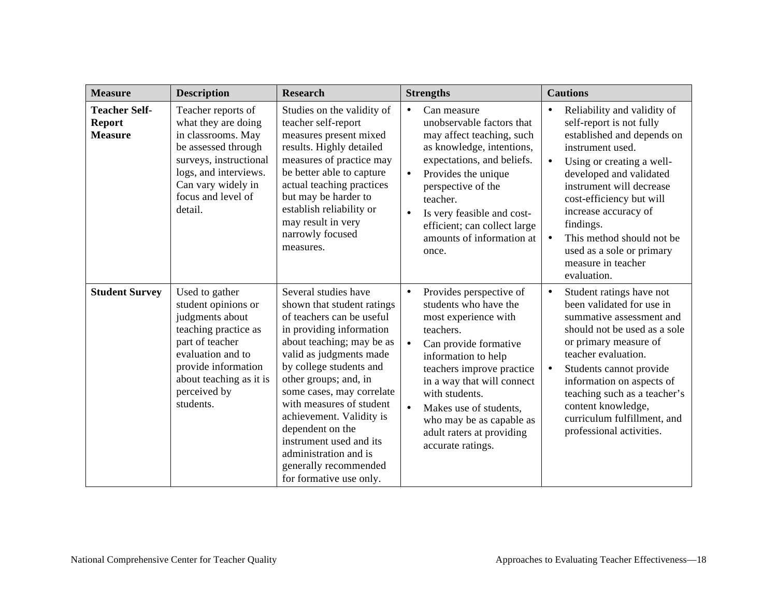| <b>Measure</b>                                          | <b>Description</b>                                                                                                                                                                                      | <b>Research</b>                                                                                                                                                                                                                                                                                                                                                                                                                          | <b>Strengths</b>                                                                                                                                                                                                                                                                                                                                                  | <b>Cautions</b>                                                                                                                                                                                                                                                                                                                                                            |
|---------------------------------------------------------|---------------------------------------------------------------------------------------------------------------------------------------------------------------------------------------------------------|------------------------------------------------------------------------------------------------------------------------------------------------------------------------------------------------------------------------------------------------------------------------------------------------------------------------------------------------------------------------------------------------------------------------------------------|-------------------------------------------------------------------------------------------------------------------------------------------------------------------------------------------------------------------------------------------------------------------------------------------------------------------------------------------------------------------|----------------------------------------------------------------------------------------------------------------------------------------------------------------------------------------------------------------------------------------------------------------------------------------------------------------------------------------------------------------------------|
| <b>Teacher Self-</b><br><b>Report</b><br><b>Measure</b> | Teacher reports of<br>what they are doing<br>in classrooms. May<br>be assessed through<br>surveys, instructional<br>logs, and interviews.<br>Can vary widely in<br>focus and level of<br>detail.        | Studies on the validity of<br>teacher self-report<br>measures present mixed<br>results. Highly detailed<br>measures of practice may<br>be better able to capture<br>actual teaching practices<br>but may be harder to<br>establish reliability or<br>may result in very<br>narrowly focused<br>measures.                                                                                                                                 | Can measure<br>unobservable factors that<br>may affect teaching, such<br>as knowledge, intentions,<br>expectations, and beliefs.<br>Provides the unique<br>$\bullet$<br>perspective of the<br>teacher.<br>Is very feasible and cost-<br>$\bullet$<br>efficient; can collect large<br>amounts of information at<br>once.                                           | Reliability and validity of<br>self-report is not fully<br>established and depends on<br>instrument used.<br>Using or creating a well-<br>$\bullet$<br>developed and validated<br>instrument will decrease<br>cost-efficiency but will<br>increase accuracy of<br>findings.<br>This method should not be<br>used as a sole or primary<br>measure in teacher<br>evaluation. |
| <b>Student Survey</b>                                   | Used to gather<br>student opinions or<br>judgments about<br>teaching practice as<br>part of teacher<br>evaluation and to<br>provide information<br>about teaching as it is<br>perceived by<br>students. | Several studies have<br>shown that student ratings<br>of teachers can be useful<br>in providing information<br>about teaching; may be as<br>valid as judgments made<br>by college students and<br>other groups; and, in<br>some cases, may correlate<br>with measures of student<br>achievement. Validity is<br>dependent on the<br>instrument used and its<br>administration and is<br>generally recommended<br>for formative use only. | Provides perspective of<br>$\bullet$<br>students who have the<br>most experience with<br>teachers.<br>$\bullet$<br>Can provide formative<br>information to help<br>teachers improve practice<br>in a way that will connect<br>with students.<br>$\bullet$<br>Makes use of students,<br>who may be as capable as<br>adult raters at providing<br>accurate ratings. | Student ratings have not<br>$\bullet$<br>been validated for use in<br>summative assessment and<br>should not be used as a sole<br>or primary measure of<br>teacher evaluation.<br>Students cannot provide<br>information on aspects of<br>teaching such as a teacher's<br>content knowledge,<br>curriculum fulfillment, and<br>professional activities.                    |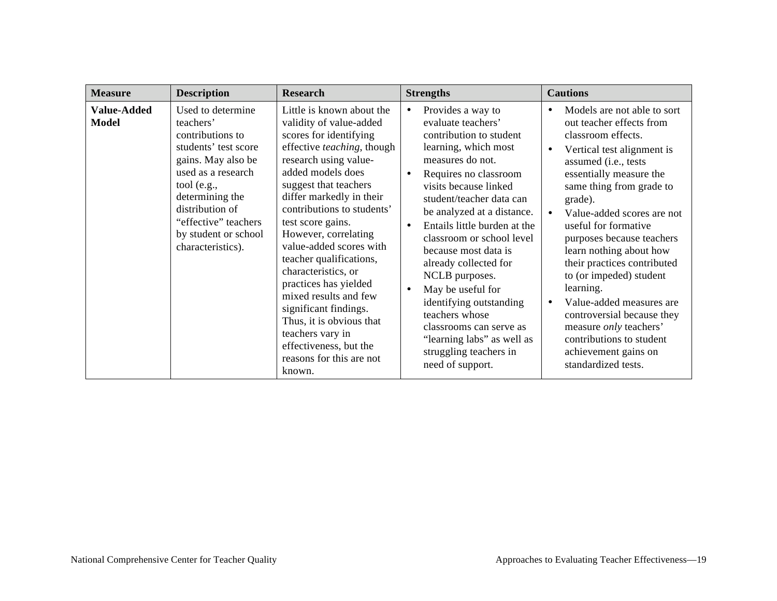| <b>Measure</b>                     | <b>Description</b>                                                                                                                                                                                                                               | <b>Research</b>                                                                                                                                                                                                                                                                                                                                                                                                                                                                                                                                                    | <b>Strengths</b>                                                                                                                                                                                                                                                                                                                                                                                                                                                                                                                                 | <b>Cautions</b>                                                                                                                                                                                                                                                                                                                                                                                                                                                                                                                                                  |
|------------------------------------|--------------------------------------------------------------------------------------------------------------------------------------------------------------------------------------------------------------------------------------------------|--------------------------------------------------------------------------------------------------------------------------------------------------------------------------------------------------------------------------------------------------------------------------------------------------------------------------------------------------------------------------------------------------------------------------------------------------------------------------------------------------------------------------------------------------------------------|--------------------------------------------------------------------------------------------------------------------------------------------------------------------------------------------------------------------------------------------------------------------------------------------------------------------------------------------------------------------------------------------------------------------------------------------------------------------------------------------------------------------------------------------------|------------------------------------------------------------------------------------------------------------------------------------------------------------------------------------------------------------------------------------------------------------------------------------------------------------------------------------------------------------------------------------------------------------------------------------------------------------------------------------------------------------------------------------------------------------------|
| <b>Value-Added</b><br><b>Model</b> | Used to determine<br>teachers'<br>contributions to<br>students' test score<br>gains. May also be<br>used as a research<br>tool (e.g.,<br>determining the<br>distribution of<br>"effective" teachers<br>by student or school<br>characteristics). | Little is known about the<br>validity of value-added<br>scores for identifying<br>effective teaching, though<br>research using value-<br>added models does<br>suggest that teachers<br>differ markedly in their<br>contributions to students'<br>test score gains.<br>However, correlating<br>value-added scores with<br>teacher qualifications,<br>characteristics, or<br>practices has yielded<br>mixed results and few<br>significant findings.<br>Thus, it is obvious that<br>teachers vary in<br>effectiveness, but the<br>reasons for this are not<br>known. | Provides a way to<br>evaluate teachers'<br>contribution to student<br>learning, which most<br>measures do not.<br>Requires no classroom<br>visits because linked<br>student/teacher data can<br>be analyzed at a distance.<br>Entails little burden at the<br>$\bullet$<br>classroom or school level<br>because most data is<br>already collected for<br>NCLB purposes.<br>May be useful for<br>identifying outstanding<br>teachers whose<br>classrooms can serve as<br>"learning labs" as well as<br>struggling teachers in<br>need of support. | Models are not able to sort<br>out teacher effects from<br>classroom effects.<br>Vertical test alignment is<br>assumed (i.e., tests<br>essentially measure the<br>same thing from grade to<br>grade).<br>Value-added scores are not<br>useful for formative<br>purposes because teachers<br>learn nothing about how<br>their practices contributed<br>to (or impeded) student<br>learning.<br>Value-added measures are<br>controversial because they<br>measure <i>only</i> teachers'<br>contributions to student<br>achievement gains on<br>standardized tests. |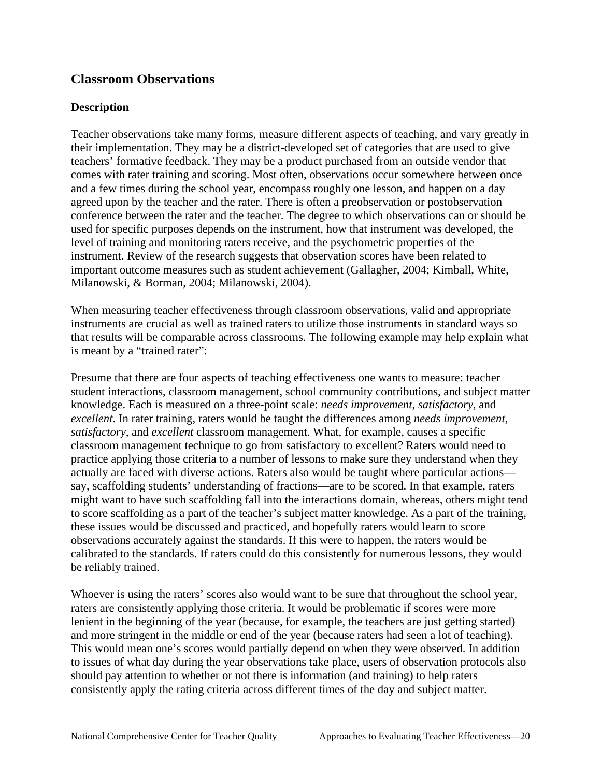### **Classroom Observations**

### **Description**

Milanowski, & Borman, 2004; Milanowski, 2004). Teacher observations take many forms, measure different aspects of teaching, and vary greatly in their implementation. They may be a district-developed set of categories that are used to give teachers' formative feedback. They may be a product purchased from an outside vendor that comes with rater training and scoring. Most often, observations occur somewhere between once and a few times during the school year, encompass roughly one lesson, and happen on a day agreed upon by the teacher and the rater. There is often a preobservation or postobservation conference between the rater and the teacher. The degree to which observations can or should be used for specific purposes depends on the instrument, how that instrument was developed, the level of training and monitoring raters receive, and the psychometric properties of the instrument. Review of the research suggests that observation scores have been related to important outcome measures such as student achievement (Gallagher, 2004; Kimball, White,

When measuring teacher effectiveness through classroom observations, valid and appropriate instruments are crucial as well as trained raters to utilize those instruments in standard ways so that results will be comparable across classrooms. The following example may help explain what is meant by a "trained rater":

be reliably trained. Presume that there are four aspects of teaching effectiveness one wants to measure: teacher student interactions, classroom management, school community contributions, and subject matter knowledge. Each is measured on a three-point scale: *needs improvement*, *satisfactory*, and *excellent*. In rater training, raters would be taught the differences among *needs improvement*, *satisfactory*, and *excellent* classroom management. What, for example, causes a specific classroom management technique to go from satisfactory to excellent? Raters would need to practice applying those criteria to a number of lessons to make sure they understand when they actually are faced with diverse actions. Raters also would be taught where particular actions say, scaffolding students' understanding of fractions—are to be scored. In that example, raters might want to have such scaffolding fall into the interactions domain, whereas, others might tend to score scaffolding as a part of the teacher's subject matter knowledge. As a part of the training, these issues would be discussed and practiced, and hopefully raters would learn to score observations accurately against the standards. If this were to happen, the raters would be calibrated to the standards. If raters could do this consistently for numerous lessons, they would

Whoever is using the raters' scores also would want to be sure that throughout the school year, raters are consistently applying those criteria. It would be problematic if scores were more lenient in the beginning of the year (because, for example, the teachers are just getting started) and more stringent in the middle or end of the year (because raters had seen a lot of teaching). This would mean one's scores would partially depend on when they were observed. In addition to issues of what day during the year observations take place, users of observation protocols also should pay attention to whether or not there is information (and training) to help raters consistently apply the rating criteria across different times of the day and subject matter.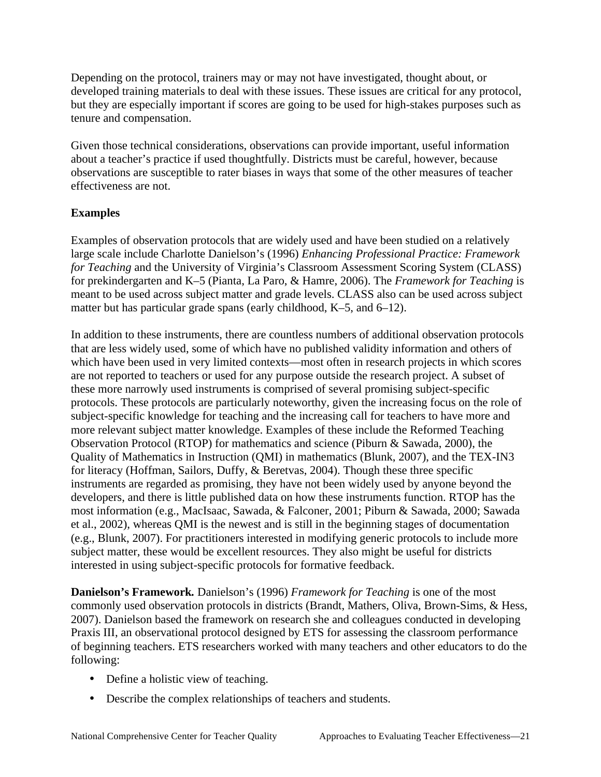Depending on the protocol, trainers may or may not have investigated, thought about, or developed training materials to deal with these issues. These issues are critical for any protocol, but they are especially important if scores are going to be used for high-stakes purposes such as tenure and compensation.

Given those technical considerations, observations can provide important, useful information about a teacher's practice if used thoughtfully. Districts must be careful, however, because observations are susceptible to rater biases in ways that some of the other measures of teacher effectiveness are not.

### **Examples**

matter but has particular grade spans (early childhood, K-5, and 6-12). Examples of observation protocols that are widely used and have been studied on a relatively large scale include Charlotte Danielson's (1996) *Enhancing Professional Practice: Framework for Teaching* and the University of Virginia's Classroom Assessment Scoring System (CLASS) for prekindergarten and K–5 (Pianta, La Paro, & Hamre, 2006). The *Framework for Teaching* is meant to be used across subject matter and grade levels. CLASS also can be used across subject

In addition to these instruments, there are countless numbers of additional observation protocols that are less widely used, some of which have no published validity information and others of which have been used in very limited contexts—most often in research projects in which scores are not reported to teachers or used for any purpose outside the research project. A subset of these more narrowly used instruments is comprised of several promising subject-specific protocols. These protocols are particularly noteworthy, given the increasing focus on the role of subject-specific knowledge for teaching and the increasing call for teachers to have more and more relevant subject matter knowledge. Examples of these include the Reformed Teaching Observation Protocol (RTOP) for mathematics and science (Piburn & Sawada, 2000), the Quality of Mathematics in Instruction (QMI) in mathematics (Blunk, 2007), and the TEX-IN3 for literacy (Hoffman, Sailors, Duffy, & Beretvas, 2004). Though these three specific instruments are regarded as promising, they have not been widely used by anyone beyond the developers, and there is little published data on how these instruments function. RTOP has the most information (e.g., MacIsaac, Sawada, & Falconer, 2001; Piburn & Sawada, 2000; Sawada et al., 2002), whereas QMI is the newest and is still in the beginning stages of documentation (e.g., Blunk, 2007). For practitioners interested in modifying generic protocols to include more subject matter, these would be excellent resources. They also might be useful for districts interested in using subject-specific protocols for formative feedback.

 following: **Danielson's Framework***.* Danielson's (1996) *Framework for Teaching* is one of the most commonly used observation protocols in districts (Brandt, Mathers, Oliva, Brown-Sims, & Hess, 2007). Danielson based the framework on research she and colleagues conducted in developing Praxis III, an observational protocol designed by ETS for assessing the classroom performance of beginning teachers. ETS researchers worked with many teachers and other educators to do the

- Define a holistic view of teaching.
- Describe the complex relationships of teachers and students.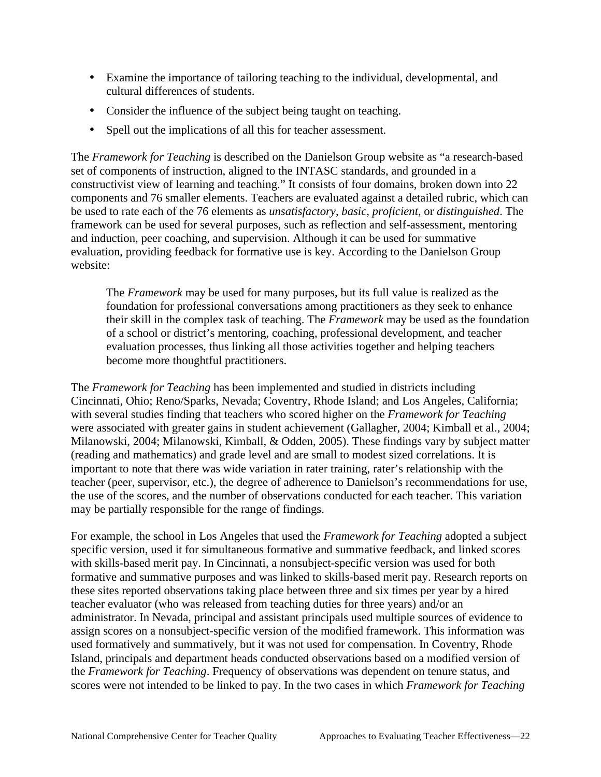- Examine the importance of tailoring teaching to the individual, developmental, and cultural differences of students.
- Consider the influence of the subject being taught on teaching.
- Spell out the implications of all this for teacher assessment.

• Spell out the implications of all this for teacher assessment.<br>The *Framework for Teaching* is described on the Danielson Group website as "a research-based" set of components of instruction, aligned to the INTASC standards, and grounded in a constructivist view of learning and teaching." It consists of four domains, broken down into 22 components and 76 smaller elements. Teachers are evaluated against a detailed rubric, which can be used to rate each of the 76 elements as *unsatisfactory*, *basic*, *proficient*, or *distinguished*. The framework can be used for several purposes, such as reflection and self-assessment, mentoring and induction, peer coaching, and supervision. Although it can be used for summative evaluation, providing feedback for formative use is key. According to the Danielson Group website:

The *Framework* may be used for many purposes, but its full value is realized as the foundation for professional conversations among practitioners as they seek to enhance their skill in the complex task of teaching. The *Framework* may be used as the foundation of a school or district's mentoring, coaching, professional development, and teacher evaluation processes, thus linking all those activities together and helping teachers become more thoughtful practitioners.

may be partially responsible for the range of findings. The *Framework for Teaching* has been implemented and studied in districts including Cincinnati, Ohio; Reno/Sparks, Nevada; Coventry, Rhode Island; and Los Angeles, California; with several studies finding that teachers who scored higher on the *Framework for Teaching*  were associated with greater gains in student achievement (Gallagher, 2004; Kimball et al., 2004; Milanowski, 2004; Milanowski, Kimball, & Odden, 2005). These findings vary by subject matter (reading and mathematics) and grade level and are small to modest sized correlations. It is important to note that there was wide variation in rater training, rater's relationship with the teacher (peer, supervisor, etc.), the degree of adherence to Danielson's recommendations for use, the use of the scores, and the number of observations conducted for each teacher. This variation

For example, the school in Los Angeles that used the *Framework for Teaching* adopted a subject specific version, used it for simultaneous formative and summative feedback, and linked scores with skills-based merit pay. In Cincinnati, a nonsubject-specific version was used for both formative and summative purposes and was linked to skills-based merit pay. Research reports on these sites reported observations taking place between three and six times per year by a hired teacher evaluator (who was released from teaching duties for three years) and/or an administrator. In Nevada, principal and assistant principals used multiple sources of evidence to assign scores on a nonsubject-specific version of the modified framework. This information was used formatively and summatively, but it was not used for compensation. In Coventry, Rhode Island, principals and department heads conducted observations based on a modified version of the *Framework for Teaching*. Frequency of observations was dependent on tenure status, and scores were not intended to be linked to pay. In the two cases in which *Framework for Teaching*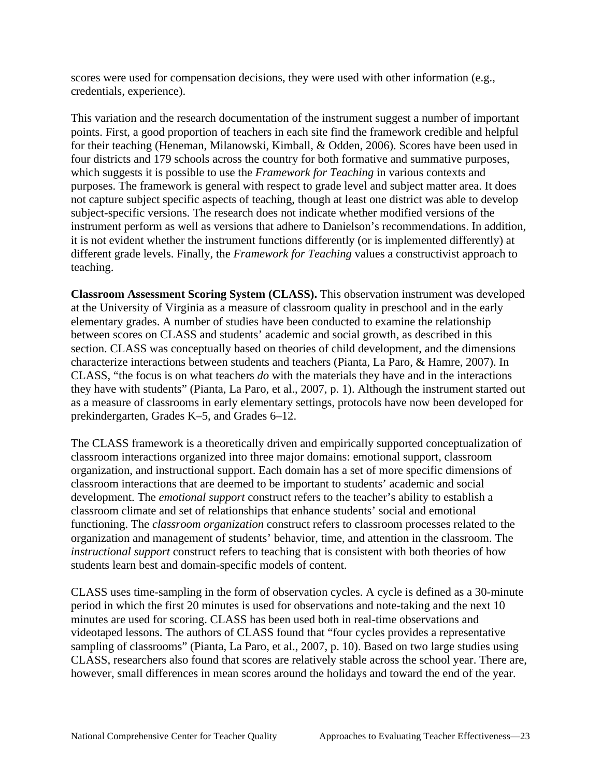credentials, experience). scores were used for compensation decisions, they were used with other information (e.g.,

This variation and the research documentation of the instrument suggest a number of important points. First, a good proportion of teachers in each site find the framework credible and helpful for their teaching (Heneman, Milanowski, Kimball, & Odden, 2006). Scores have been used in four districts and 179 schools across the country for both formative and summative purposes, which suggests it is possible to use the *Framework for Teaching* in various contexts and purposes. The framework is general with respect to grade level and subject matter area. It does not capture subject specific aspects of teaching, though at least one district was able to develop subject-specific versions. The research does not indicate whether modified versions of the instrument perform as well as versions that adhere to Danielson's recommendations. In addition, it is not evident whether the instrument functions differently (or is implemented differently) at different grade levels. Finally, the *Framework for Teaching* values a constructivist approach to teaching.

**Classroom Assessment Scoring System (CLASS).** This observation instrument was developed at the University of Virginia as a measure of classroom quality in preschool and in the early elementary grades. A number of studies have been conducted to examine the relationship between scores on CLASS and students' academic and social growth, as described in this section. CLASS was conceptually based on theories of child development, and the dimensions characterize interactions between students and teachers (Pianta, La Paro, & Hamre, 2007). In CLASS, "the focus is on what teachers *do* with the materials they have and in the interactions they have with students" (Pianta, La Paro, et al., 2007, p. 1). Although the instrument started out as a measure of classrooms in early elementary settings, protocols have now been developed for prekindergarten, Grades K–5, and Grades 6–12.

The CLASS framework is a theoretically driven and empirically supported conceptualization of classroom interactions organized into three major domains: emotional support, classroom organization, and instructional support. Each domain has a set of more specific dimensions of classroom interactions that are deemed to be important to students' academic and social development. The *emotional support* construct refers to the teacher's ability to establish a classroom climate and set of relationships that enhance students' social and emotional functioning. The *classroom organization* construct refers to classroom processes related to the organization and management of students' behavior, time, and attention in the classroom. The *instructional support* construct refers to teaching that is consistent with both theories of how students learn best and domain-specific models of content.

sampling of classrooms" (Pianta, La Paro, et al., 2007, p. 10). Based on two large studies using CLASS uses time-sampling in the form of observation cycles. A cycle is defined as a 30-minute period in which the first 20 minutes is used for observations and note-taking and the next 10 minutes are used for scoring. CLASS has been used both in real-time observations and videotaped lessons. The authors of CLASS found that "four cycles provides a representative CLASS, researchers also found that scores are relatively stable across the school year. There are, however, small differences in mean scores around the holidays and toward the end of the year.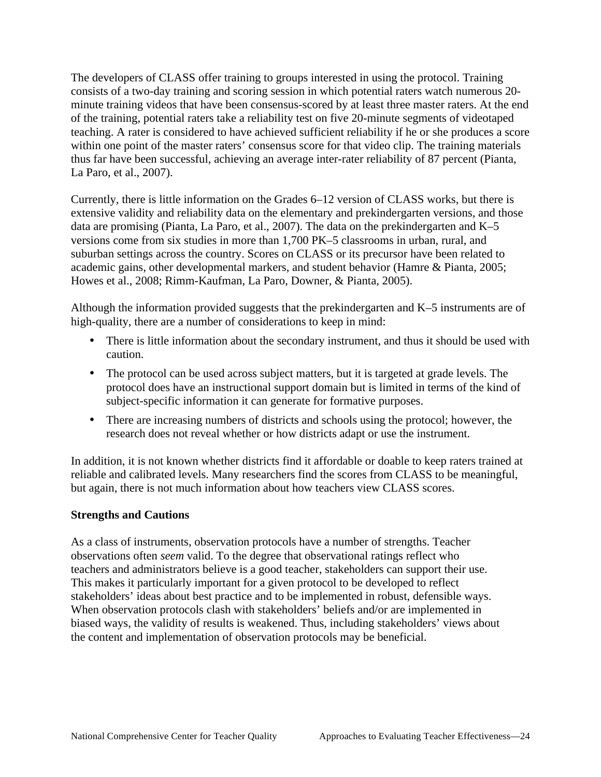The developers of CLASS offer training to groups interested in using the protocol. Training consists of a two-day training and scoring session in which potential raters watch numerous 20 minute training videos that have been consensus-scored by at least three master raters. At the end of the training, potential raters take a reliability test on five 20-minute segments of videotaped teaching. A rater is considered to have achieved sufficient reliability if he or she produces a score within one point of the master raters' consensus score for that video clip. The training materials thus far have been successful, achieving an average inter-rater reliability of 87 percent (Pianta, La Paro, et al., 2007).

Currently, there is little information on the Grades 6–12 version of CLASS works, but there is extensive validity and reliability data on the elementary and prekindergarten versions, and those data are promising (Pianta, La Paro, et al., 2007). The data on the prekindergarten and K–5 versions come from six studies in more than 1,700 PK–5 classrooms in urban, rural, and suburban settings across the country. Scores on CLASS or its precursor have been related to academic gains, other developmental markers, and student behavior (Hamre & Pianta, 2005; Howes et al., 2008; Rimm-Kaufman, La Paro, Downer, & Pianta, 2005).

 high-quality, there are a number of considerations to keep in mind: Although the information provided suggests that the prekindergarten and K–5 instruments are of

- There is little information about the secondary instrument, and thus it should be used with caution.
- subject-specific information it can generate for formative purposes. • The protocol can be used across subject matters, but it is targeted at grade levels. The protocol does have an instructional support domain but is limited in terms of the kind of
- research does not reveal whether or how districts adapt or use the instrument. • There are increasing numbers of districts and schools using the protocol; however, the

In addition, it is not known whether districts find it affordable or doable to keep raters trained at reliable and calibrated levels. Many researchers find the scores from CLASS to be meaningful, but again, there is not much information about how teachers view CLASS scores.

### **Strengths and Cautions**

As a class of instruments, observation protocols have a number of strengths. Teacher observations often *seem* valid. To the degree that observational ratings reflect who teachers and administrators believe is a good teacher, stakeholders can support their use. This makes it particularly important for a given protocol to be developed to reflect stakeholders' ideas about best practice and to be implemented in robust, defensible ways. When observation protocols clash with stakeholders' beliefs and/or are implemented in biased ways, the validity of results is weakened. Thus, including stakeholders' views about the content and implementation of observation protocols may be beneficial.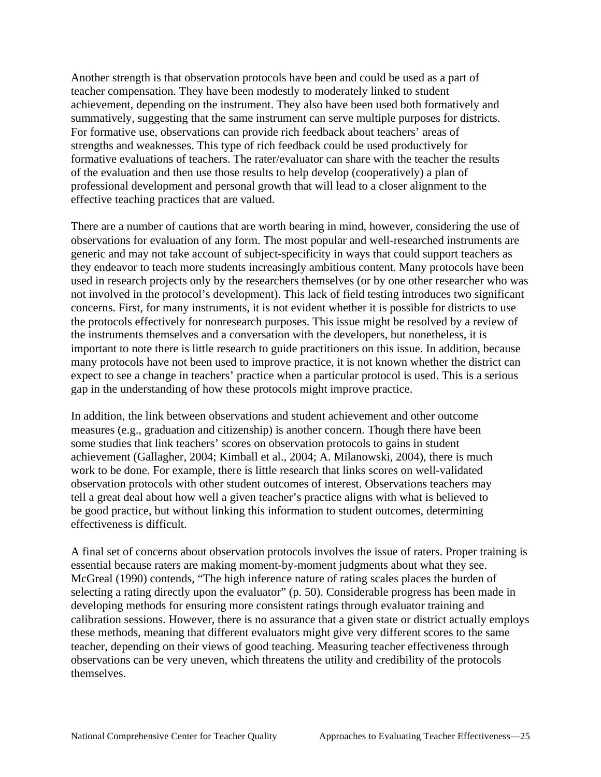effective teaching practices that are valued. Another strength is that observation protocols have been and could be used as a part of teacher compensation. They have been modestly to moderately linked to student achievement, depending on the instrument. They also have been used both formatively and summatively, suggesting that the same instrument can serve multiple purposes for districts. For formative use, observations can provide rich feedback about teachers' areas of strengths and weaknesses. This type of rich feedback could be used productively for formative evaluations of teachers. The rater/evaluator can share with the teacher the results of the evaluation and then use those results to help develop (cooperatively) a plan of professional development and personal growth that will lead to a closer alignment to the

 gap in the understanding of how these protocols might improve practice. There are a number of cautions that are worth bearing in mind, however, considering the use of observations for evaluation of any form. The most popular and well-researched instruments are generic and may not take account of subject-specificity in ways that could support teachers as they endeavor to teach more students increasingly ambitious content. Many protocols have been used in research projects only by the researchers themselves (or by one other researcher who was not involved in the protocol's development). This lack of field testing introduces two significant concerns. First, for many instruments, it is not evident whether it is possible for districts to use the protocols effectively for nonresearch purposes. This issue might be resolved by a review of the instruments themselves and a conversation with the developers, but nonetheless, it is important to note there is little research to guide practitioners on this issue. In addition, because many protocols have not been used to improve practice, it is not known whether the district can expect to see a change in teachers' practice when a particular protocol is used. This is a serious

In addition, the link between observations and student achievement and other outcome measures (e.g., graduation and citizenship) is another concern. Though there have been some studies that link teachers' scores on observation protocols to gains in student achievement (Gallagher, 2004; Kimball et al., 2004; A. Milanowski, 2004), there is much work to be done. For example, there is little research that links scores on well-validated observation protocols with other student outcomes of interest. Observations teachers may tell a great deal about how well a given teacher's practice aligns with what is believed to be good practice, but without linking this information to student outcomes, determining effectiveness is difficult.

A final set of concerns about observation protocols involves the issue of raters. Proper training is essential because raters are making moment-by-moment judgments about what they see. McGreal (1990) contends, "The high inference nature of rating scales places the burden of selecting a rating directly upon the evaluator" (p. 50). Considerable progress has been made in developing methods for ensuring more consistent ratings through evaluator training and calibration sessions. However, there is no assurance that a given state or district actually employs these methods, meaning that different evaluators might give very different scores to the same teacher, depending on their views of good teaching. Measuring teacher effectiveness through observations can be very uneven, which threatens the utility and credibility of the protocols themselves.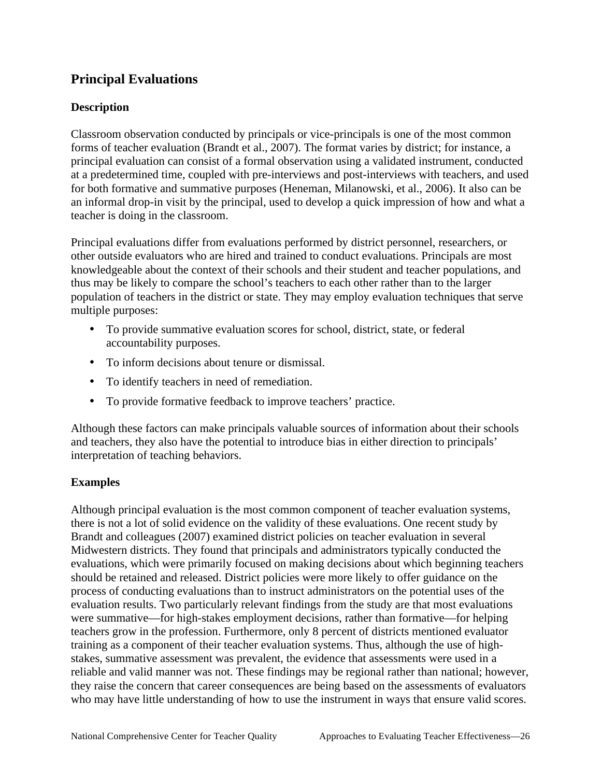### **Principal Evaluations**

### **Description**

Classroom observation conducted by principals or vice-principals is one of the most common forms of teacher evaluation (Brandt et al., 2007). The format varies by district; for instance, a principal evaluation can consist of a formal observation using a validated instrument, conducted at a predetermined time, coupled with pre-interviews and post-interviews with teachers, and used for both formative and summative purposes (Heneman, Milanowski, et al., 2006). It also can be an informal drop-in visit by the principal, used to develop a quick impression of how and what a teacher is doing in the classroom.

Principal evaluations differ from evaluations performed by district personnel, researchers, or other outside evaluators who are hired and trained to conduct evaluations. Principals are most knowledgeable about the context of their schools and their student and teacher populations, and thus may be likely to compare the school's teachers to each other rather than to the larger population of teachers in the district or state. They may employ evaluation techniques that serve multiple purposes:

- • To provide summative evaluation scores for school, district, state, or federal accountability purposes.
- To inform decisions about tenure or dismissal.
- • To identify teachers in need of remediation.
- To provide formative feedback to improve teachers' practice.

 interpretation of teaching behaviors. Although these factors can make principals valuable sources of information about their schools and teachers, they also have the potential to introduce bias in either direction to principals'

### **Examples**

who may have little understanding of how to use the instrument in ways that ensure valid scores.<br>National Comprehensive Center for Teacher Quality Approaches to Evaluating Teacher Effectiveness—26 Although principal evaluation is the most common component of teacher evaluation systems, there is not a lot of solid evidence on the validity of these evaluations. One recent study by Brandt and colleagues (2007) examined district policies on teacher evaluation in several Midwestern districts. They found that principals and administrators typically conducted the evaluations, which were primarily focused on making decisions about which beginning teachers should be retained and released. District policies were more likely to offer guidance on the process of conducting evaluations than to instruct administrators on the potential uses of the evaluation results. Two particularly relevant findings from the study are that most evaluations were summative—for high-stakes employment decisions, rather than formative—for helping teachers grow in the profession. Furthermore, only 8 percent of districts mentioned evaluator training as a component of their teacher evaluation systems. Thus, although the use of highstakes, summative assessment was prevalent, the evidence that assessments were used in a reliable and valid manner was not. These findings may be regional rather than national; however, they raise the concern that career consequences are being based on the assessments of evaluators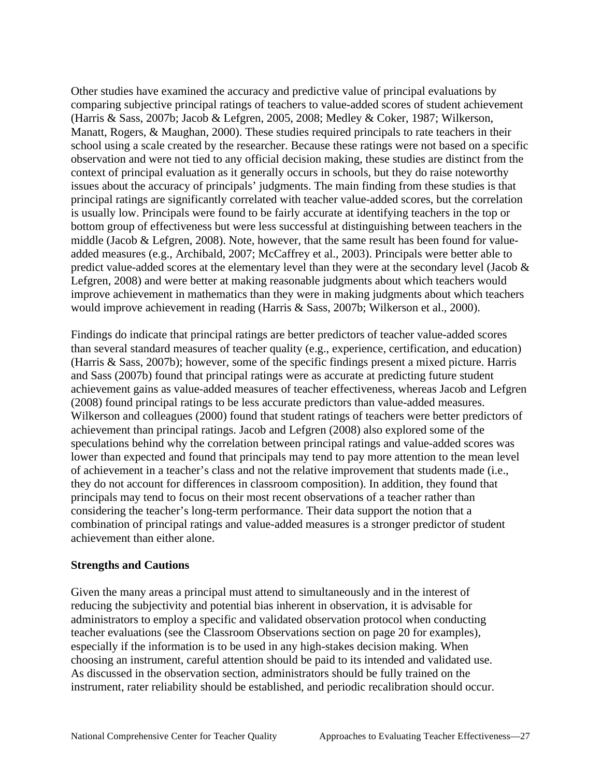would improve achievement in reading (Harris & Sass, 2007b; Wilkerson et al., 2000). Other studies have examined the accuracy and predictive value of principal evaluations by comparing subjective principal ratings of teachers to value-added scores of student achievement (Harris & Sass, 2007b; Jacob & Lefgren, 2005, 2008; Medley & Coker, 1987; Wilkerson, Manatt, Rogers, & Maughan, 2000). These studies required principals to rate teachers in their school using a scale created by the researcher. Because these ratings were not based on a specific observation and were not tied to any official decision making, these studies are distinct from the context of principal evaluation as it generally occurs in schools, but they do raise noteworthy issues about the accuracy of principals' judgments. The main finding from these studies is that principal ratings are significantly correlated with teacher value-added scores, but the correlation is usually low. Principals were found to be fairly accurate at identifying teachers in the top or bottom group of effectiveness but were less successful at distinguishing between teachers in the middle (Jacob & Lefgren, 2008). Note, however, that the same result has been found for valueadded measures (e.g., Archibald, 2007; McCaffrey et al., 2003). Principals were better able to predict value-added scores at the elementary level than they were at the secondary level (Jacob & Lefgren, 2008) and were better at making reasonable judgments about which teachers would improve achievement in mathematics than they were in making judgments about which teachers

 achievement than either alone. Findings do indicate that principal ratings are better predictors of teacher value-added scores than several standard measures of teacher quality (e.g., experience, certification, and education) (Harris & Sass, 2007b); however, some of the specific findings present a mixed picture. Harris and Sass (2007b) found that principal ratings were as accurate at predicting future student achievement gains as value-added measures of teacher effectiveness, whereas Jacob and Lefgren (2008) found principal ratings to be less accurate predictors than value-added measures. Wilkerson and colleagues (2000) found that student ratings of teachers were better predictors of achievement than principal ratings. Jacob and Lefgren (2008) also explored some of the speculations behind why the correlation between principal ratings and value-added scores was lower than expected and found that principals may tend to pay more attention to the mean level of achievement in a teacher's class and not the relative improvement that students made (i.e., they do not account for differences in classroom composition). In addition, they found that principals may tend to focus on their most recent observations of a teacher rather than considering the teacher's long-term performance. Their data support the notion that a combination of principal ratings and value-added measures is a stronger predictor of student

#### **Strengths and Cautions**

Given the many areas a principal must attend to simultaneously and in the interest of reducing the subjectivity and potential bias inherent in observation, it is advisable for administrators to employ a specific and validated observation protocol when conducting teacher evaluations (see the Classroom Observations section on page 20 for examples), especially if the information is to be used in any high-stakes decision making. When choosing an instrument, careful attention should be paid to its intended and validated use. As discussed in the observation section, administrators should be fully trained on the instrument, rater reliability should be established, and periodic recalibration should occur.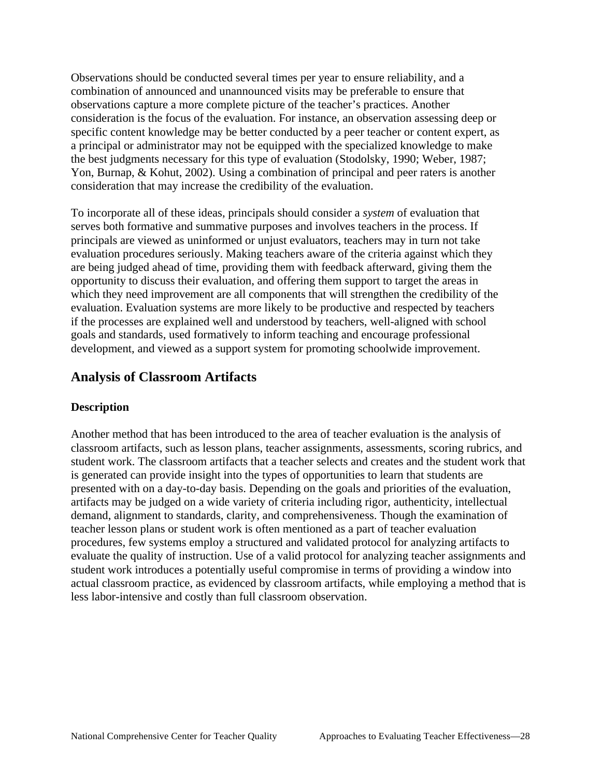Observations should be conducted several times per year to ensure reliability, and a combination of announced and unannounced visits may be preferable to ensure that observations capture a more complete picture of the teacher's practices. Another consideration is the focus of the evaluation. For instance, an observation assessing deep or specific content knowledge may be better conducted by a peer teacher or content expert, as a principal or administrator may not be equipped with the specialized knowledge to make the best judgments necessary for this type of evaluation (Stodolsky, 1990; Weber, 1987; Yon, Burnap, & Kohut, 2002). Using a combination of principal and peer raters is another consideration that may increase the credibility of the evaluation.

To incorporate all of these ideas, principals should consider a *system* of evaluation that serves both formative and summative purposes and involves teachers in the process. If principals are viewed as uninformed or unjust evaluators, teachers may in turn not take evaluation procedures seriously. Making teachers aware of the criteria against which they are being judged ahead of time, providing them with feedback afterward, giving them the opportunity to discuss their evaluation, and offering them support to target the areas in which they need improvement are all components that will strengthen the credibility of the evaluation. Evaluation systems are more likely to be productive and respected by teachers if the processes are explained well and understood by teachers, well-aligned with school goals and standards, used formatively to inform teaching and encourage professional development, and viewed as a support system for promoting schoolwide improvement.

### **Analysis of Classroom Artifacts**

### **Description**

Another method that has been introduced to the area of teacher evaluation is the analysis of classroom artifacts, such as lesson plans, teacher assignments, assessments, scoring rubrics, and student work. The classroom artifacts that a teacher selects and creates and the student work that is generated can provide insight into the types of opportunities to learn that students are presented with on a day-to-day basis. Depending on the goals and priorities of the evaluation, artifacts may be judged on a wide variety of criteria including rigor, authenticity, intellectual demand, alignment to standards, clarity, and comprehensiveness. Though the examination of teacher lesson plans or student work is often mentioned as a part of teacher evaluation procedures, few systems employ a structured and validated protocol for analyzing artifacts to evaluate the quality of instruction. Use of a valid protocol for analyzing teacher assignments and student work introduces a potentially useful compromise in terms of providing a window into actual classroom practice, as evidenced by classroom artifacts, while employing a method that is less labor-intensive and costly than full classroom observation.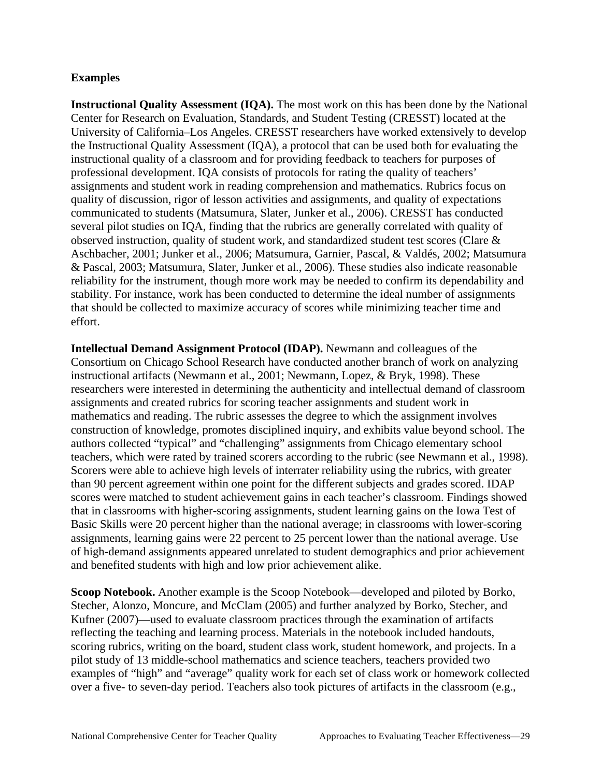#### **Examples**

**Instructional Quality Assessment (IQA).** The most work on this has been done by the National Center for Research on Evaluation, Standards, and Student Testing (CRESST) located at the University of California–Los Angeles. CRESST researchers have worked extensively to develop the Instructional Quality Assessment (IQA), a protocol that can be used both for evaluating the instructional quality of a classroom and for providing feedback to teachers for purposes of professional development. IQA consists of protocols for rating the quality of teachers' assignments and student work in reading comprehension and mathematics. Rubrics focus on quality of discussion, rigor of lesson activities and assignments, and quality of expectations communicated to students (Matsumura, Slater, Junker et al., 2006). CRESST has conducted several pilot studies on IQA, finding that the rubrics are generally correlated with quality of observed instruction, quality of student work, and standardized student test scores (Clare & Aschbacher, 2001; Junker et al., 2006; Matsumura, Garnier, Pascal, & Valdés, 2002; Matsumura & Pascal, 2003; Matsumura, Slater, Junker et al., 2006). These studies also indicate reasonable reliability for the instrument, though more work may be needed to confirm its dependability and stability. For instance, work has been conducted to determine the ideal number of assignments that should be collected to maximize accuracy of scores while minimizing teacher time and effort.

 and benefited students with high and low prior achievement alike. **Intellectual Demand Assignment Protocol (IDAP).** Newmann and colleagues of the Consortium on Chicago School Research have conducted another branch of work on analyzing instructional artifacts (Newmann et al., 2001; Newmann, Lopez, & Bryk, 1998). These researchers were interested in determining the authenticity and intellectual demand of classroom assignments and created rubrics for scoring teacher assignments and student work in mathematics and reading. The rubric assesses the degree to which the assignment involves construction of knowledge, promotes disciplined inquiry, and exhibits value beyond school. The authors collected "typical" and "challenging" assignments from Chicago elementary school teachers, which were rated by trained scorers according to the rubric (see Newmann et al., 1998). Scorers were able to achieve high levels of interrater reliability using the rubrics, with greater than 90 percent agreement within one point for the different subjects and grades scored. IDAP scores were matched to student achievement gains in each teacher's classroom. Findings showed that in classrooms with higher-scoring assignments, student learning gains on the Iowa Test of Basic Skills were 20 percent higher than the national average; in classrooms with lower-scoring assignments, learning gains were 22 percent to 25 percent lower than the national average. Use of high-demand assignments appeared unrelated to student demographics and prior achievement

**Scoop Notebook.** Another example is the Scoop Notebook—developed and piloted by Borko, Stecher, Alonzo, Moncure, and McClam (2005) and further analyzed by Borko, Stecher, and Kufner (2007)—used to evaluate classroom practices through the examination of artifacts reflecting the teaching and learning process. Materials in the notebook included handouts, scoring rubrics, writing on the board, student class work, student homework, and projects. In a pilot study of 13 middle-school mathematics and science teachers, teachers provided two examples of "high" and "average" quality work for each set of class work or homework collected over a five- to seven-day period. Teachers also took pictures of artifacts in the classroom (e.g.,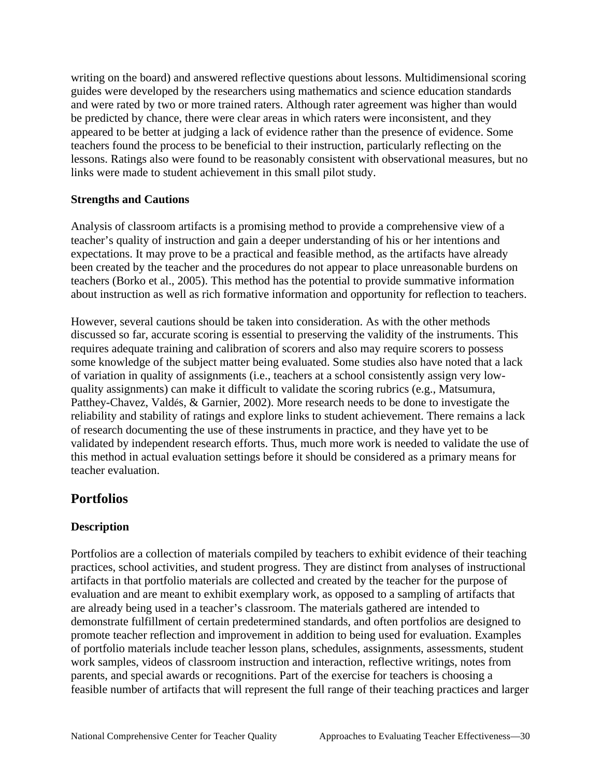writing on the board) and answered reflective questions about lessons. Multidimensional scoring guides were developed by the researchers using mathematics and science education standards and were rated by two or more trained raters. Although rater agreement was higher than would be predicted by chance, there were clear areas in which raters were inconsistent, and they appeared to be better at judging a lack of evidence rather than the presence of evidence. Some teachers found the process to be beneficial to their instruction, particularly reflecting on the lessons. Ratings also were found to be reasonably consistent with observational measures, but no links were made to student achievement in this small pilot study.

#### **Strengths and Cautions**

Analysis of classroom artifacts is a promising method to provide a comprehensive view of a teacher's quality of instruction and gain a deeper understanding of his or her intentions and expectations. It may prove to be a practical and feasible method, as the artifacts have already been created by the teacher and the procedures do not appear to place unreasonable burdens on teachers (Borko et al., 2005). This method has the potential to provide summative information

 about instruction as well as rich formative information and opportunity for reflection to teachers. However, several cautions should be taken into consideration. As with the other methods discussed so far, accurate scoring is essential to preserving the validity of the instruments. This requires adequate training and calibration of scorers and also may require scorers to possess some knowledge of the subject matter being evaluated. Some studies also have noted that a lack of variation in quality of assignments (i.e., teachers at a school consistently assign very lowquality assignments) can make it difficult to validate the scoring rubrics (e.g., Matsumura, Patthey-Chavez, Valdés, & Garnier, 2002). More research needs to be done to investigate the reliability and stability of ratings and explore links to student achievement. There remains a lack of research documenting the use of these instruments in practice, and they have yet to be validated by independent research efforts. Thus, much more work is needed to validate the use of this method in actual evaluation settings before it should be considered as a primary means for teacher evaluation.

### **Portfolios**

### **Description**

Portfolios are a collection of materials compiled by teachers to exhibit evidence of their teaching practices, school activities, and student progress. They are distinct from analyses of instructional artifacts in that portfolio materials are collected and created by the teacher for the purpose of evaluation and are meant to exhibit exemplary work, as opposed to a sampling of artifacts that are already being used in a teacher's classroom. The materials gathered are intended to demonstrate fulfillment of certain predetermined standards, and often portfolios are designed to promote teacher reflection and improvement in addition to being used for evaluation. Examples of portfolio materials include teacher lesson plans, schedules, assignments, assessments, student work samples, videos of classroom instruction and interaction, reflective writings, notes from parents, and special awards or recognitions. Part of the exercise for teachers is choosing a feasible number of artifacts that will represent the full range of their teaching practices and larger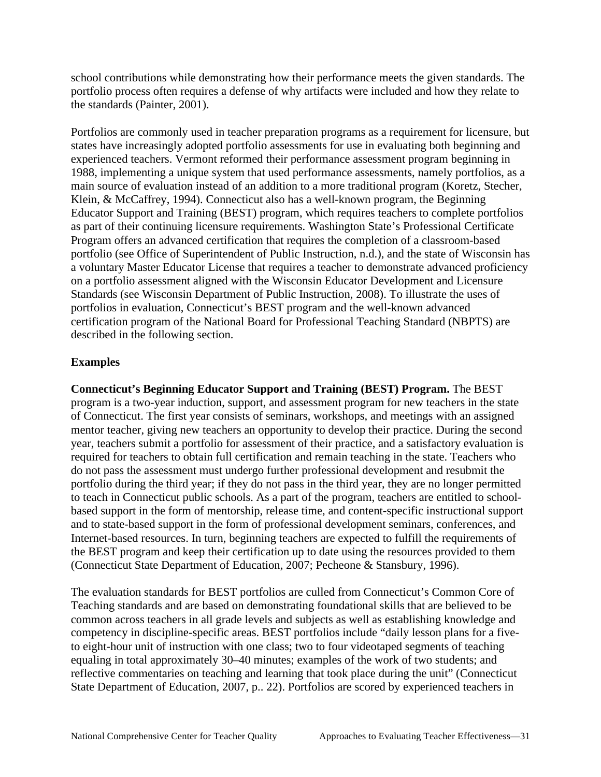the standards (Painter, 2001). school contributions while demonstrating how their performance meets the given standards. The portfolio process often requires a defense of why artifacts were included and how they relate to

Portfolios are commonly used in teacher preparation programs as a requirement for licensure, but states have increasingly adopted portfolio assessments for use in evaluating both beginning and experienced teachers. Vermont reformed their performance assessment program beginning in 1988, implementing a unique system that used performance assessments, namely portfolios, as a main source of evaluation instead of an addition to a more traditional program (Koretz, Stecher, Klein, & McCaffrey, 1994). Connecticut also has a well-known program, the Beginning Educator Support and Training (BEST) program, which requires teachers to complete portfolios as part of their continuing licensure requirements. Washington State's Professional Certificate Program offers an advanced certification that requires the completion of a classroom-based portfolio (see Office of Superintendent of Public Instruction, n.d.), and the state of Wisconsin has a voluntary Master Educator License that requires a teacher to demonstrate advanced proficiency on a portfolio assessment aligned with the Wisconsin Educator Development and Licensure Standards (see Wisconsin Department of Public Instruction, 2008). To illustrate the uses of portfolios in evaluation, Connecticut's BEST program and the well-known advanced certification program of the National Board for Professional Teaching Standard (NBPTS) are described in the following section.

### **Examples**

**Connecticut's Beginning Educator Support and Training (BEST) Program.** The BEST program is a two-year induction, support, and assessment program for new teachers in the state of Connecticut. The first year consists of seminars, workshops, and meetings with an assigned mentor teacher, giving new teachers an opportunity to develop their practice. During the second year, teachers submit a portfolio for assessment of their practice, and a satisfactory evaluation is required for teachers to obtain full certification and remain teaching in the state. Teachers who do not pass the assessment must undergo further professional development and resubmit the portfolio during the third year; if they do not pass in the third year, they are no longer permitted to teach in Connecticut public schools. As a part of the program, teachers are entitled to schoolbased support in the form of mentorship, release time, and content-specific instructional support and to state-based support in the form of professional development seminars, conferences, and Internet-based resources. In turn, beginning teachers are expected to fulfill the requirements of the BEST program and keep their certification up to date using the resources provided to them (Connecticut State Department of Education, 2007; Pecheone & Stansbury, 1996).

The evaluation standards for BEST portfolios are culled from Connecticut's Common Core of Teaching standards and are based on demonstrating foundational skills that are believed to be common across teachers in all grade levels and subjects as well as establishing knowledge and competency in discipline-specific areas. BEST portfolios include "daily lesson plans for a fiveto eight-hour unit of instruction with one class; two to four videotaped segments of teaching equaling in total approximately 30–40 minutes; examples of the work of two students; and reflective commentaries on teaching and learning that took place during the unit" (Connecticut State Department of Education, 2007, p.. 22). Portfolios are scored by experienced teachers in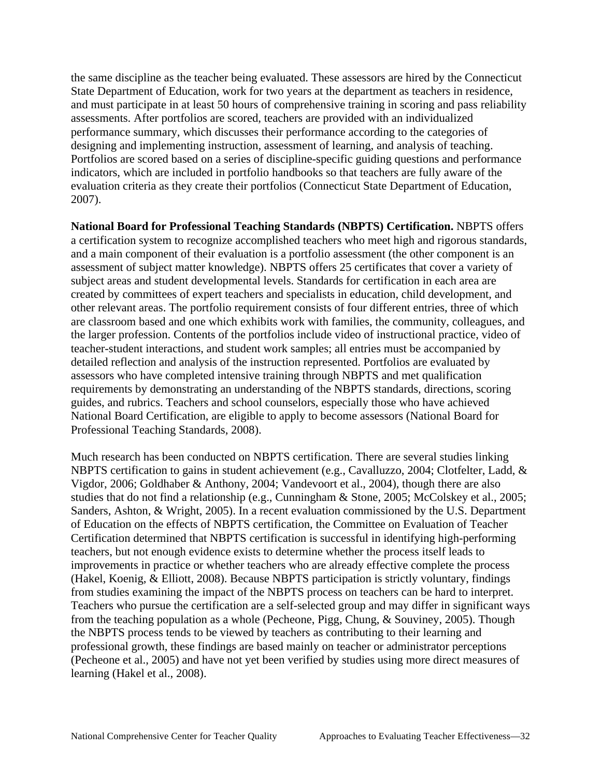the same discipline as the teacher being evaluated. These assessors are hired by the Connecticut State Department of Education, work for two years at the department as teachers in residence, and must participate in at least 50 hours of comprehensive training in scoring and pass reliability assessments. After portfolios are scored, teachers are provided with an individualized performance summary, which discusses their performance according to the categories of designing and implementing instruction, assessment of learning, and analysis of teaching. Portfolios are scored based on a series of discipline-specific guiding questions and performance indicators, which are included in portfolio handbooks so that teachers are fully aware of the evaluation criteria as they create their portfolios (Connecticut State Department of Education, 2007).

**National Board for Professional Teaching Standards (NBPTS) Certification.** NBPTS offers a certification system to recognize accomplished teachers who meet high and rigorous standards, and a main component of their evaluation is a portfolio assessment (the other component is an assessment of subject matter knowledge). NBPTS offers 25 certificates that cover a variety of subject areas and student developmental levels. Standards for certification in each area are created by committees of expert teachers and specialists in education, child development, and other relevant areas. The portfolio requirement consists of four different entries, three of which are classroom based and one which exhibits work with families, the community, colleagues, and the larger profession. Contents of the portfolios include video of instructional practice, video of teacher-student interactions, and student work samples; all entries must be accompanied by detailed reflection and analysis of the instruction represented. Portfolios are evaluated by assessors who have completed intensive training through NBPTS and met qualification requirements by demonstrating an understanding of the NBPTS standards, directions, scoring guides, and rubrics. Teachers and school counselors, especially those who have achieved National Board Certification, are eligible to apply to become assessors (National Board for Professional Teaching Standards, 2008).

Much research has been conducted on NBPTS certification. There are several studies linking NBPTS certification to gains in student achievement (e.g., Cavalluzzo, 2004; Clotfelter, Ladd, & Vigdor, 2006; Goldhaber & Anthony, 2004; Vandevoort et al., 2004), though there are also studies that do not find a relationship (e.g., Cunningham & Stone, 2005; McColskey et al., 2005; Sanders, Ashton, & Wright, 2005). In a recent evaluation commissioned by the U.S. Department of Education on the effects of NBPTS certification, the Committee on Evaluation of Teacher Certification determined that NBPTS certification is successful in identifying high-performing teachers, but not enough evidence exists to determine whether the process itself leads to improvements in practice or whether teachers who are already effective complete the process (Hakel, Koenig, & Elliott, 2008). Because NBPTS participation is strictly voluntary, findings from studies examining the impact of the NBPTS process on teachers can be hard to interpret. Teachers who pursue the certification are a self-selected group and may differ in significant ways from the teaching population as a whole (Pecheone, Pigg, Chung, & Souviney, 2005). Though the NBPTS process tends to be viewed by teachers as contributing to their learning and professional growth, these findings are based mainly on teacher or administrator perceptions (Pecheone et al., 2005) and have not yet been verified by studies using more direct measures of learning (Hakel et al., 2008).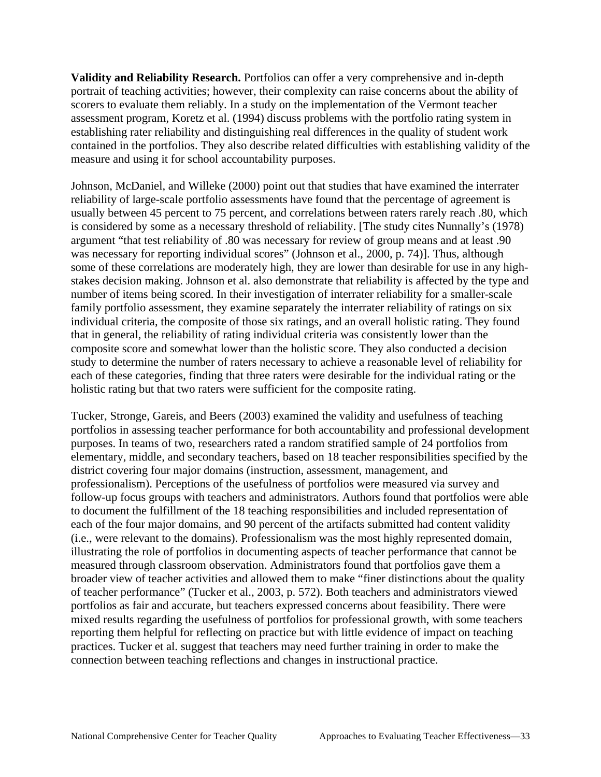measure and using it for school accountability purposes. **Validity and Reliability Research.** Portfolios can offer a very comprehensive and in-depth portrait of teaching activities; however, their complexity can raise concerns about the ability of scorers to evaluate them reliably. In a study on the implementation of the Vermont teacher assessment program, Koretz et al. (1994) discuss problems with the portfolio rating system in establishing rater reliability and distinguishing real differences in the quality of student work contained in the portfolios. They also describe related difficulties with establishing validity of the

 is considered by some as a necessary threshold of reliability. [The study cites Nunnally's (1978) stakes decision making. Johnson et al. also demonstrate that reliability is affected by the type and holistic rating but that two raters were sufficient for the composite rating. Johnson, McDaniel, and Willeke (2000) point out that studies that have examined the interrater reliability of large-scale portfolio assessments have found that the percentage of agreement is usually between 45 percent to 75 percent, and correlations between raters rarely reach .80, which argument "that test reliability of .80 was necessary for review of group means and at least .90 was necessary for reporting individual scores" (Johnson et al., 2000, p. 74)]. Thus, although some of these correlations are moderately high, they are lower than desirable for use in any highnumber of items being scored. In their investigation of interrater reliability for a smaller-scale family portfolio assessment, they examine separately the interrater reliability of ratings on six individual criteria, the composite of those six ratings, and an overall holistic rating. They found that in general, the reliability of rating individual criteria was consistently lower than the composite score and somewhat lower than the holistic score. They also conducted a decision study to determine the number of raters necessary to achieve a reasonable level of reliability for each of these categories, finding that three raters were desirable for the individual rating or the

connection between teaching reflections and changes in instructional practice. Tucker, Stronge, Gareis, and Beers (2003) examined the validity and usefulness of teaching. portfolios in assessing teacher performance for both accountability and professional development purposes. In teams of two, researchers rated a random stratified sample of 24 portfolios from elementary, middle, and secondary teachers, based on 18 teacher responsibilities specified by the district covering four major domains (instruction, assessment, management, and professionalism). Perceptions of the usefulness of portfolios were measured via survey and follow-up focus groups with teachers and administrators. Authors found that portfolios were able to document the fulfillment of the 18 teaching responsibilities and included representation of each of the four major domains, and 90 percent of the artifacts submitted had content validity (i.e., were relevant to the domains). Professionalism was the most highly represented domain, illustrating the role of portfolios in documenting aspects of teacher performance that cannot be measured through classroom observation. Administrators found that portfolios gave them a broader view of teacher activities and allowed them to make "finer distinctions about the quality of teacher performance" (Tucker et al., 2003, p. 572). Both teachers and administrators viewed portfolios as fair and accurate, but teachers expressed concerns about feasibility. There were mixed results regarding the usefulness of portfolios for professional growth, with some teachers reporting them helpful for reflecting on practice but with little evidence of impact on teaching practices. Tucker et al. suggest that teachers may need further training in order to make the connection between teaching reflections and changes in instructional practice.<br>National Comprehensive Center for Teacher Quality Approaches to Evaluating Teacher Effectiveness—33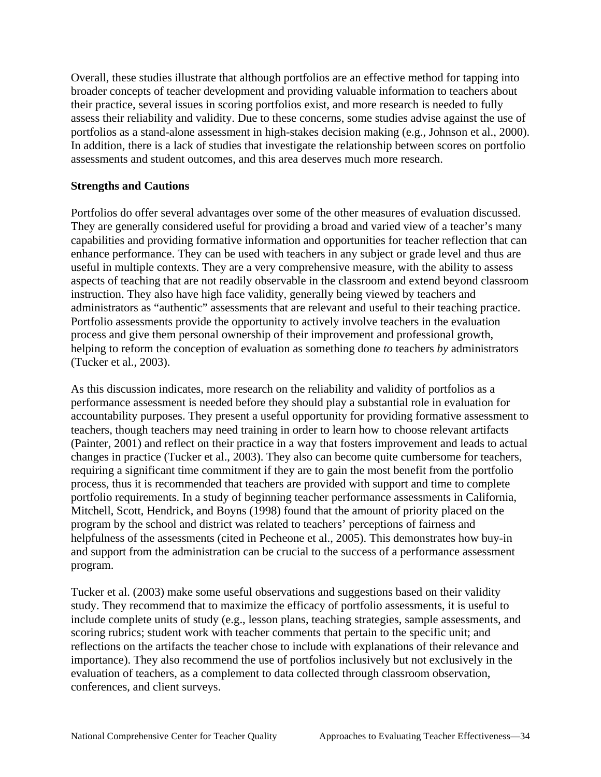Overall, these studies illustrate that although portfolios are an effective method for tapping into broader concepts of teacher development and providing valuable information to teachers about their practice, several issues in scoring portfolios exist, and more research is needed to fully assess their reliability and validity. Due to these concerns, some studies advise against the use of portfolios as a stand-alone assessment in high-stakes decision making (e.g., Johnson et al., 2000). In addition, there is a lack of studies that investigate the relationship between scores on portfolio assessments and student outcomes, and this area deserves much more research.

#### **Strengths and Cautions**

Portfolios do offer several advantages over some of the other measures of evaluation discussed. They are generally considered useful for providing a broad and varied view of a teacher's many capabilities and providing formative information and opportunities for teacher reflection that can enhance performance. They can be used with teachers in any subject or grade level and thus are useful in multiple contexts. They are a very comprehensive measure, with the ability to assess aspects of teaching that are not readily observable in the classroom and extend beyond classroom instruction. They also have high face validity, generally being viewed by teachers and administrators as "authentic" assessments that are relevant and useful to their teaching practice. Portfolio assessments provide the opportunity to actively involve teachers in the evaluation process and give them personal ownership of their improvement and professional growth, helping to reform the conception of evaluation as something done *to* teachers *by* administrators (Tucker et al., 2003).

As this discussion indicates, more research on the reliability and validity of portfolios as a performance assessment is needed before they should play a substantial role in evaluation for accountability purposes. They present a useful opportunity for providing formative assessment to teachers, though teachers may need training in order to learn how to choose relevant artifacts (Painter, 2001) and reflect on their practice in a way that fosters improvement and leads to actual changes in practice (Tucker et al., 2003). They also can become quite cumbersome for teachers, requiring a significant time commitment if they are to gain the most benefit from the portfolio process, thus it is recommended that teachers are provided with support and time to complete portfolio requirements. In a study of beginning teacher performance assessments in California, Mitchell, Scott, Hendrick, and Boyns (1998) found that the amount of priority placed on the program by the school and district was related to teachers' perceptions of fairness and helpfulness of the assessments (cited in Pecheone et al., 2005). This demonstrates how buy-in and support from the administration can be crucial to the success of a performance assessment program.

conferences, and client surveys. Tucker et al. (2003) make some useful observations and suggestions based on their validity study. They recommend that to maximize the efficacy of portfolio assessments, it is useful to include complete units of study (e.g., lesson plans, teaching strategies, sample assessments, and scoring rubrics; student work with teacher comments that pertain to the specific unit; and reflections on the artifacts the teacher chose to include with explanations of their relevance and importance). They also recommend the use of portfolios inclusively but not exclusively in the evaluation of teachers, as a complement to data collected through classroom observation, conferences, and client surveys.<br>National Comprehensive Center for Teacher Quality Approaches to Evaluating Teacher Effectiveness—34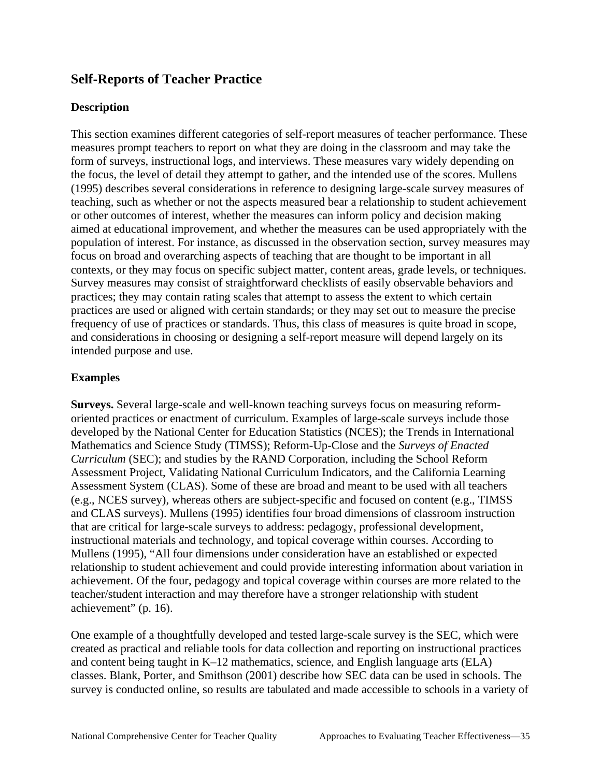# **Self-Reports of Teacher Practice**

## **Description**

This section examines different categories of self-report measures of teacher performance. These measures prompt teachers to report on what they are doing in the classroom and may take the form of surveys, instructional logs, and interviews. These measures vary widely depending on the focus, the level of detail they attempt to gather, and the intended use of the scores. Mullens (1995) describes several considerations in reference to designing large-scale survey measures of teaching, such as whether or not the aspects measured bear a relationship to student achievement or other outcomes of interest, whether the measures can inform policy and decision making aimed at educational improvement, and whether the measures can be used appropriately with the population of interest. For instance, as discussed in the observation section, survey measures may focus on broad and overarching aspects of teaching that are thought to be important in all contexts, or they may focus on specific subject matter, content areas, grade levels, or techniques. Survey measures may consist of straightforward checklists of easily observable behaviors and practices; they may contain rating scales that attempt to assess the extent to which certain practices are used or aligned with certain standards; or they may set out to measure the precise frequency of use of practices or standards. Thus, this class of measures is quite broad in scope, and considerations in choosing or designing a self-report measure will depend largely on its intended purpose and use.

## **Examples**

**Surveys.** Several large-scale and well-known teaching surveys focus on measuring reformoriented practices or enactment of curriculum. Examples of large-scale surveys include those developed by the National Center for Education Statistics (NCES); the Trends in International Mathematics and Science Study (TIMSS); Reform-Up-Close and the *Surveys of Enacted Curriculum* (SEC); and studies by the RAND Corporation, including the School Reform Assessment Project, Validating National Curriculum Indicators, and the California Learning Assessment System (CLAS). Some of these are broad and meant to be used with all teachers (e.g., NCES survey), whereas others are subject-specific and focused on content (e.g., TIMSS and CLAS surveys). Mullens (1995) identifies four broad dimensions of classroom instruction that are critical for large-scale surveys to address: pedagogy, professional development, instructional materials and technology, and topical coverage within courses. According to Mullens (1995), "All four dimensions under consideration have an established or expected relationship to student achievement and could provide interesting information about variation in achievement. Of the four, pedagogy and topical coverage within courses are more related to the teacher/student interaction and may therefore have a stronger relationship with student achievement" (p. 16).

One example of a thoughtfully developed and tested large-scale survey is the SEC, which were created as practical and reliable tools for data collection and reporting on instructional practices and content being taught in K–12 mathematics, science, and English language arts (ELA) classes. Blank, Porter, and Smithson (2001) describe how SEC data can be used in schools. The survey is conducted online, so results are tabulated and made accessible to schools in a variety of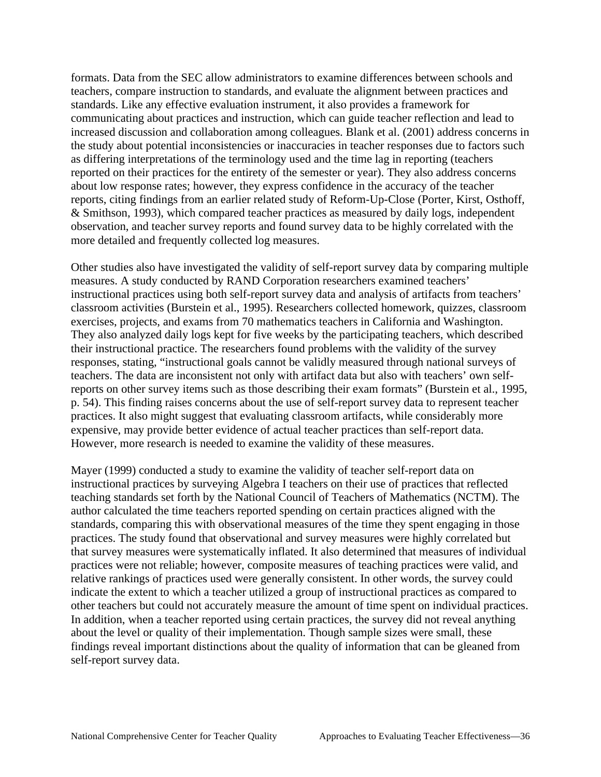formats. Data from the SEC allow administrators to examine differences between schools and teachers, compare instruction to standards, and evaluate the alignment between practices and standards. Like any effective evaluation instrument, it also provides a framework for communicating about practices and instruction, which can guide teacher reflection and lead to increased discussion and collaboration among colleagues. Blank et al. (2001) address concerns in the study about potential inconsistencies or inaccuracies in teacher responses due to factors such as differing interpretations of the terminology used and the time lag in reporting (teachers reported on their practices for the entirety of the semester or year). They also address concerns about low response rates; however, they express confidence in the accuracy of the teacher reports, citing findings from an earlier related study of Reform-Up-Close (Porter, Kirst, Osthoff, & Smithson, 1993), which compared teacher practices as measured by daily logs, independent observation, and teacher survey reports and found survey data to be highly correlated with the more detailed and frequently collected log measures.

However, more research is needed to examine the validity of these measures. Other studies also have investigated the validity of self-report survey data by comparing multiple measures. A study conducted by RAND Corporation researchers examined teachers' instructional practices using both self-report survey data and analysis of artifacts from teachers' classroom activities (Burstein et al., 1995). Researchers collected homework, quizzes, classroom exercises, projects, and exams from 70 mathematics teachers in California and Washington. They also analyzed daily logs kept for five weeks by the participating teachers, which described their instructional practice. The researchers found problems with the validity of the survey responses, stating, "instructional goals cannot be validly measured through national surveys of teachers. The data are inconsistent not only with artifact data but also with teachers' own selfreports on other survey items such as those describing their exam formats" (Burstein et al., 1995, p. 54). This finding raises concerns about the use of self-report survey data to represent teacher practices. It also might suggest that evaluating classroom artifacts, while considerably more expensive, may provide better evidence of actual teacher practices than self-report data.

self-report survey data. Mayer (1999) conducted a study to examine the validity of teacher self-report data on instructional practices by surveying Algebra I teachers on their use of practices that reflected teaching standards set forth by the National Council of Teachers of Mathematics (NCTM). The author calculated the time teachers reported spending on certain practices aligned with the standards, comparing this with observational measures of the time they spent engaging in those practices. The study found that observational and survey measures were highly correlated but that survey measures were systematically inflated. It also determined that measures of individual practices were not reliable; however, composite measures of teaching practices were valid, and relative rankings of practices used were generally consistent. In other words, the survey could indicate the extent to which a teacher utilized a group of instructional practices as compared to other teachers but could not accurately measure the amount of time spent on individual practices. In addition, when a teacher reported using certain practices, the survey did not reveal anything about the level or quality of their implementation. Though sample sizes were small, these findings reveal important distinctions about the quality of information that can be gleaned from self-report survey data.<br>National Comprehensive Center for Teacher Quality Approaches to Evaluating Teacher Effectiveness—36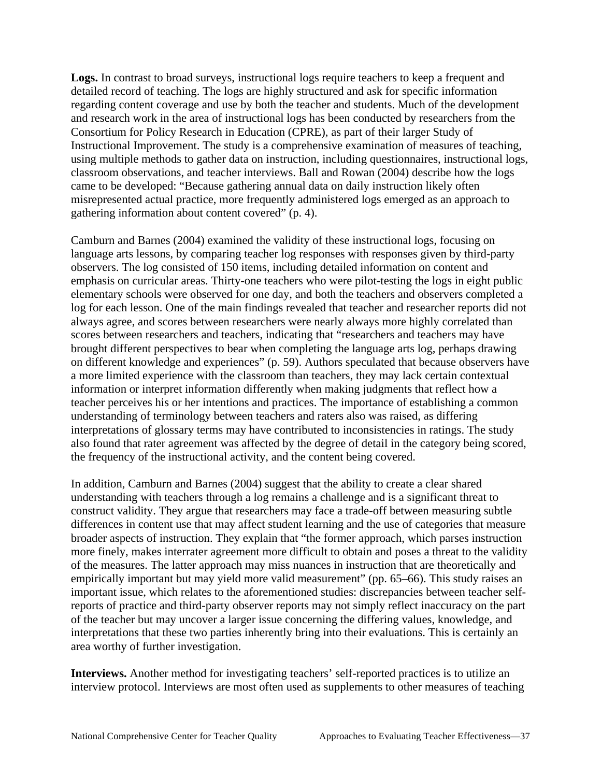**Logs.** In contrast to broad surveys, instructional logs require teachers to keep a frequent and detailed record of teaching. The logs are highly structured and ask for specific information regarding content coverage and use by both the teacher and students. Much of the development and research work in the area of instructional logs has been conducted by researchers from the Consortium for Policy Research in Education (CPRE), as part of their larger Study of Instructional Improvement. The study is a comprehensive examination of measures of teaching, using multiple methods to gather data on instruction, including questionnaires, instructional logs, classroom observations, and teacher interviews. Ball and Rowan (2004) describe how the logs came to be developed: "Because gathering annual data on daily instruction likely often misrepresented actual practice, more frequently administered logs emerged as an approach to gathering information about content covered" (p. 4).

the frequency of the instructional activity, and the content being covered. Camburn and Barnes (2004) examined the validity of these instructional logs, focusing on language arts lessons, by comparing teacher log responses with responses given by third-party observers. The log consisted of 150 items, including detailed information on content and emphasis on curricular areas. Thirty-one teachers who were pilot-testing the logs in eight public elementary schools were observed for one day, and both the teachers and observers completed a log for each lesson. One of the main findings revealed that teacher and researcher reports did not always agree, and scores between researchers were nearly always more highly correlated than scores between researchers and teachers, indicating that "researchers and teachers may have brought different perspectives to bear when completing the language arts log, perhaps drawing on different knowledge and experiences" (p. 59). Authors speculated that because observers have a more limited experience with the classroom than teachers, they may lack certain contextual information or interpret information differently when making judgments that reflect how a teacher perceives his or her intentions and practices. The importance of establishing a common understanding of terminology between teachers and raters also was raised, as differing interpretations of glossary terms may have contributed to inconsistencies in ratings. The study also found that rater agreement was affected by the degree of detail in the category being scored,

In addition, Camburn and Barnes (2004) suggest that the ability to create a clear shared. understanding with teachers through a log remains a challenge and is a significant threat to construct validity. They argue that researchers may face a trade-off between measuring subtle differences in content use that may affect student learning and the use of categories that measure broader aspects of instruction. They explain that "the former approach, which parses instruction more finely, makes interrater agreement more difficult to obtain and poses a threat to the validity of the measures. The latter approach may miss nuances in instruction that are theoretically and empirically important but may yield more valid measurement" (pp. 65–66). This study raises an important issue, which relates to the aforementioned studies: discrepancies between teacher selfreports of practice and third-party observer reports may not simply reflect inaccuracy on the part of the teacher but may uncover a larger issue concerning the differing values, knowledge, and interpretations that these two parties inherently bring into their evaluations. This is certainly an area worthy of further investigation.

**Interviews.** Another method for investigating teachers' self-reported practices is to utilize an interview protocol. Interviews are most often used as supplements to other measures of teaching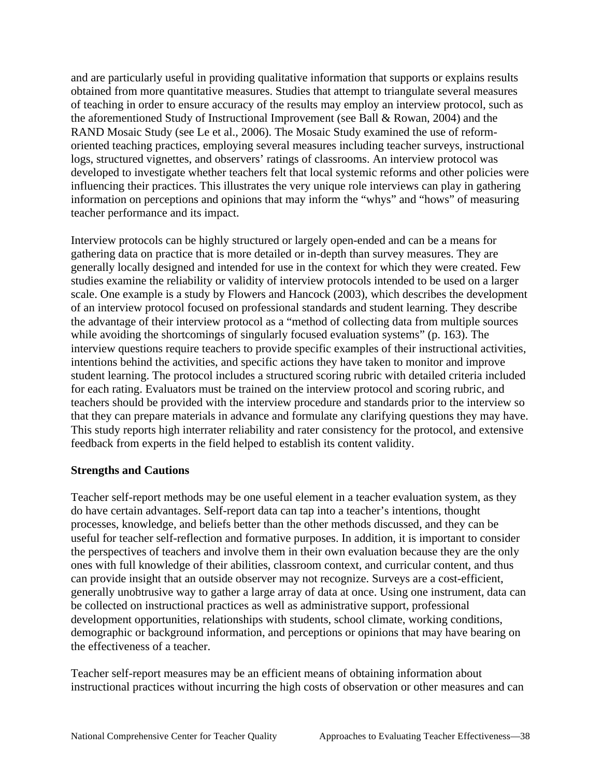and are particularly useful in providing qualitative information that supports or explains results obtained from more quantitative measures. Studies that attempt to triangulate several measures of teaching in order to ensure accuracy of the results may employ an interview protocol, such as the aforementioned Study of Instructional Improvement (see Ball & Rowan, 2004) and the RAND Mosaic Study (see Le et al., 2006). The Mosaic Study examined the use of reformoriented teaching practices, employing several measures including teacher surveys, instructional logs, structured vignettes, and observers' ratings of classrooms. An interview protocol was developed to investigate whether teachers felt that local systemic reforms and other policies were influencing their practices. This illustrates the very unique role interviews can play in gathering information on perceptions and opinions that may inform the "whys" and "hows" of measuring teacher performance and its impact.

Interview protocols can be highly structured or largely open-ended and can be a means for gathering data on practice that is more detailed or in-depth than survey measures. They are generally locally designed and intended for use in the context for which they were created. Few studies examine the reliability or validity of interview protocols intended to be used on a larger scale. One example is a study by Flowers and Hancock (2003), which describes the development of an interview protocol focused on professional standards and student learning. They describe the advantage of their interview protocol as a "method of collecting data from multiple sources while avoiding the shortcomings of singularly focused evaluation systems" (p. 163). The interview questions require teachers to provide specific examples of their instructional activities, intentions behind the activities, and specific actions they have taken to monitor and improve student learning. The protocol includes a structured scoring rubric with detailed criteria included for each rating. Evaluators must be trained on the interview protocol and scoring rubric, and teachers should be provided with the interview procedure and standards prior to the interview so that they can prepare materials in advance and formulate any clarifying questions they may have. This study reports high interrater reliability and rater consistency for the protocol, and extensive feedback from experts in the field helped to establish its content validity.

#### **Strengths and Cautions**

the effectiveness of a teacher. Teacher self-report methods may be one useful element in a teacher evaluation system, as they do have certain advantages. Self-report data can tap into a teacher's intentions, thought processes, knowledge, and beliefs better than the other methods discussed, and they can be useful for teacher self-reflection and formative purposes. In addition, it is important to consider the perspectives of teachers and involve them in their own evaluation because they are the only ones with full knowledge of their abilities, classroom context, and curricular content, and thus can provide insight that an outside observer may not recognize. Surveys are a cost-efficient, generally unobtrusive way to gather a large array of data at once. Using one instrument, data can be collected on instructional practices as well as administrative support, professional development opportunities, relationships with students, school climate, working conditions, demographic or background information, and perceptions or opinions that may have bearing on

Teacher self-report measures may be an efficient means of obtaining information about instructional practices without incurring the high costs of observation or other measures and can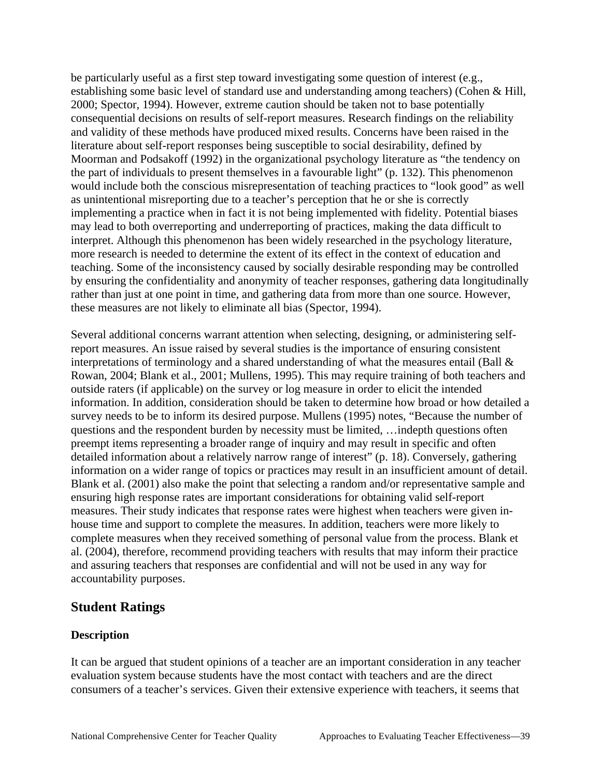these measures are not likely to eliminate all bias (Spector, 1994). be particularly useful as a first step toward investigating some question of interest (e.g., establishing some basic level of standard use and understanding among teachers) (Cohen & Hill, 2000; Spector, 1994). However, extreme caution should be taken not to base potentially consequential decisions on results of self-report measures. Research findings on the reliability and validity of these methods have produced mixed results. Concerns have been raised in the literature about self-report responses being susceptible to social desirability, defined by Moorman and Podsakoff (1992) in the organizational psychology literature as "the tendency on the part of individuals to present themselves in a favourable light" (p. 132). This phenomenon would include both the conscious misrepresentation of teaching practices to "look good" as well as unintentional misreporting due to a teacher's perception that he or she is correctly implementing a practice when in fact it is not being implemented with fidelity. Potential biases may lead to both overreporting and underreporting of practices, making the data difficult to interpret. Although this phenomenon has been widely researched in the psychology literature, more research is needed to determine the extent of its effect in the context of education and teaching. Some of the inconsistency caused by socially desirable responding may be controlled by ensuring the confidentiality and anonymity of teacher responses, gathering data longitudinally rather than just at one point in time, and gathering data from more than one source. However,

Several additional concerns warrant attention when selecting, designing, or administering selfreport measures. An issue raised by several studies is the importance of ensuring consistent interpretations of terminology and a shared understanding of what the measures entail (Ball  $\&$ Rowan, 2004; Blank et al., 2001; Mullens, 1995). This may require training of both teachers and outside raters (if applicable) on the survey or log measure in order to elicit the intended information. In addition, consideration should be taken to determine how broad or how detailed a survey needs to be to inform its desired purpose. Mullens (1995) notes, "Because the number of questions and the respondent burden by necessity must be limited, …indepth questions often preempt items representing a broader range of inquiry and may result in specific and often detailed information about a relatively narrow range of interest" (p. 18). Conversely, gathering information on a wider range of topics or practices may result in an insufficient amount of detail. Blank et al. (2001) also make the point that selecting a random and/or representative sample and ensuring high response rates are important considerations for obtaining valid self-report measures. Their study indicates that response rates were highest when teachers were given inhouse time and support to complete the measures. In addition, teachers were more likely to complete measures when they received something of personal value from the process. Blank et al. (2004), therefore, recommend providing teachers with results that may inform their practice and assuring teachers that responses are confidential and will not be used in any way for accountability purposes.

## **Student Ratings**

## **Description**

It can be argued that student opinions of a teacher are an important consideration in any teacher evaluation system because students have the most contact with teachers and are the direct consumers of a teacher's services. Given their extensive experience with teachers, it seems that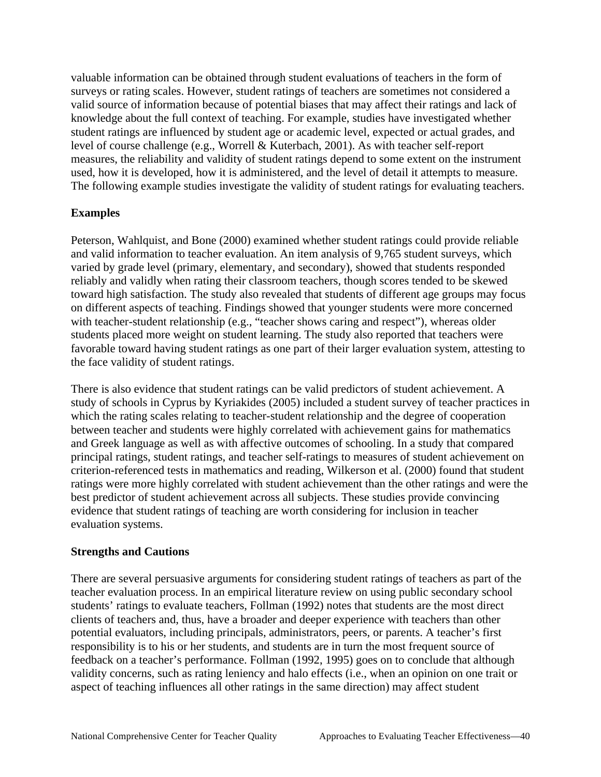valuable information can be obtained through student evaluations of teachers in the form of surveys or rating scales. However, student ratings of teachers are sometimes not considered a valid source of information because of potential biases that may affect their ratings and lack of knowledge about the full context of teaching. For example, studies have investigated whether student ratings are influenced by student age or academic level, expected or actual grades, and level of course challenge (e.g., Worrell & Kuterbach, 2001). As with teacher self-report measures, the reliability and validity of student ratings depend to some extent on the instrument used, how it is developed, how it is administered, and the level of detail it attempts to measure. The following example studies investigate the validity of student ratings for evaluating teachers.

## **Examples**

the face validity of student ratings. Peterson, Wahlquist, and Bone (2000) examined whether student ratings could provide reliable and valid information to teacher evaluation. An item analysis of 9,765 student surveys, which varied by grade level (primary, elementary, and secondary), showed that students responded reliably and validly when rating their classroom teachers, though scores tended to be skewed toward high satisfaction. The study also revealed that students of different age groups may focus on different aspects of teaching. Findings showed that younger students were more concerned with teacher-student relationship (e.g., "teacher shows caring and respect"), whereas older students placed more weight on student learning. The study also reported that teachers were favorable toward having student ratings as one part of their larger evaluation system, attesting to

There is also evidence that student ratings can be valid predictors of student achievement. A study of schools in Cyprus by Kyriakides (2005) included a student survey of teacher practices in which the rating scales relating to teacher-student relationship and the degree of cooperation between teacher and students were highly correlated with achievement gains for mathematics and Greek language as well as with affective outcomes of schooling. In a study that compared principal ratings, student ratings, and teacher self-ratings to measures of student achievement on criterion-referenced tests in mathematics and reading, Wilkerson et al. (2000) found that student ratings were more highly correlated with student achievement than the other ratings and were the best predictor of student achievement across all subjects. These studies provide convincing evidence that student ratings of teaching are worth considering for inclusion in teacher evaluation systems.

## **Strengths and Cautions**

There are several persuasive arguments for considering student ratings of teachers as part of the teacher evaluation process. In an empirical literature review on using public secondary school students' ratings to evaluate teachers, Follman (1992) notes that students are the most direct clients of teachers and, thus, have a broader and deeper experience with teachers than other potential evaluators, including principals, administrators, peers, or parents. A teacher's first responsibility is to his or her students, and students are in turn the most frequent source of feedback on a teacher's performance. Follman (1992, 1995) goes on to conclude that although validity concerns, such as rating leniency and halo effects (i.e., when an opinion on one trait or aspect of teaching influences all other ratings in the same direction) may affect student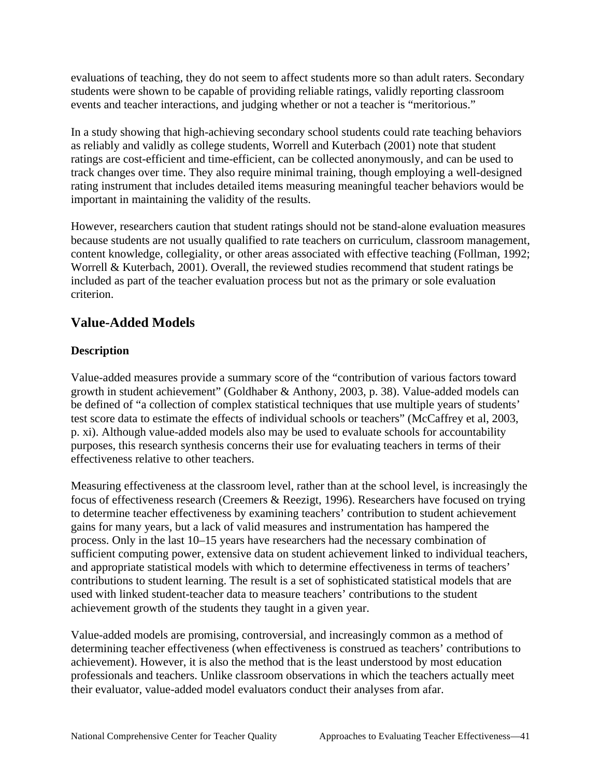events and teacher interactions, and judging whether or not a teacher is "meritorious." evaluations of teaching, they do not seem to affect students more so than adult raters. Secondary students were shown to be capable of providing reliable ratings, validly reporting classroom

important in maintaining the validity of the results. In a study showing that high-achieving secondary school students could rate teaching behaviors. as reliably and validly as college students, Worrell and Kuterbach (2001) note that student ratings are cost-efficient and time-efficient, can be collected anonymously, and can be used to track changes over time. They also require minimal training, though employing a well-designed rating instrument that includes detailed items measuring meaningful teacher behaviors would be

However, researchers caution that student ratings should not be stand-alone evaluation measures because students are not usually qualified to rate teachers on curriculum, classroom management, content knowledge, collegiality, or other areas associated with effective teaching (Follman, 1992; Worrell & Kuterbach, 2001). Overall, the reviewed studies recommend that student ratings be included as part of the teacher evaluation process but not as the primary or sole evaluation criterion.

# **Value-Added Models**

## **Description**

Value-added measures provide a summary score of the "contribution of various factors toward growth in student achievement" (Goldhaber & Anthony, 2003, p. 38). Value-added models can be defined of "a collection of complex statistical techniques that use multiple years of students' test score data to estimate the effects of individual schools or teachers" (McCaffrey et al, 2003, p. xi). Although value-added models also may be used to evaluate schools for accountability purposes, this research synthesis concerns their use for evaluating teachers in terms of their effectiveness relative to other teachers.

achievement growth of the students they taught in a given year. Measuring effectiveness at the classroom level, rather than at the school level, is increasingly the focus of effectiveness research (Creemers & Reezigt, 1996). Researchers have focused on trying to determine teacher effectiveness by examining teachers' contribution to student achievement gains for many years, but a lack of valid measures and instrumentation has hampered the process. Only in the last 10–15 years have researchers had the necessary combination of sufficient computing power, extensive data on student achievement linked to individual teachers, and appropriate statistical models with which to determine effectiveness in terms of teachers' contributions to student learning. The result is a set of sophisticated statistical models that are used with linked student-teacher data to measure teachers' contributions to the student

Value-added models are promising, controversial, and increasingly common as a method of determining teacher effectiveness (when effectiveness is construed as teachers' contributions to achievement). However, it is also the method that is the least understood by most education professionals and teachers. Unlike classroom observations in which the teachers actually meet their evaluator, value-added model evaluators conduct their analyses from afar.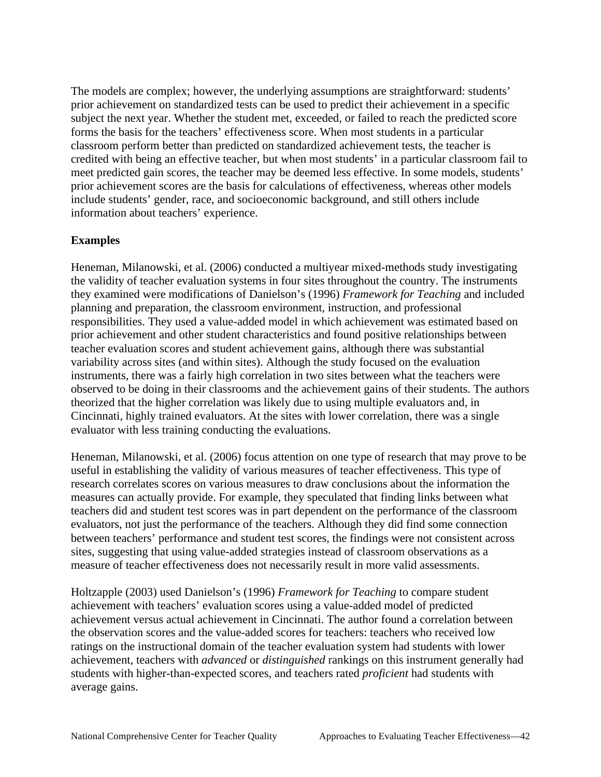The models are complex; however, the underlying assumptions are straightforward: students' prior achievement on standardized tests can be used to predict their achievement in a specific subject the next year. Whether the student met, exceeded, or failed to reach the predicted score forms the basis for the teachers' effectiveness score. When most students in a particular classroom perform better than predicted on standardized achievement tests, the teacher is credited with being an effective teacher, but when most students' in a particular classroom fail to meet predicted gain scores, the teacher may be deemed less effective. In some models, students' prior achievement scores are the basis for calculations of effectiveness, whereas other models include students' gender, race, and socioeconomic background, and still others include information about teachers' experience.

## **Examples**

Heneman, Milanowski, et al. (2006) conducted a multiyear mixed-methods study investigating the validity of teacher evaluation systems in four sites throughout the country. The instruments they examined were modifications of Danielson's (1996) *Framework for Teaching* and included planning and preparation, the classroom environment, instruction, and professional responsibilities. They used a value-added model in which achievement was estimated based on prior achievement and other student characteristics and found positive relationships between teacher evaluation scores and student achievement gains, although there was substantial variability across sites (and within sites). Although the study focused on the evaluation instruments, there was a fairly high correlation in two sites between what the teachers were observed to be doing in their classrooms and the achievement gains of their students. The authors theorized that the higher correlation was likely due to using multiple evaluators and, in Cincinnati, highly trained evaluators. At the sites with lower correlation, there was a single evaluator with less training conducting the evaluations.

Heneman, Milanowski, et al. (2006) focus attention on one type of research that may prove to be useful in establishing the validity of various measures of teacher effectiveness. This type of research correlates scores on various measures to draw conclusions about the information the measures can actually provide. For example, they speculated that finding links between what teachers did and student test scores was in part dependent on the performance of the classroom evaluators, not just the performance of the teachers. Although they did find some connection between teachers' performance and student test scores, the findings were not consistent across sites, suggesting that using value-added strategies instead of classroom observations as a measure of teacher effectiveness does not necessarily result in more valid assessments.

Holtzapple (2003) used Danielson's (1996) *Framework for Teaching* to compare student achievement with teachers' evaluation scores using a value-added model of predicted achievement versus actual achievement in Cincinnati. The author found a correlation between the observation scores and the value-added scores for teachers: teachers who received low ratings on the instructional domain of the teacher evaluation system had students with lower achievement, teachers with *advanced* or *distinguished* rankings on this instrument generally had students with higher-than-expected scores, and teachers rated *proficient* had students with average gains.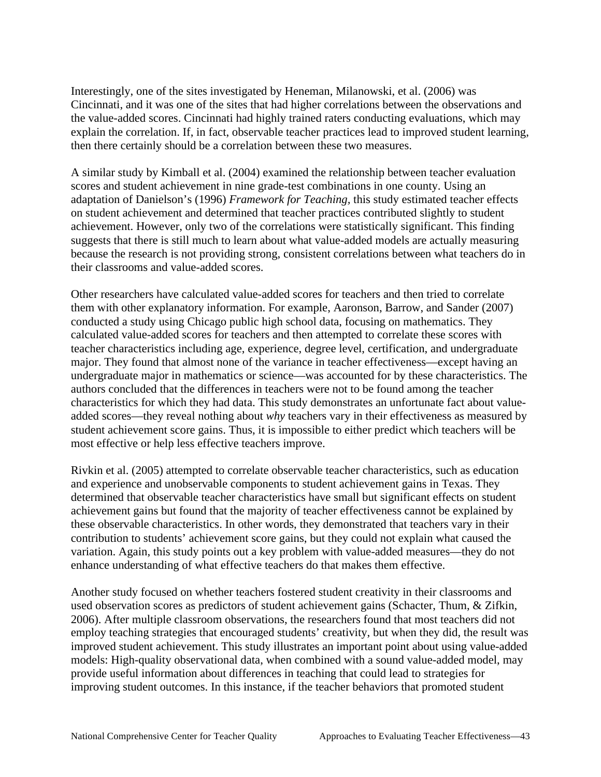Interestingly, one of the sites investigated by Heneman, Milanowski, et al. (2006) was Cincinnati, and it was one of the sites that had higher correlations between the observations and the value-added scores. Cincinnati had highly trained raters conducting evaluations, which may explain the correlation. If, in fact, observable teacher practices lead to improved student learning, then there certainly should be a correlation between these two measures.

A similar study by Kimball et al. (2004) examined the relationship between teacher evaluation scores and student achievement in nine grade-test combinations in one county. Using an adaptation of Danielson's (1996) *Framework for Teaching,* this study estimated teacher effects on student achievement and determined that teacher practices contributed slightly to student achievement. However, only two of the correlations were statistically significant. This finding suggests that there is still much to learn about what value-added models are actually measuring because the research is not providing strong, consistent correlations between what teachers do in their classrooms and value-added scores.

Other researchers have calculated value-added scores for teachers and then tried to correlate them with other explanatory information. For example, Aaronson, Barrow, and Sander (2007) conducted a study using Chicago public high school data, focusing on mathematics. They calculated value-added scores for teachers and then attempted to correlate these scores with teacher characteristics including age, experience, degree level, certification, and undergraduate major. They found that almost none of the variance in teacher effectiveness—except having an undergraduate major in mathematics or science—was accounted for by these characteristics. The authors concluded that the differences in teachers were not to be found among the teacher characteristics for which they had data. This study demonstrates an unfortunate fact about valueadded scores—they reveal nothing about *why* teachers vary in their effectiveness as measured by student achievement score gains. Thus, it is impossible to either predict which teachers will be most effective or help less effective teachers improve.

Rivkin et al. (2005) attempted to correlate observable teacher characteristics, such as education and experience and unobservable components to student achievement gains in Texas. They determined that observable teacher characteristics have small but significant effects on student achievement gains but found that the majority of teacher effectiveness cannot be explained by these observable characteristics. In other words, they demonstrated that teachers vary in their contribution to students' achievement score gains, but they could not explain what caused the variation. Again, this study points out a key problem with value-added measures—they do not enhance understanding of what effective teachers do that makes them effective.

Another study focused on whether teachers fostered student creativity in their classrooms and used observation scores as predictors of student achievement gains (Schacter, Thum, & Zifkin, 2006). After multiple classroom observations, the researchers found that most teachers did not employ teaching strategies that encouraged students' creativity, but when they did, the result was improved student achievement. This study illustrates an important point about using value-added models: High-quality observational data, when combined with a sound value-added model, may provide useful information about differences in teaching that could lead to strategies for improving student outcomes. In this instance, if the teacher behaviors that promoted student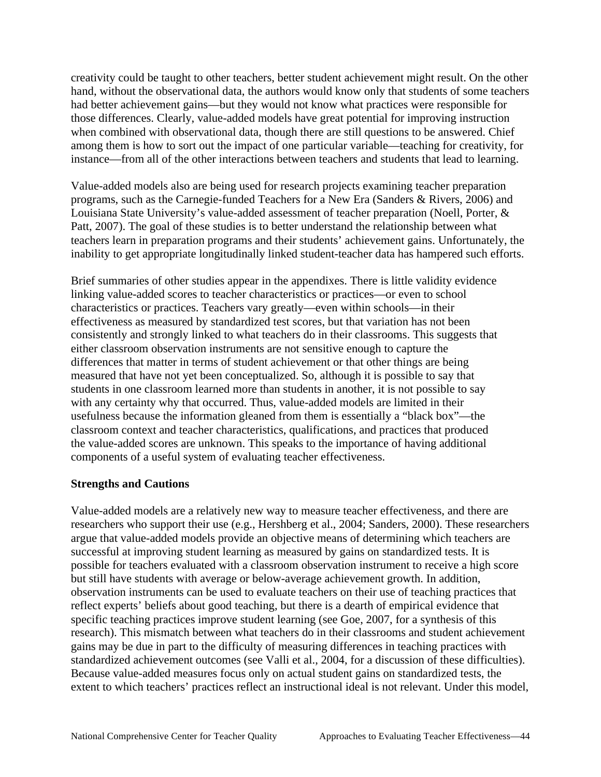instance—from all of the other interactions between teachers and students that lead to learning. creativity could be taught to other teachers, better student achievement might result. On the other hand, without the observational data, the authors would know only that students of some teachers had better achievement gains—but they would not know what practices were responsible for those differences. Clearly, value-added models have great potential for improving instruction when combined with observational data, though there are still questions to be answered. Chief among them is how to sort out the impact of one particular variable—teaching for creativity, for

Value-added models also are being used for research projects examining teacher preparation programs, such as the Carnegie-funded Teachers for a New Era (Sanders & Rivers, 2006) and Louisiana State University's value-added assessment of teacher preparation (Noell, Porter, & Patt, 2007). The goal of these studies is to better understand the relationship between what teachers learn in preparation programs and their students' achievement gains. Unfortunately, the inability to get appropriate longitudinally linked student-teacher data has hampered such efforts.

Brief summaries of other studies appear in the appendixes. There is little validity evidence linking value-added scores to teacher characteristics or practices—or even to school characteristics or practices. Teachers vary greatly—even within schools—in their effectiveness as measured by standardized test scores, but that variation has not been consistently and strongly linked to what teachers do in their classrooms. This suggests that either classroom observation instruments are not sensitive enough to capture the differences that matter in terms of student achievement or that other things are being measured that have not yet been conceptualized. So, although it is possible to say that students in one classroom learned more than students in another, it is not possible to say with any certainty why that occurred. Thus, value-added models are limited in their usefulness because the information gleaned from them is essentially a "black box"—the classroom context and teacher characteristics, qualifications, and practices that produced the value-added scores are unknown. This speaks to the importance of having additional components of a useful system of evaluating teacher effectiveness.

#### **Strengths and Cautions**

Value-added models are a relatively new way to measure teacher effectiveness, and there are researchers who support their use (e.g., Hershberg et al., 2004; Sanders, 2000). These researchers argue that value-added models provide an objective means of determining which teachers are successful at improving student learning as measured by gains on standardized tests. It is possible for teachers evaluated with a classroom observation instrument to receive a high score but still have students with average or below-average achievement growth. In addition, observation instruments can be used to evaluate teachers on their use of teaching practices that reflect experts' beliefs about good teaching, but there is a dearth of empirical evidence that specific teaching practices improve student learning (see Goe, 2007, for a synthesis of this research). This mismatch between what teachers do in their classrooms and student achievement gains may be due in part to the difficulty of measuring differences in teaching practices with standardized achievement outcomes (see Valli et al., 2004, for a discussion of these difficulties). Because value-added measures focus only on actual student gains on standardized tests, the extent to which teachers' practices reflect an instructional ideal is not relevant. Under this model,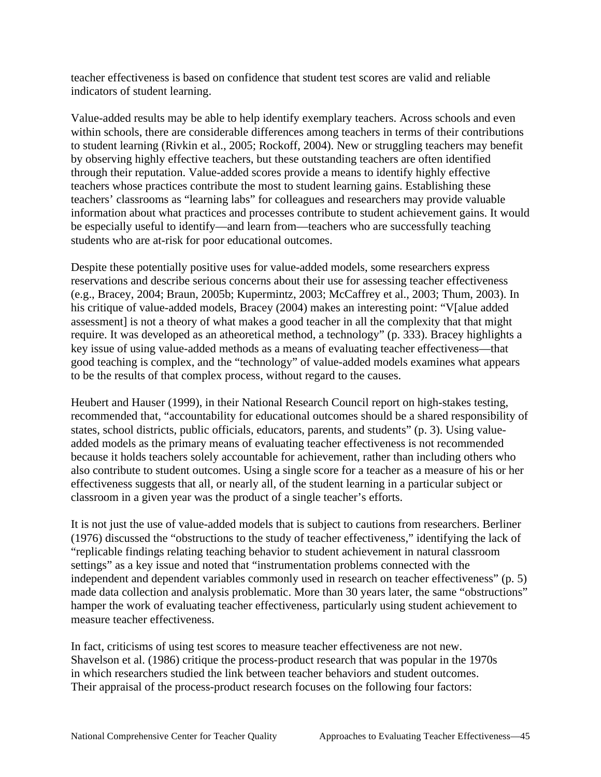teacher effectiveness is based on confidence that student test scores are valid and reliable indicators of student learning.

students who are at-risk for poor educational outcomes. Value-added results may be able to help identify exemplary teachers. Across schools and even within schools, there are considerable differences among teachers in terms of their contributions to student learning (Rivkin et al., 2005; Rockoff, 2004). New or struggling teachers may benefit by observing highly effective teachers, but these outstanding teachers are often identified through their reputation. Value-added scores provide a means to identify highly effective teachers whose practices contribute the most to student learning gains. Establishing these teachers' classrooms as "learning labs" for colleagues and researchers may provide valuable information about what practices and processes contribute to student achievement gains. It would be especially useful to identify—and learn from—teachers who are successfully teaching

Despite these potentially positive uses for value-added models, some researchers express reservations and describe serious concerns about their use for assessing teacher effectiveness (e.g., Bracey, 2004; Braun, 2005b; Kupermintz, 2003; McCaffrey et al., 2003; Thum, 2003). In his critique of value-added models, Bracey (2004) makes an interesting point: "V[alue added assessment] is not a theory of what makes a good teacher in all the complexity that that might require. It was developed as an atheoretical method, a technology" (p. 333). Bracey highlights a key issue of using value-added methods as a means of evaluating teacher effectiveness—that good teaching is complex, and the "technology" of value-added models examines what appears to be the results of that complex process, without regard to the causes.

classroom in a given year was the product of a single teacher's efforts. Heubert and Hauser (1999), in their National Research Council report on high-stakes testing, recommended that, "accountability for educational outcomes should be a shared responsibility of states, school districts, public officials, educators, parents, and students" (p. 3). Using valueadded models as the primary means of evaluating teacher effectiveness is not recommended because it holds teachers solely accountable for achievement, rather than including others who also contribute to student outcomes. Using a single score for a teacher as a measure of his or her effectiveness suggests that all, or nearly all, of the student learning in a particular subject or

measure teacher effectiveness. It is not just the use of value-added models that is subject to cautions from researchers. Berliner (1976) discussed the "obstructions to the study of teacher effectiveness," identifying the lack of "replicable findings relating teaching behavior to student achievement in natural classroom settings" as a key issue and noted that "instrumentation problems connected with the independent and dependent variables commonly used in research on teacher effectiveness" (p. 5) made data collection and analysis problematic. More than 30 years later, the same "obstructions" hamper the work of evaluating teacher effectiveness, particularly using student achievement to

Their appraisal of the process-product research focuses on the following four factors:<br>National Comprehensive Center for Teacher Quality Approaches to Evaluating Teacher Effectiveness—45 In fact, criticisms of using test scores to measure teacher effectiveness are not new. Shavelson et al. (1986) critique the process-product research that was popular in the 1970s in which researchers studied the link between teacher behaviors and student outcomes.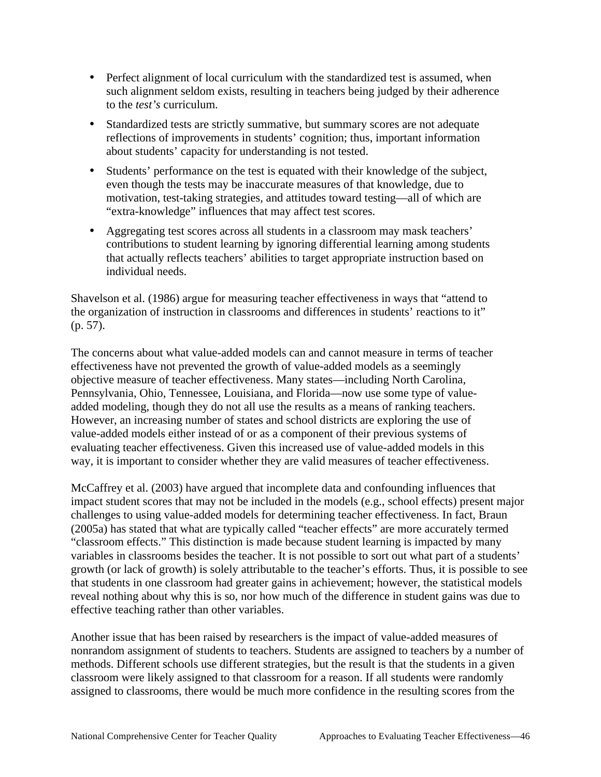- to the *test's* curriculum. • Perfect alignment of local curriculum with the standardized test is assumed, when such alignment seldom exists, resulting in teachers being judged by their adherence
- about students' capacity for understanding is not tested. • Standardized tests are strictly summative, but summary scores are not adequate reflections of improvements in students' cognition; thus, important information
- "extra-knowledge" influences that may affect test scores. • Students' performance on the test is equated with their knowledge of the subject, even though the tests may be inaccurate measures of that knowledge, due to motivation, test-taking strategies, and attitudes toward testing—all of which are
- individual needs. • Aggregating test scores across all students in a classroom may mask teachers' contributions to student learning by ignoring differential learning among students that actually reflects teachers' abilities to target appropriate instruction based on

Shavelson et al. (1986) argue for measuring teacher effectiveness in ways that "attend to the organization of instruction in classrooms and differences in students' reactions to it" (p. 57).

The concerns about what value-added models can and cannot measure in terms of teacher effectiveness have not prevented the growth of value-added models as a seemingly objective measure of teacher effectiveness. Many states—including North Carolina, Pennsylvania, Ohio, Tennessee, Louisiana, and Florida—now use some type of valueadded modeling, though they do not all use the results as a means of ranking teachers. However, an increasing number of states and school districts are exploring the use of value-added models either instead of or as a component of their previous systems of evaluating teacher effectiveness. Given this increased use of value-added models in this way, it is important to consider whether they are valid measures of teacher effectiveness.

effective teaching rather than other variables. McCaffrey et al. (2003) have argued that incomplete data and confounding influences that impact student scores that may not be included in the models (e.g., school effects) present major challenges to using value-added models for determining teacher effectiveness. In fact, Braun (2005a) has stated that what are typically called "teacher effects" are more accurately termed "classroom effects." This distinction is made because student learning is impacted by many variables in classrooms besides the teacher. It is not possible to sort out what part of a students' growth (or lack of growth) is solely attributable to the teacher's efforts. Thus, it is possible to see that students in one classroom had greater gains in achievement; however, the statistical models reveal nothing about why this is so, nor how much of the difference in student gains was due to

Another issue that has been raised by researchers is the impact of value-added measures of nonrandom assignment of students to teachers. Students are assigned to teachers by a number of methods. Different schools use different strategies, but the result is that the students in a given classroom were likely assigned to that classroom for a reason. If all students were randomly assigned to classrooms, there would be much more confidence in the resulting scores from the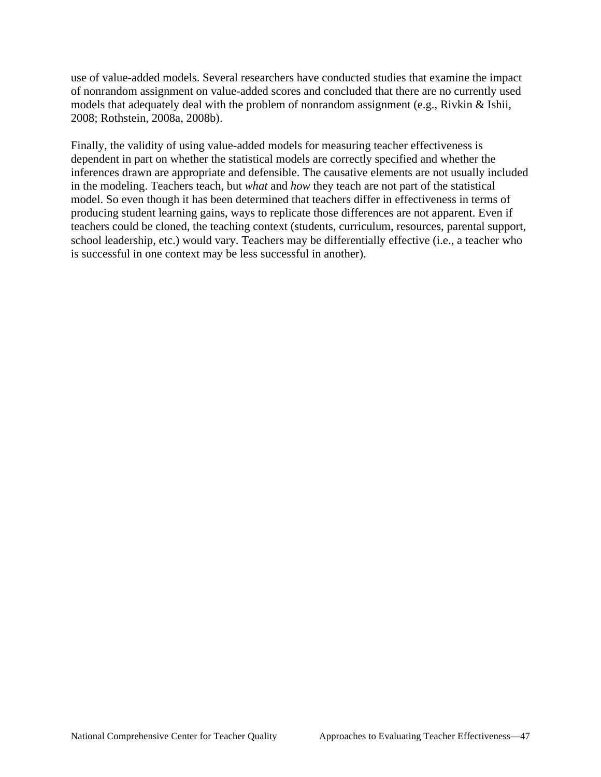use of value-added models. Several researchers have conducted studies that examine the impact of nonrandom assignment on value-added scores and concluded that there are no currently used models that adequately deal with the problem of nonrandom assignment (e.g., Rivkin & Ishii, 2008; Rothstein, 2008a, 2008b).

is successful in one context may be less successful in another). Finally, the validity of using value-added models for measuring teacher effectiveness is dependent in part on whether the statistical models are correctly specified and whether the inferences drawn are appropriate and defensible. The causative elements are not usually included in the modeling. Teachers teach, but *what* and *how* they teach are not part of the statistical model. So even though it has been determined that teachers differ in effectiveness in terms of producing student learning gains, ways to replicate those differences are not apparent. Even if teachers could be cloned, the teaching context (students, curriculum, resources, parental support, school leadership, etc.) would vary. Teachers may be differentially effective (i.e., a teacher who is successful in one context may be less successful in another).<br>National Comprehensive Center for Teacher Quality Approaches to Evaluating Teacher Effectiveness—47<br>National Comprehensive Center for Teacher Quality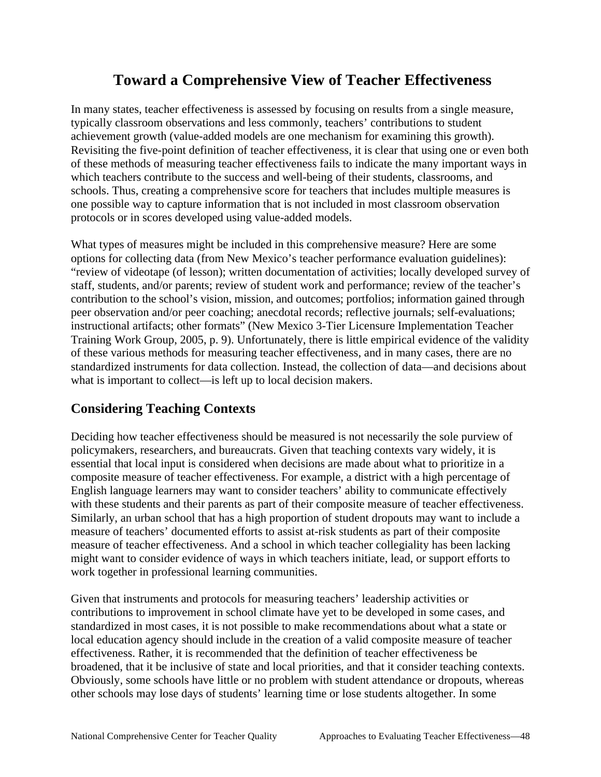# **Toward a Comprehensive View of Teacher Effectiveness**

protocols or in scores developed using value-added models. In many states, teacher effectiveness is assessed by focusing on results from a single measure, typically classroom observations and less commonly, teachers' contributions to student achievement growth (value-added models are one mechanism for examining this growth). Revisiting the five-point definition of teacher effectiveness, it is clear that using one or even both of these methods of measuring teacher effectiveness fails to indicate the many important ways in which teachers contribute to the success and well-being of their students, classrooms, and schools. Thus, creating a comprehensive score for teachers that includes multiple measures is one possible way to capture information that is not included in most classroom observation

 contribution to the school's vision, mission, and outcomes; portfolios; information gained through what is important to collect—is left up to local decision makers. What types of measures might be included in this comprehensive measure? Here are some options for collecting data (from New Mexico's teacher performance evaluation guidelines): "review of videotape (of lesson); written documentation of activities; locally developed survey of staff, students, and/or parents; review of student work and performance; review of the teacher's peer observation and/or peer coaching; anecdotal records; reflective journals; self-evaluations; instructional artifacts; other formats" (New Mexico 3-Tier Licensure Implementation Teacher Training Work Group, 2005, p. 9). Unfortunately, there is little empirical evidence of the validity of these various methods for measuring teacher effectiveness, and in many cases, there are no standardized instruments for data collection. Instead, the collection of data—and decisions about

## **Considering Teaching Contexts**

work together in professional learning communities. Deciding how teacher effectiveness should be measured is not necessarily the sole purview of policymakers, researchers, and bureaucrats. Given that teaching contexts vary widely, it is essential that local input is considered when decisions are made about what to prioritize in a composite measure of teacher effectiveness. For example, a district with a high percentage of English language learners may want to consider teachers' ability to communicate effectively with these students and their parents as part of their composite measure of teacher effectiveness. Similarly, an urban school that has a high proportion of student dropouts may want to include a measure of teachers' documented efforts to assist at-risk students as part of their composite measure of teacher effectiveness. And a school in which teacher collegiality has been lacking might want to consider evidence of ways in which teachers initiate, lead, or support efforts to

 other schools may lose days of students' learning time or lose students altogether. In some Given that instruments and protocols for measuring teachers' leadership activities or contributions to improvement in school climate have yet to be developed in some cases, and standardized in most cases, it is not possible to make recommendations about what a state or local education agency should include in the creation of a valid composite measure of teacher effectiveness. Rather, it is recommended that the definition of teacher effectiveness be broadened, that it be inclusive of state and local priorities, and that it consider teaching contexts. Obviously, some schools have little or no problem with student attendance or dropouts, whereas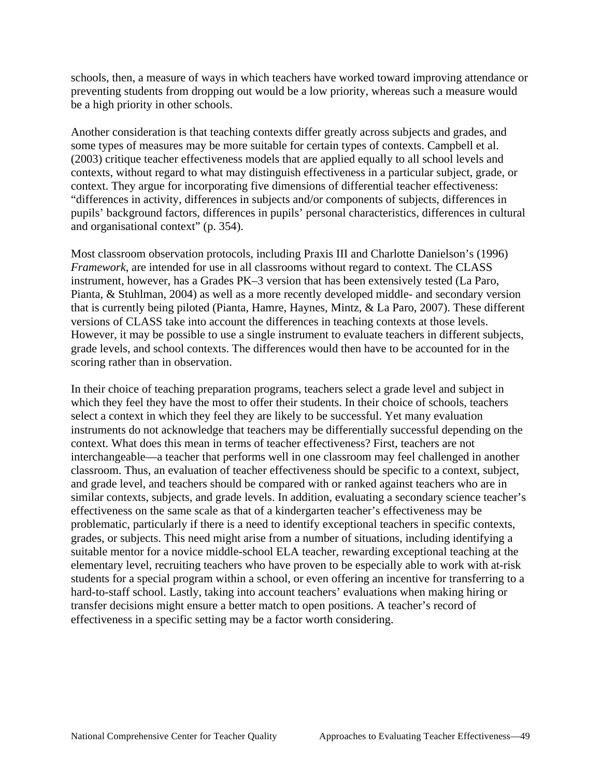be a high priority in other schools. schools, then, a measure of ways in which teachers have worked toward improving attendance or preventing students from dropping out would be a low priority, whereas such a measure would

and organisational context" (p. 354). Another consideration is that teaching contexts differ greatly across subjects and grades, and some types of measures may be more suitable for certain types of contexts. Campbell et al. (2003) critique teacher effectiveness models that are applied equally to all school levels and contexts, without regard to what may distinguish effectiveness in a particular subject, grade, or context. They argue for incorporating five dimensions of differential teacher effectiveness: "differences in activity, differences in subjects and/or components of subjects, differences in pupils' background factors, differences in pupils' personal characteristics, differences in cultural

scoring rather than in observation. Most classroom observation protocols, including Praxis III and Charlotte Danielson's (1996) *Framework*, are intended for use in all classrooms without regard to context. The CLASS instrument, however, has a Grades PK–3 version that has been extensively tested (La Paro, Pianta, & Stuhlman, 2004) as well as a more recently developed middle- and secondary version that is currently being piloted (Pianta, Hamre, Haynes, Mintz, & La Paro, 2007). These different versions of CLASS take into account the differences in teaching contexts at those levels. However, it may be possible to use a single instrument to evaluate teachers in different subjects, grade levels, and school contexts. The differences would then have to be accounted for in the

In their choice of teaching preparation programs, teachers select a grade level and subject in which they feel they have the most to offer their students. In their choice of schools, teachers select a context in which they feel they are likely to be successful. Yet many evaluation instruments do not acknowledge that teachers may be differentially successful depending on the context. What does this mean in terms of teacher effectiveness? First, teachers are not interchangeable—a teacher that performs well in one classroom may feel challenged in another classroom. Thus, an evaluation of teacher effectiveness should be specific to a context, subject, and grade level, and teachers should be compared with or ranked against teachers who are in similar contexts, subjects, and grade levels. In addition, evaluating a secondary science teacher's effectiveness on the same scale as that of a kindergarten teacher's effectiveness may be problematic, particularly if there is a need to identify exceptional teachers in specific contexts, grades, or subjects. This need might arise from a number of situations, including identifying a suitable mentor for a novice middle-school ELA teacher, rewarding exceptional teaching at the elementary level, recruiting teachers who have proven to be especially able to work with at-risk students for a special program within a school, or even offering an incentive for transferring to a hard-to-staff school. Lastly, taking into account teachers' evaluations when making hiring or transfer decisions might ensure a better match to open positions. A teacher's record of effectiveness in a specific setting may be a factor worth considering.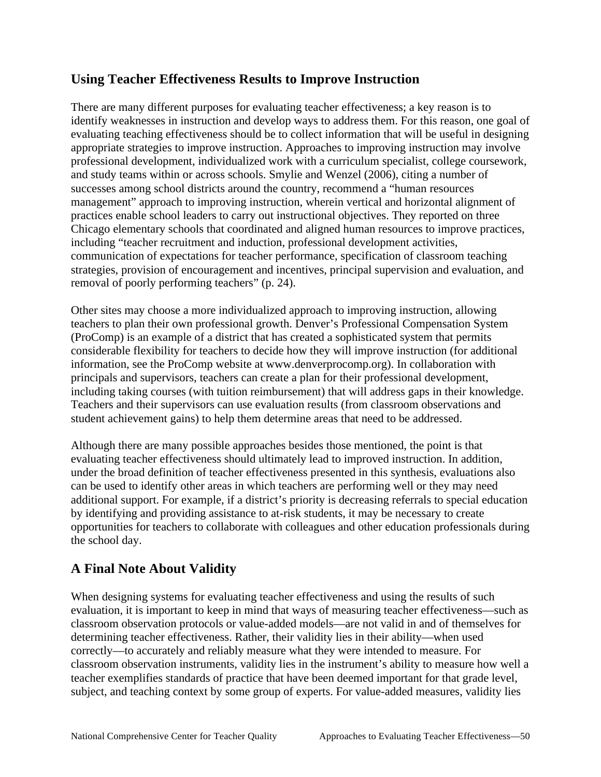## **Using Teacher Effectiveness Results to Improve Instruction**

There are many different purposes for evaluating teacher effectiveness; a key reason is to identify weaknesses in instruction and develop ways to address them. For this reason, one goal of evaluating teaching effectiveness should be to collect information that will be useful in designing appropriate strategies to improve instruction. Approaches to improving instruction may involve professional development, individualized work with a curriculum specialist, college coursework, and study teams within or across schools. Smylie and Wenzel (2006), citing a number of successes among school districts around the country, recommend a "human resources management" approach to improving instruction, wherein vertical and horizontal alignment of practices enable school leaders to carry out instructional objectives. They reported on three Chicago elementary schools that coordinated and aligned human resources to improve practices, including "teacher recruitment and induction, professional development activities, communication of expectations for teacher performance, specification of classroom teaching strategies, provision of encouragement and incentives, principal supervision and evaluation, and removal of poorly performing teachers" (p. 24).

Other sites may choose a more individualized approach to improving instruction, allowing teachers to plan their own professional growth. Denver's Professional Compensation System (ProComp) is an example of a district that has created a sophisticated system that permits considerable flexibility for teachers to decide how they will improve instruction (for additional information, see the ProComp website at www.denverprocomp.org). In collaboration with principals and supervisors, teachers can create a plan for their professional development, including taking courses (with tuition reimbursement) that will address gaps in their knowledge. Teachers and their supervisors can use evaluation results (from classroom observations and student achievement gains) to help them determine areas that need to be addressed.

Although there are many possible approaches besides those mentioned, the point is that evaluating teacher effectiveness should ultimately lead to improved instruction. In addition, under the broad definition of teacher effectiveness presented in this synthesis, evaluations also can be used to identify other areas in which teachers are performing well or they may need additional support. For example, if a district's priority is decreasing referrals to special education by identifying and providing assistance to at-risk students, it may be necessary to create opportunities for teachers to collaborate with colleagues and other education professionals during the school day.

# **A Final Note About Validity**

When designing systems for evaluating teacher effectiveness and using the results of such evaluation, it is important to keep in mind that ways of measuring teacher effectiveness—such as classroom observation protocols or value-added models—are not valid in and of themselves for determining teacher effectiveness. Rather, their validity lies in their ability—when used correctly—to accurately and reliably measure what they were intended to measure. For classroom observation instruments, validity lies in the instrument's ability to measure how well a teacher exemplifies standards of practice that have been deemed important for that grade level, subject, and teaching context by some group of experts. For value-added measures, validity lies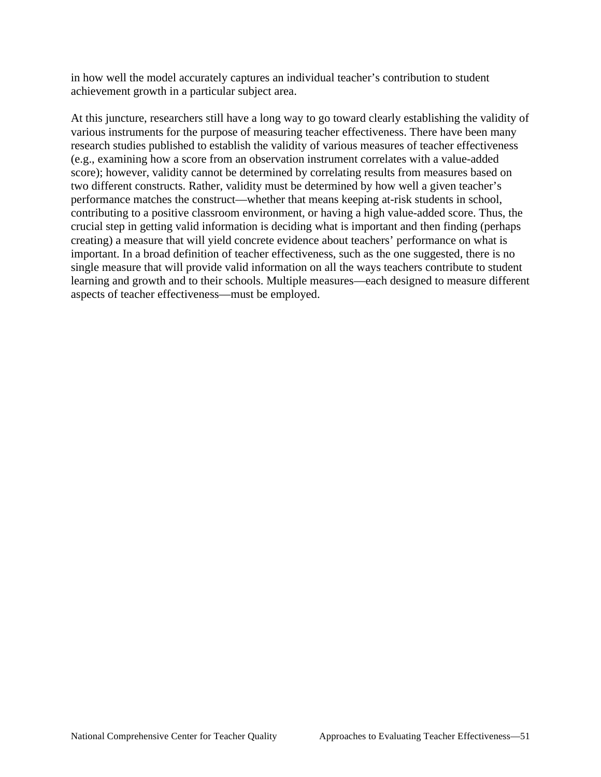achievement growth in a particular subject area. in how well the model accurately captures an individual teacher's contribution to student

At this juncture, researchers still have a long way to go toward clearly establishing the validity of various instruments for the purpose of measuring teacher effectiveness. There have been many research studies published to establish the validity of various measures of teacher effectiveness (e.g., examining how a score from an observation instrument correlates with a value-added score); however, validity cannot be determined by correlating results from measures based on two different constructs. Rather, validity must be determined by how well a given teacher's performance matches the construct—whether that means keeping at-risk students in school, contributing to a positive classroom environment, or having a high value-added score. Thus, the crucial step in getting valid information is deciding what is important and then finding (perhaps creating) a measure that will yield concrete evidence about teachers' performance on what is important. In a broad definition of teacher effectiveness, such as the one suggested, there is no single measure that will provide valid information on all the ways teachers contribute to student learning and growth and to their schools. Multiple measures—each designed to measure different aspects of teacher effectiveness—must be employed.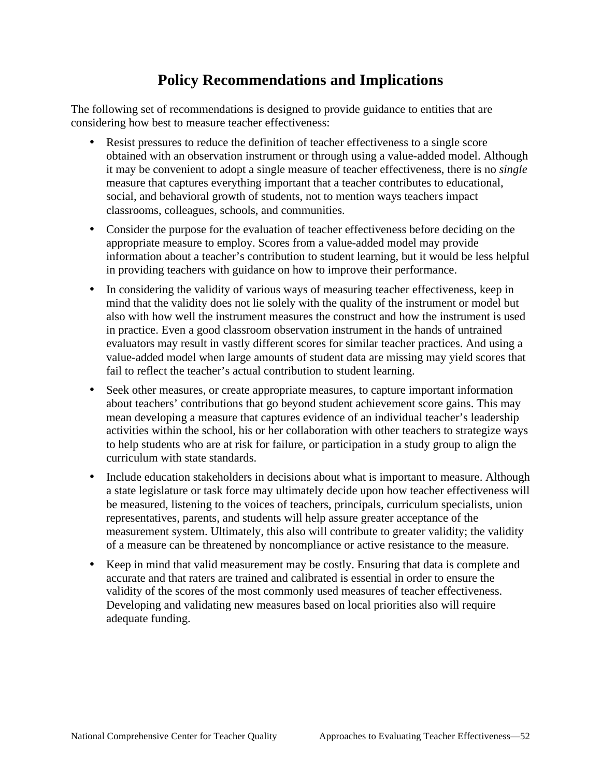# **Policy Recommendations and Implications**

The following set of recommendations is designed to provide guidance to entities that are considering how best to measure teacher effectiveness:

- obtained with an observation instrument or through using a value-added model. Although Resist pressures to reduce the definition of teacher effectiveness to a single score it may be convenient to adopt a single measure of teacher effectiveness, there is no *single*  measure that captures everything important that a teacher contributes to educational, social, and behavioral growth of students, not to mention ways teachers impact classrooms, colleagues, schools, and communities.
- • Consider the purpose for the evaluation of teacher effectiveness before deciding on the appropriate measure to employ. Scores from a value-added model may provide information about a teacher's contribution to student learning, but it would be less helpful in providing teachers with guidance on how to improve their performance.
- In considering the validity of various ways of measuring teacher effectiveness, keep in mind that the validity does not lie solely with the quality of the instrument or model but also with how well the instrument measures the construct and how the instrument is used in practice. Even a good classroom observation instrument in the hands of untrained evaluators may result in vastly different scores for similar teacher practices. And using a value-added model when large amounts of student data are missing may yield scores that fail to reflect the teacher's actual contribution to student learning.
- Seek other measures, or create appropriate measures, to capture important information about teachers' contributions that go beyond student achievement score gains. This may mean developing a measure that captures evidence of an individual teacher's leadership activities within the school, his or her collaboration with other teachers to strategize ways to help students who are at risk for failure, or participation in a study group to align the curriculum with state standards.
- Include education stakeholders in decisions about what is important to measure. Although a state legislature or task force may ultimately decide upon how teacher effectiveness will be measured, listening to the voices of teachers, principals, curriculum specialists, union representatives, parents, and students will help assure greater acceptance of the measurement system. Ultimately, this also will contribute to greater validity; the validity of a measure can be threatened by noncompliance or active resistance to the measure.
- Keep in mind that valid measurement may be costly. Ensuring that data is complete and accurate and that raters are trained and calibrated is essential in order to ensure the validity of the scores of the most commonly used measures of teacher effectiveness. Developing and validating new measures based on local priorities also will require adequate funding.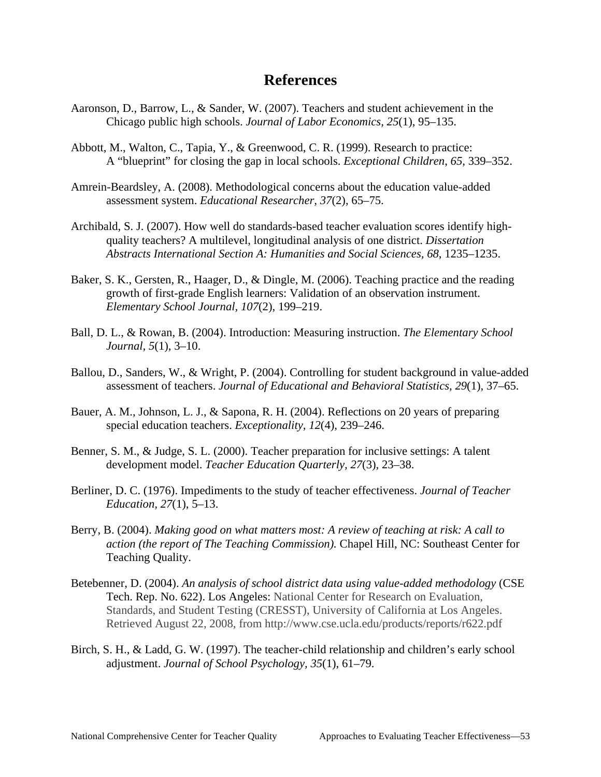# **References**

- Aaronson, D., Barrow, L., & Sander, W. (2007). Teachers and student achievement in the Chicago public high schools. *Journal of Labor Economics, 25*(1), 95–135.
- A "blueprint" for closing the gap in local schools. *Exceptional Children*, *65,* 339–352. Abbott, M., Walton, C., Tapia, Y., & Greenwood, C. R. (1999). Research to practice:
- Amrein-Beardsley, A. (2008). Methodological concerns about the education value-added assessment system. *Educational Researcher, 37*(2), 65–75.
- Archibald, S. J. (2007). How well do standards-based teacher evaluation scores identify highquality teachers? A multilevel, longitudinal analysis of one district. *Dissertation Abstracts International Section A: Humanities and Social Sciences, 68*, 1235–1235.
- Baker, S. K., Gersten, R., Haager, D., & Dingle, M. (2006). Teaching practice and the reading growth of first-grade English learners: Validation of an observation instrument. *Elementary School Journal, 107*(2), 199–219.
- Ball, D. L., & Rowan, B. (2004). Introduction: Measuring instruction. *The Elementary School Journal, 5*(1), 3–10.
- Ballou, D., Sanders, W., & Wright, P. (2004). Controlling for student background in value-added assessment of teachers. *Journal of Educational and Behavioral Statistics, 29*(1), 37–65.
- Bauer, A. M., Johnson, L. J., & Sapona, R. H. (2004). Reflections on 20 years of preparing special education teachers. *Exceptionality, 12*(4), 239–246.
- Benner, S. M., & Judge, S. L. (2000). Teacher preparation for inclusive settings: A talent development model. *Teacher Education Quarterly, 27*(3), 23–38.
- Berliner, D. C. (1976). Impediments to the study of teacher effectiveness. *Journal of Teacher Education, 27*(1), 5–13.
- Berry, B. (2004). *Making good on what matters most: A review of teaching at risk: A call to action (the report of The Teaching Commission).* Chapel Hill, NC: Southeast Center for Teaching Quality.
- Betebenner, D. (2004). *An analysis of school district data using value-added methodology* (CSE Tech. Rep. No. 622). Los Angeles: National Center for Research on Evaluation, Standards, and Student Testing (CRESST), University of California at Los Angeles. Retrieved August 22, 2008, from http://www.cse.ucla.edu/products/reports/r622.pdf
- Birch, S. H., & Ladd, G. W. (1997). The teacher-child relationship and children's early school adjustment. *Journal of School Psychology, 35*(1), 61–79.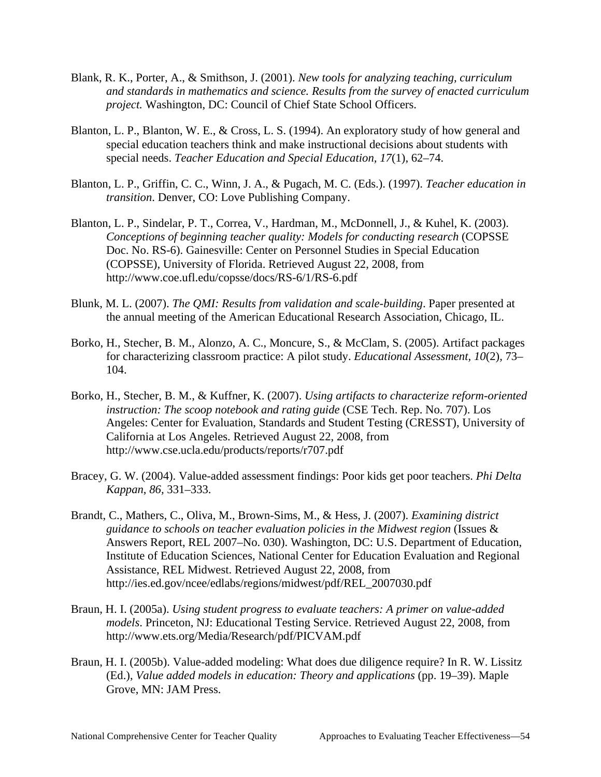- Blank, R. K., Porter, A., & Smithson, J. (2001). *New tools for analyzing teaching, curriculum and standards in mathematics and science. Results from the survey of enacted curriculum project.* Washington, DC: Council of Chief State School Officers.
- Blanton, L. P., Blanton, W. E., & Cross, L. S. (1994). An exploratory study of how general and special education teachers think and make instructional decisions about students with special needs. *Teacher Education and Special Education, 17*(1), 62–74.
- Blanton, L. P., Griffin, C. C., Winn, J. A., & Pugach, M. C. (Eds.). (1997). *Teacher education in transition*. Denver, CO: Love Publishing Company.
- Blanton, L. P., Sindelar, P. T., Correa, V., Hardman, M., McDonnell, J., & Kuhel, K. (2003). *Conceptions of beginning teacher quality: Models for conducting research* (COPSSE Doc. No. RS-6). Gainesville: Center on Personnel Studies in Special Education (COPSSE), University of Florida. Retrieved August 22, 2008, from http://www.coe.ufl.edu/copsse/docs/RS-6/1/RS-6.pdf
- Blunk, M. L. (2007). *The QMI: Results from validation and scale-building*. Paper presented at the annual meeting of the American Educational Research Association, Chicago, IL.
- Borko, H., Stecher, B. M., Alonzo, A. C., Moncure, S., & McClam, S. (2005). Artifact packages for characterizing classroom practice: A pilot study. *Educational Assessment, 10*(2), 73– 104.
- Borko, H., Stecher, B. M., & Kuffner, K. (2007). *Using artifacts to characterize reform-oriented instruction: The scoop notebook and rating guide* (CSE Tech. Rep. No. 707). Los Angeles: Center for Evaluation, Standards and Student Testing (CRESST), University of California at Los Angeles. Retrieved August 22, 2008, from http://www.cse.ucla.edu/products/reports/r707.pdf
- *Kappan*, *86,* 331–333. Bracey, G. W. (2004). Value-added assessment findings: Poor kids get poor teachers. *Phi Delta*
- Brandt, C., Mathers, C., Oliva, M., Brown-Sims, M., & Hess, J. (2007). *Examining district guidance to schools on teacher evaluation policies in the Midwest region* (Issues & Answers Report, REL 2007–No. 030). Washington, DC: U.S. Department of Education, Institute of Education Sciences, National Center for Education Evaluation and Regional Assistance, REL Midwest. Retrieved August 22, 2008, from http://ies.ed.gov/ncee/edlabs/regions/midwest/pdf/REL\_2007030.pdf
- Braun, H. I. (2005a). *Using student progress to evaluate teachers: A primer on value-added models*. Princeton, NJ: Educational Testing Service. Retrieved August 22, 2008, from http://www.ets.org/Media/Research/pdf/PICVAM.pdf
- Braun, H. I. (2005b). Value-added modeling: What does due diligence require? In R. W. Lissitz (Ed.), *Value added models in education: Theory and applications* (pp. 19–39). Maple Grove, MN: JAM Press.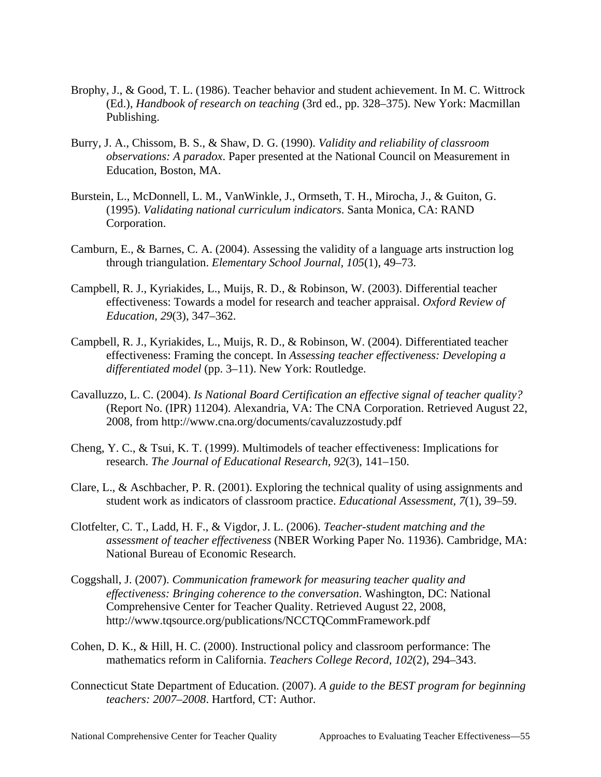- Brophy, J., & Good, T. L. (1986). Teacher behavior and student achievement. In M. C. Wittrock (Ed.), *Handbook of research on teaching* (3rd ed., pp. 328–375). New York: Macmillan Publishing.
- Burry, J. A., Chissom, B. S., & Shaw, D. G. (1990). *Validity and reliability of classroom observations: A paradox*. Paper presented at the National Council on Measurement in Education, Boston, MA.
- Burstein, L., McDonnell, L. M., VanWinkle, J., Ormseth, T. H., Mirocha, J., & Guiton, G. (1995). *Validating national curriculum indicators*. Santa Monica, CA: RAND Corporation.
- Camburn, E., & Barnes, C. A. (2004). Assessing the validity of a language arts instruction log through triangulation. *Elementary School Journal, 105*(1), 49–73.
- Campbell, R. J., Kyriakides, L., Muijs, R. D., & Robinson, W. (2003). Differential teacher effectiveness: Towards a model for research and teacher appraisal. *Oxford Review of Education, 29*(3), 347–362.
- Campbell, R. J., Kyriakides, L., Muijs, R. D., & Robinson, W. (2004). Differentiated teacher effectiveness: Framing the concept. In *Assessing teacher effectiveness: Developing a differentiated model* (pp. 3–11). New York: Routledge.
- Cavalluzzo, L. C. (2004). *Is National Board Certification an effective signal of teacher quality?*  (Report No. (IPR) 11204). Alexandria, VA: The CNA Corporation. Retrieved August 22, 2008, from http://www.cna.org/documents/cavaluzzostudy.pdf
- Cheng, Y. C., & Tsui, K. T. (1999). Multimodels of teacher effectiveness: Implications for research. *The Journal of Educational Research, 92*(3), 141–150.
- Clare, L., & Aschbacher, P. R. (2001). Exploring the technical quality of using assignments and student work as indicators of classroom practice. *Educational Assessment, 7*(1), 39–59.
- Clotfelter, C. T., Ladd, H. F., & Vigdor, J. L. (2006). *Teacher-student matching and the assessment of teacher effectiveness* (NBER Working Paper No. 11936). Cambridge, MA: National Bureau of Economic Research.
- Coggshall, J. (2007). *Communication framework for measuring teacher quality and effectiveness: Bringing coherence to the conversation*. Washington, DC: National Comprehensive Center for Teacher Quality. Retrieved August 22, 2008, http://www.tqsource.org/publications/NCCTQCommFramework.pdf
- Cohen, D. K., & Hill, H. C. (2000). Instructional policy and classroom performance: The mathematics reform in California. *Teachers College Record, 102*(2), 294–343.
- Connecticut State Department of Education. (2007). *A guide to the BEST program for beginning teachers: 2007–2008*. Hartford, CT: Author.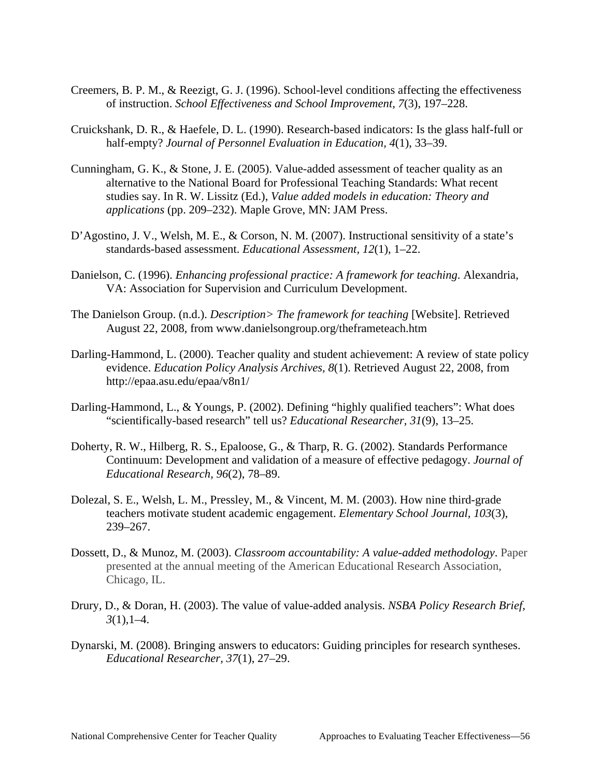- Creemers, B. P. M., & Reezigt, G. J. (1996). School-level conditions affecting the effectiveness of instruction. *School Effectiveness and School Improvement, 7*(3), 197–228.
- Cruickshank, D. R., & Haefele, D. L. (1990). Research-based indicators: Is the glass half-full or half-empty? *Journal of Personnel Evaluation in Education, 4*(1), 33–39.
- Cunningham, G. K., & Stone, J. E. (2005). Value-added assessment of teacher quality as an alternative to the National Board for Professional Teaching Standards: What recent studies say. In R. W. Lissitz (Ed.), *Value added models in education: Theory and applications* (pp. 209–232). Maple Grove, MN: JAM Press.
- D'Agostino, J. V., Welsh, M. E., & Corson, N. M. (2007). Instructional sensitivity of a state's standards-based assessment. *Educational Assessment, 12*(1), 1–22.
- Danielson, C. (1996). *Enhancing professional practice: A framework for teaching*. Alexandria, VA: Association for Supervision and Curriculum Development.
- The Danielson Group. (n.d.). *Description> The framework for teaching* [Website]. Retrieved August 22, 2008, from www.danielsongroup.org/theframeteach.htm
- Darling-Hammond, L. (2000). Teacher quality and student achievement: A review of state policy evidence. *Education Policy Analysis Archives, 8*(1). Retrieved August 22, 2008, from http://epaa.asu.edu/epaa/v8n1/
- Darling-Hammond, L., & Youngs, P. (2002). Defining "highly qualified teachers": What does "scientifically-based research" tell us? *Educational Researcher, 31*(9), 13–25.
- Doherty, R. W., Hilberg, R. S., Epaloose, G., & Tharp, R. G. (2002). Standards Performance Continuum: Development and validation of a measure of effective pedagogy. *Journal of Educational Research, 96*(2), 78–89.
- Dolezal, S. E., Welsh, L. M., Pressley, M., & Vincent, M. M. (2003). How nine third-grade teachers motivate student academic engagement. *Elementary School Journal, 103*(3), 239–267.
- Dossett, D., & Munoz, M. (2003). *Classroom accountability: A value-added methodology*. Paper presented at the annual meeting of the American Educational Research Association, Chicago, IL.
- Drury, D., & Doran, H. (2003). The value of value-added analysis. *NSBA Policy Research Brief, 3*(1),1–4.
- Dynarski, M. (2008). Bringing answers to educators: Guiding principles for research syntheses. *Educational Researcher, 37*(1), 27–29.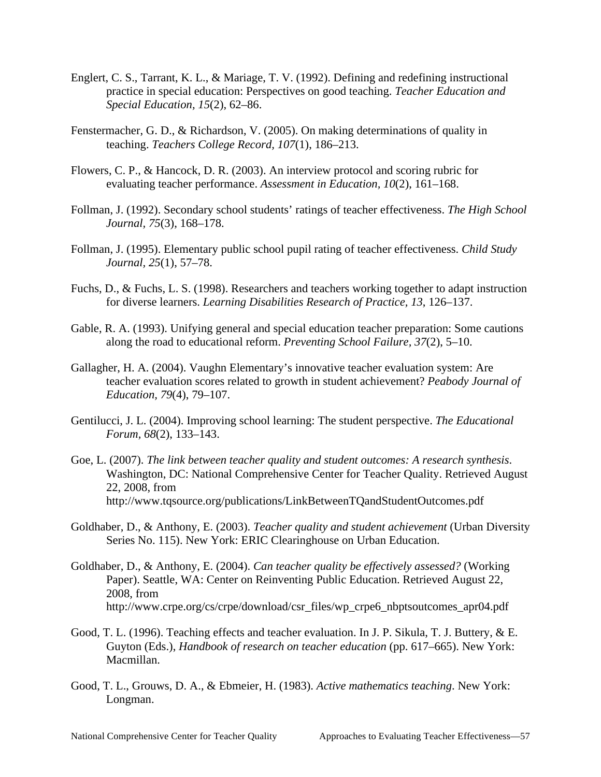- Englert, C. S., Tarrant, K. L., & Mariage, T. V. (1992). Defining and redefining instructional practice in special education: Perspectives on good teaching. *Teacher Education and Special Education, 15*(2), 62–86.
- Fenstermacher, G. D., & Richardson, V. (2005). On making determinations of quality in teaching. *Teachers College Record, 107*(1), 186–213.
- Flowers, C. P., & Hancock, D. R. (2003). An interview protocol and scoring rubric for evaluating teacher performance. *Assessment in Education, 10*(2), 161–168.
- Follman, J. (1992). Secondary school students' ratings of teacher effectiveness. *The High School Journal, 75*(3), 168–178.
- Follman, J. (1995). Elementary public school pupil rating of teacher effectiveness. *Child Study Journal, 25*(1), 57–78.
- Fuchs, D., & Fuchs, L. S. (1998). Researchers and teachers working together to adapt instruction for diverse learners. *Learning Disabilities Research of Practice, 13*, 126–137.
- Gable, R. A. (1993). Unifying general and special education teacher preparation: Some cautions along the road to educational reform. *Preventing School Failure, 37*(2), 5–10.
- Gallagher, H. A. (2004). Vaughn Elementary's innovative teacher evaluation system: Are teacher evaluation scores related to growth in student achievement? *Peabody Journal of Education, 79*(4), 79–107.
- Gentilucci, J. L. (2004). Improving school learning: The student perspective. *The Educational Forum, 68*(2), 133–143.
- Goe, L. (2007). *The link between teacher quality and student outcomes: A research synthesis*. Washington, DC: National Comprehensive Center for Teacher Quality. Retrieved August 22, 2008, from http://www.tqsource.org/publications/LinkBetweenTQandStudentOutcomes.pdf
- Goldhaber, D., & Anthony, E. (2003). *Teacher quality and student achievement* (Urban Diversity Series No. 115). New York: ERIC Clearinghouse on Urban Education.
- Goldhaber, D., & Anthony, E. (2004). *Can teacher quality be effectively assessed?* (Working Paper). Seattle, WA: Center on Reinventing Public Education. Retrieved August 22, 2008, from http://www.crpe.org/cs/crpe/download/csr\_files/wp\_crpe6\_nbptsoutcomes\_apr04.pdf
- Good, T. L. (1996). Teaching effects and teacher evaluation. In J. P. Sikula, T. J. Buttery, & E. Guyton (Eds.), *Handbook of research on teacher education* (pp. 617–665). New York: Macmillan.
- Good, T. L., Grouws, D. A., & Ebmeier, H. (1983). *Active mathematics teaching*. New York: Longman.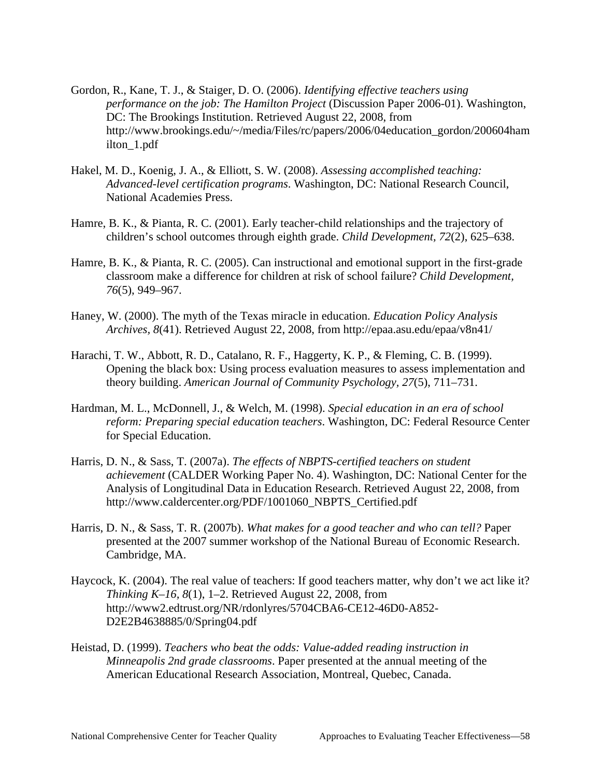- Gordon, R., Kane, T. J., & Staiger, D. O. (2006). *Identifying effective teachers using performance on the job: The Hamilton Project* (Discussion Paper 2006-01). Washington, DC: The Brookings Institution. Retrieved August 22, 2008, from http://www.brookings.edu/~/media/Files/rc/papers/2006/04education\_gordon/200604ham ilton\_1.pdf
- Hakel, M. D., Koenig, J. A., & Elliott, S. W. (2008). *Assessing accomplished teaching: Advanced-level certification programs*. Washington, DC: National Research Council, National Academies Press.
- Hamre, B. K., & Pianta, R. C. (2001). Early teacher-child relationships and the trajectory of children's school outcomes through eighth grade. *Child Development, 72*(2), 625–638.
- Hamre, B. K., & Pianta, R. C. (2005). Can instructional and emotional support in the first-grade classroom make a difference for children at risk of school failure? *Child Development, 76*(5), 949–967.
- Haney, W. (2000). The myth of the Texas miracle in education. *Education Policy Analysis Archives, 8*(41). Retrieved August 22, 2008, from http://epaa.asu.edu/epaa/v8n41/
- Harachi, T. W., Abbott, R. D., Catalano, R. F., Haggerty, K. P., & Fleming, C. B. (1999). Opening the black box: Using process evaluation measures to assess implementation and theory building. *American Journal of Community Psychology, 27*(5), 711–731.
- Hardman, M. L., McDonnell, J., & Welch, M. (1998). *Special education in an era of school reform: Preparing special education teachers*. Washington, DC: Federal Resource Center for Special Education.
- Harris, D. N., & Sass, T. (2007a). *The effects of NBPTS-certified teachers on student achievement* (CALDER Working Paper No. 4). Washington, DC: National Center for the Analysis of Longitudinal Data in Education Research. Retrieved August 22, 2008, from http://www.caldercenter.org/PDF/1001060\_NBPTS\_Certified.pdf
- Cambridge, MA. Harris, D. N., & Sass, T. R. (2007b). *What makes for a good teacher and who can tell?* Paper presented at the 2007 summer workshop of the National Bureau of Economic Research.
- Haycock, K. (2004). The real value of teachers: If good teachers matter, why don't we act like it? *Thinking K–16, 8*(1), 1–2. Retrieved August 22, 2008, from http://www2.edtrust.org/NR/rdonlyres/5704CBA6-CE12-46D0-A852- D2E2B4638885/0/Spring04.pdf
- Heistad, D. (1999). *Teachers who beat the odds: Value-added reading instruction in Minneapolis 2nd grade classrooms*. Paper presented at the annual meeting of the American Educational Research Association, Montreal, Quebec, Canada.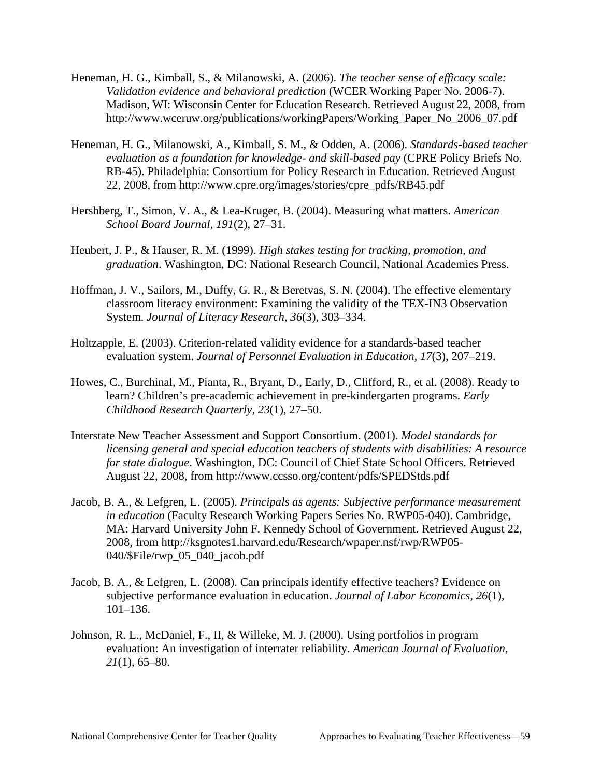- Madison, WI: Wisconsin Center for Education Research. Retrieved August 22, 2008, from Heneman, H. G., Kimball, S., & Milanowski, A. (2006). *The teacher sense of efficacy scale: Validation evidence and behavioral prediction* (WCER Working Paper No. 2006-7). http://www.wceruw.org/publications/workingPapers/Working\_Paper\_No\_2006\_07.pdf
- Heneman, H. G., Milanowski, A., Kimball, S. M., & Odden, A. (2006). *Standards-based teacher evaluation as a foundation for knowledge- and skill-based pay* (CPRE Policy Briefs No. RB-45). Philadelphia: Consortium for Policy Research in Education. Retrieved August 22, 2008, from http://www.cpre.org/images/stories/cpre\_pdfs/RB45.pdf
- Hershberg, T., Simon, V. A., & Lea-Kruger, B. (2004). Measuring what matters. *American School Board Journal, 191*(2), 27–31.
- Heubert, J. P., & Hauser, R. M. (1999). *High stakes testing for tracking, promotion, and graduation*. Washington, DC: National Research Council, National Academies Press.
- Hoffman, J. V., Sailors, M., Duffy, G. R., & Beretvas, S. N. (2004). The effective elementary classroom literacy environment: Examining the validity of the TEX-IN3 Observation System. *Journal of Literacy Research, 36*(3), 303–334.
- Holtzapple, E. (2003). Criterion-related validity evidence for a standards-based teacher evaluation system. *Journal of Personnel Evaluation in Education, 17*(3), 207–219.
- Howes, C., Burchinal, M., Pianta, R., Bryant, D., Early, D., Clifford, R., et al. (2008). Ready to learn? Children's pre-academic achievement in pre-kindergarten programs. *Early Childhood Research Quarterly, 23*(1), 27–50.
- Interstate New Teacher Assessment and Support Consortium. (2001). *Model standards for licensing general and special education teachers of students with disabilities: A resource for state dialogue*. Washington, DC: Council of Chief State School Officers. Retrieved August 22, 2008, from http://www.ccsso.org/content/pdfs/SPEDStds.pdf
- Jacob, B. A., & Lefgren, L. (2005). *Principals as agents: Subjective performance measurement in education* (Faculty Research Working Papers Series No. RWP05-040). Cambridge, MA: Harvard University John F. Kennedy School of Government. Retrieved August 22, 2008, from http://ksgnotes1.harvard.edu/Research/wpaper.nsf/rwp/RWP05- 040/\$File/rwp\_05\_040\_jacob.pdf
- Jacob, B. A., & Lefgren, L. (2008). Can principals identify effective teachers? Evidence on subjective performance evaluation in education. *Journal of Labor Economics, 26*(1), 101–136.
- Johnson, R. L., McDaniel, F., II, & Willeke, M. J. (2000). Using portfolios in program evaluation: An investigation of interrater reliability. *American Journal of Evaluation, 21*(1), 65–80.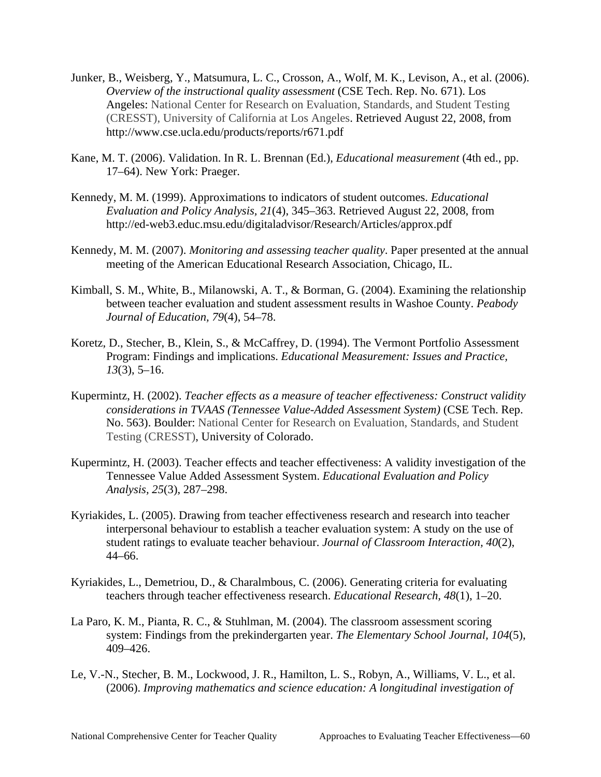- Junker, B., Weisberg, Y., Matsumura, L. C., Crosson, A., Wolf, M. K., Levison, A., et al. (2006). *Overview of the instructional quality assessment* (CSE Tech. Rep. No. 671). Los Angeles: National Center for Research on Evaluation, Standards, and Student Testing (CRESST), University of California at Los Angeles. Retrieved August 22, 2008, from http://www.cse.ucla.edu/products/reports/r671.pdf
- Kane, M. T. (2006). Validation. In R. L. Brennan (Ed.), *Educational measurement* (4th ed., pp. 17–64). New York: Praeger.
- Kennedy, M. M. (1999). Approximations to indicators of student outcomes. *Educational Evaluation and Policy Analysis, 21*(4), 345–363. Retrieved August 22, 2008, from http://ed-web3.educ.msu.edu/digitaladvisor/Research/Articles/approx.pdf
- Kennedy, M. M. (2007). *Monitoring and assessing teacher quality*. Paper presented at the annual meeting of the American Educational Research Association, Chicago, IL.
- Kimball, S. M., White, B., Milanowski, A. T., & Borman, G. (2004). Examining the relationship between teacher evaluation and student assessment results in Washoe County. *Peabody Journal of Education, 79*(4), 54–78.
- Koretz, D., Stecher, B., Klein, S., & McCaffrey, D. (1994). The Vermont Portfolio Assessment Program: Findings and implications. *Educational Measurement: Issues and Practice, 13*(3), 5–16.
- Kupermintz, H. (2002). *Teacher effects as a measure of teacher effectiveness: Construct validity considerations in TVAAS (Tennessee Value-Added Assessment System)* (CSE Tech. Rep. No. 563). Boulder: National Center for Research on Evaluation, Standards, and Student Testing (CRESST), University of Colorado.
- Kupermintz, H. (2003). Teacher effects and teacher effectiveness: A validity investigation of the Tennessee Value Added Assessment System. *Educational Evaluation and Policy Analysis, 25*(3), 287–298.
- Kyriakides, L. (2005). Drawing from teacher effectiveness research and research into teacher interpersonal behaviour to establish a teacher evaluation system: A study on the use of student ratings to evaluate teacher behaviour. *Journal of Classroom Interaction, 40*(2), 44–66.
- Kyriakides, L., Demetriou, D., & Charalmbous, C. (2006). Generating criteria for evaluating teachers through teacher effectiveness research. *Educational Research, 48*(1), 1–20.
- La Paro, K. M., Pianta, R. C., & Stuhlman, M. (2004). The classroom assessment scoring system: Findings from the prekindergarten year. *The Elementary School Journal, 104*(5), 409–426.
- Le, V.-N., Stecher, B. M., Lockwood, J. R., Hamilton, L. S., Robyn, A., Williams, V. L., et al. (2006). *Improving mathematics and science education: A longitudinal investigation of*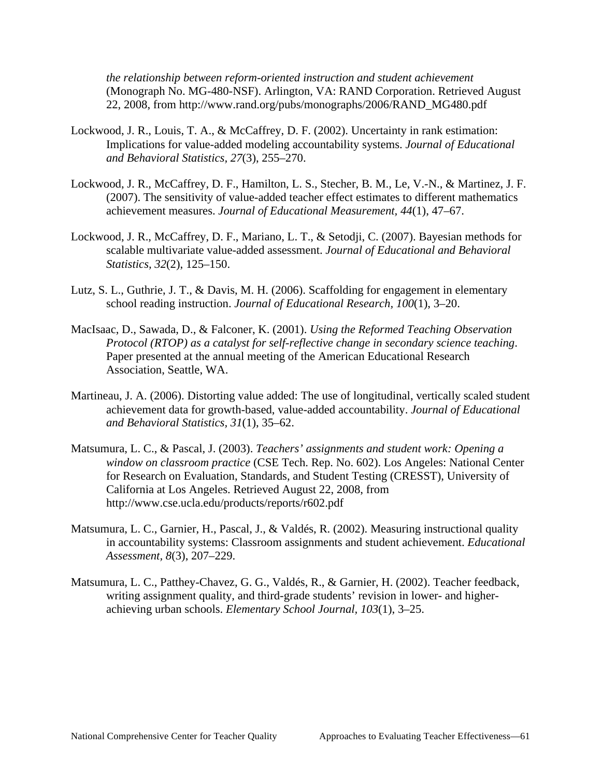*the relationship between reform-oriented instruction and student achievement*  (Monograph No. MG-480-NSF). Arlington, VA: RAND Corporation. Retrieved August 22, 2008, from http://www.rand.org/pubs/monographs/2006/RAND\_MG480.pdf

- Lockwood, J. R., Louis, T. A., & McCaffrey, D. F. (2002). Uncertainty in rank estimation: Implications for value-added modeling accountability systems. *Journal of Educational and Behavioral Statistics, 27*(3), 255–270.
- Lockwood, J. R., McCaffrey, D. F., Hamilton, L. S., Stecher, B. M., Le, V.-N., & Martinez, J. F. (2007). The sensitivity of value-added teacher effect estimates to different mathematics achievement measures. *Journal of Educational Measurement, 44*(1), 47–67.
- Lockwood, J. R., McCaffrey, D. F., Mariano, L. T., & Setodji, C. (2007). Bayesian methods for scalable multivariate value-added assessment. *Journal of Educational and Behavioral Statistics, 32*(2), 125–150.
- Lutz, S. L., Guthrie, J. T., & Davis, M. H. (2006). Scaffolding for engagement in elementary school reading instruction. *Journal of Educational Research, 100*(1), 3–20.
- MacIsaac, D., Sawada, D., & Falconer, K. (2001). *Using the Reformed Teaching Observation Protocol (RTOP) as a catalyst for self-reflective change in secondary science teaching*. Paper presented at the annual meeting of the American Educational Research Association, Seattle, WA.
- Martineau, J. A. (2006). Distorting value added: The use of longitudinal, vertically scaled student achievement data for growth-based, value-added accountability. *Journal of Educational and Behavioral Statistics, 31*(1), 35–62.
- Matsumura, L. C., & Pascal, J. (2003). *Teachers' assignments and student work: Opening a window on classroom practice* (CSE Tech. Rep. No. 602). Los Angeles: National Center for Research on Evaluation, Standards, and Student Testing (CRESST), University of California at Los Angeles. Retrieved August 22, 2008, from http://www.cse.ucla.edu/products/reports/r602.pdf
- Matsumura, L. C., Garnier, H., Pascal, J., & Valdés, R. (2002). Measuring instructional quality in accountability systems: Classroom assignments and student achievement. *Educational Assessment, 8*(3), 207–229.
- Matsumura, L. C., Patthey-Chavez, G. G., Valdés, R., & Garnier, H. (2002). Teacher feedback, writing assignment quality, and third-grade students' revision in lower- and higherachieving urban schools. *Elementary School Journal, 103*(1), 3–25.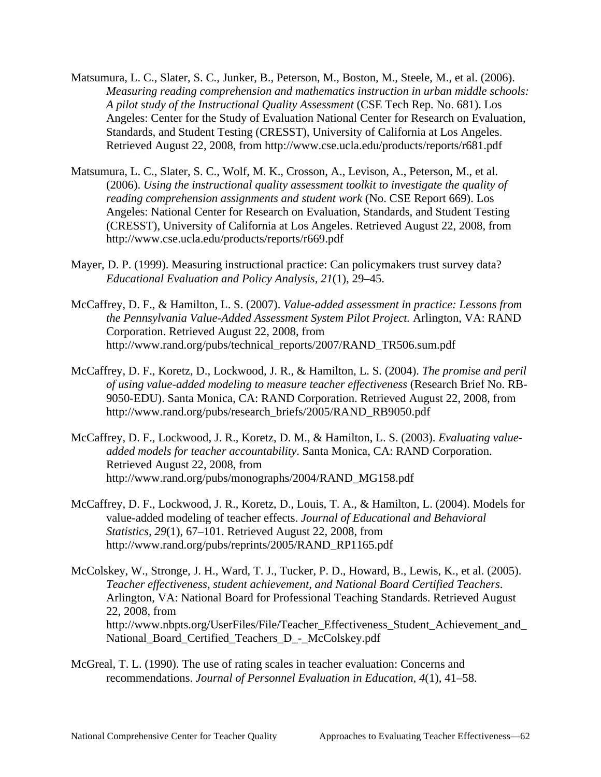- Matsumura, L. C., Slater, S. C., Junker, B., Peterson, M., Boston, M., Steele, M., et al. (2006). *Measuring reading comprehension and mathematics instruction in urban middle schools: A pilot study of the Instructional Quality Assessment* (CSE Tech Rep. No. 681). Los Angeles: Center for the Study of Evaluation National Center for Research on Evaluation, Standards, and Student Testing (CRESST), University of California at Los Angeles. Retrieved August 22, 2008, from http://www.cse.ucla.edu/products/reports/r681.pdf
- Matsumura, L. C., Slater, S. C., Wolf, M. K., Crosson, A., Levison, A., Peterson, M., et al. (2006). *Using the instructional quality assessment toolkit to investigate the quality of reading comprehension assignments and student work* (No. CSE Report 669). Los Angeles: National Center for Research on Evaluation, Standards, and Student Testing (CRESST), University of California at Los Angeles. Retrieved August 22, 2008, from http://www.cse.ucla.edu/products/reports/r669.pdf
- Mayer, D. P. (1999). Measuring instructional practice: Can policymakers trust survey data? *Educational Evaluation and Policy Analysis, 21*(1), 29–45.
- McCaffrey, D. F., & Hamilton, L. S. (2007). *Value-added assessment in practice: Lessons from the Pennsylvania Value-Added Assessment System Pilot Project.* Arlington, VA: RAND Corporation. Retrieved August 22, 2008, from http://www.rand.org/pubs/technical\_reports/2007/RAND\_TR506.sum.pdf
- McCaffrey, D. F., Koretz, D., Lockwood, J. R., & Hamilton, L. S. (2004). *The promise and peril of using value-added modeling to measure teacher effectiveness* (Research Brief No. RB-9050-EDU). Santa Monica, CA: RAND Corporation. Retrieved August 22, 2008, from http://www.rand.org/pubs/research\_briefs/2005/RAND\_RB9050.pdf
- McCaffrey, D. F., Lockwood, J. R., Koretz, D. M., & Hamilton, L. S. (2003). *Evaluating valueadded models for teacher accountability*. Santa Monica, CA: RAND Corporation. Retrieved August 22, 2008, from http://www.rand.org/pubs/monographs/2004/RAND\_MG158.pdf
- McCaffrey, D. F., Lockwood, J. R., Koretz, D., Louis, T. A., & Hamilton, L. (2004). Models for value-added modeling of teacher effects. *Journal of Educational and Behavioral Statistics, 29*(1), 67–101. Retrieved August 22, 2008, from http://www.rand.org/pubs/reprints/2005/RAND\_RP1165.pdf
- McColskey, W., Stronge, J. H., Ward, T. J., Tucker, P. D., Howard, B., Lewis, K., et al. (2005). *Teacher effectiveness, student achievement, and National Board Certified Teachers*. Arlington, VA: National Board for Professional Teaching Standards. Retrieved August 22, 2008, from http://www.nbpts.org/UserFiles/File/Teacher\_Effectiveness\_Student\_Achievement\_and\_ National\_Board\_Certified\_Teachers\_D\_-\_McColskey.pdf
- McGreal, T. L. (1990). The use of rating scales in teacher evaluation: Concerns and recommendations. *Journal of Personnel Evaluation in Education, 4*(1), 41–58.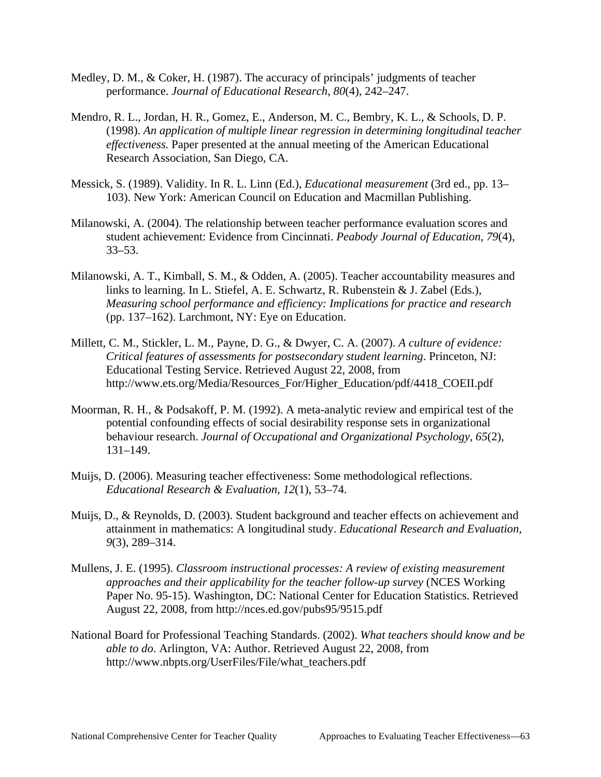- Medley, D. M., & Coker, H. (1987). The accuracy of principals' judgments of teacher performance. *Journal of Educational Research, 80*(4), 242–247.
- Mendro, R. L., Jordan, H. R., Gomez, E., Anderson, M. C., Bembry, K. L., & Schools, D. P. (1998). *An application of multiple linear regression in determining longitudinal teacher effectiveness.* Paper presented at the annual meeting of the American Educational Research Association, San Diego, CA.
- Messick, S. (1989). Validity. In R. L. Linn (Ed.), *Educational measurement* (3rd ed., pp. 13– 103). New York: American Council on Education and Macmillan Publishing.
- Milanowski, A. (2004). The relationship between teacher performance evaluation scores and student achievement: Evidence from Cincinnati. *Peabody Journal of Education, 79*(4), 33–53.
- Milanowski, A. T., Kimball, S. M., & Odden, A. (2005). Teacher accountability measures and links to learning. In L. Stiefel, A. E. Schwartz, R. Rubenstein & J. Zabel (Eds.), *Measuring school performance and efficiency: Implications for practice and research*  (pp. 137–162). Larchmont, NY: Eye on Education.
- Millett, C. M., Stickler, L. M., Payne, D. G., & Dwyer, C. A. (2007). *A culture of evidence: Critical features of assessments for postsecondary student learning*. Princeton, NJ: Educational Testing Service. Retrieved August 22, 2008, from http://www.ets.org/Media/Resources\_For/Higher\_Education/pdf/4418\_COEII.pdf
- Moorman, R. H., & Podsakoff, P. M. (1992). A meta-analytic review and empirical test of the potential confounding effects of social desirability response sets in organizational behaviour research. *Journal of Occupational and Organizational Psychology, 65*(2), 131–149.
- Muijs, D. (2006). Measuring teacher effectiveness: Some methodological reflections. *Educational Research & Evaluation, 12*(1), 53–74.
- Muijs, D., & Reynolds, D. (2003). Student background and teacher effects on achievement and attainment in mathematics: A longitudinal study. *Educational Research and Evaluation, 9*(3), 289–314.
- Mullens, J. E. (1995). *Classroom instructional processes: A review of existing measurement approaches and their applicability for the teacher follow-up survey* (NCES Working Paper No. 95-15). Washington, DC: National Center for Education Statistics. Retrieved August 22, 2008, from http://nces.ed.gov/pubs95/9515.pdf
- National Board for Professional Teaching Standards. (2002). *What teachers should know and be able to do*. Arlington, VA: Author. Retrieved August 22, 2008, from http://www.nbpts.org/UserFiles/File/what\_teachers.pdf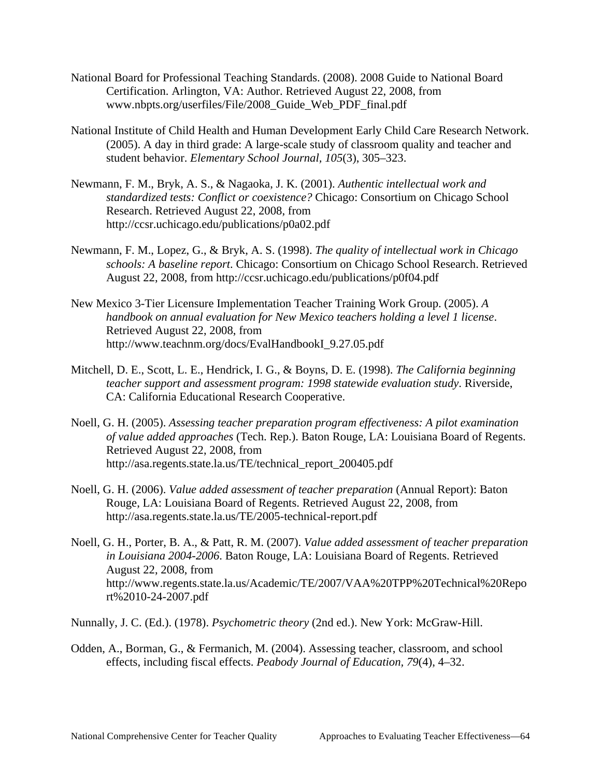- National Board for Professional Teaching Standards. (2008). 2008 Guide to National Board Certification. Arlington, VA: Author. Retrieved August 22, 2008, from www.nbpts.org/userfiles/File/2008\_Guide\_Web\_PDF\_final.pdf
- National Institute of Child Health and Human Development Early Child Care Research Network. (2005). A day in third grade: A large-scale study of classroom quality and teacher and student behavior. *Elementary School Journal, 105*(3), 305–323.
- Newmann, F. M., Bryk, A. S., & Nagaoka, J. K. (2001). *Authentic intellectual work and standardized tests: Conflict or coexistence?* Chicago: Consortium on Chicago School Research. Retrieved August 22, 2008, from http://ccsr.uchicago.edu/publications/p0a02.pdf
- Newmann, F. M., Lopez, G., & Bryk, A. S. (1998). *The quality of intellectual work in Chicago schools: A baseline report*. Chicago: Consortium on Chicago School Research. Retrieved August 22, 2008, from http://ccsr.uchicago.edu/publications/p0f04.pdf
- New Mexico 3-Tier Licensure Implementation Teacher Training Work Group. (2005). *A handbook on annual evaluation for New Mexico teachers holding a level 1 license*. Retrieved August 22, 2008, from http://www.teachnm.org/docs/EvalHandbookI\_9.27.05.pdf
- Mitchell, D. E., Scott, L. E., Hendrick, I. G., & Boyns, D. E. (1998). *The California beginning teacher support and assessment program: 1998 statewide evaluation study*. Riverside, CA: California Educational Research Cooperative.
- Noell, G. H. (2005). *Assessing teacher preparation program effectiveness: A pilot examination of value added approaches* (Tech. Rep.). Baton Rouge, LA: Louisiana Board of Regents. Retrieved August 22, 2008, from http://asa.regents.state.la.us/TE/technical\_report\_200405.pdf
- Noell, G. H. (2006). *Value added assessment of teacher preparation* (Annual Report): Baton Rouge, LA: Louisiana Board of Regents. Retrieved August 22, 2008, from http://asa.regents.state.la.us/TE/2005-technical-report.pdf
- Noell, G. H., Porter, B. A., & Patt, R. M. (2007). *Value added assessment of teacher preparation in Louisiana 2004-2006*. Baton Rouge, LA: Louisiana Board of Regents. Retrieved August 22, 2008, from http://www.regents.state.la.us/Academic/TE/2007/VAA%20TPP%20Technical%20Repo rt%2010-24-2007.pdf

Nunnally, J. C. (Ed.). (1978). *Psychometric theory* (2nd ed.). New York: McGraw-Hill.

Odden, A., Borman, G., & Fermanich, M. (2004). Assessing teacher, classroom, and school effects, including fiscal effects. *Peabody Journal of Education, 79*(4), 4–32.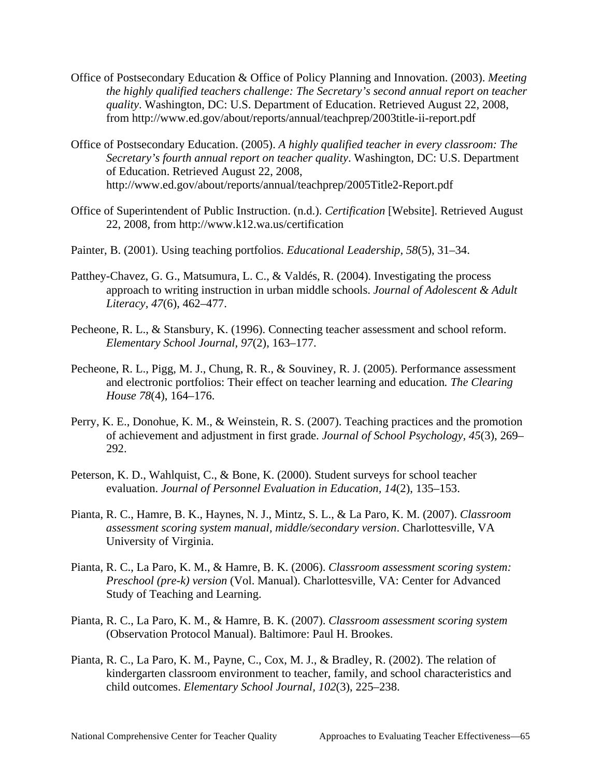- Office of Postsecondary Education & Office of Policy Planning and Innovation. (2003). *Meeting the highly qualified teachers challenge: The Secretary's second annual report on teacher quality*. Washington, DC: U.S. Department of Education. Retrieved August 22, 2008, from http://www.ed.gov/about/reports/annual/teachprep/2003title-ii-report.pdf
- Office of Postsecondary Education. (2005). *A highly qualified teacher in every classroom: The Secretary's fourth annual report on teacher quality*. Washington, DC: U.S. Department of Education. Retrieved August 22, 2008, http://www.ed.gov/about/reports/annual/teachprep/2005Title2-Report.pdf
- Office of Superintendent of Public Instruction. (n.d.). *Certification* [Website]. Retrieved August 22, 2008, from http://www.k12.wa.us/certification
- Painter, B. (2001). Using teaching portfolios. *Educational Leadership, 58*(5), 31–34.
- Patthey-Chavez, G. G., Matsumura, L. C., & Valdés, R. (2004). Investigating the process approach to writing instruction in urban middle schools. *Journal of Adolescent & Adult Literacy, 47*(6), 462–477.
- Pecheone, R. L., & Stansbury, K. (1996). Connecting teacher assessment and school reform. *Elementary School Journal, 97*(2), 163–177.
- Pecheone, R. L., Pigg, M. J., Chung, R. R., & Souviney, R. J. (2005). Performance assessment and electronic portfolios: Their effect on teacher learning and education*. The Clearing House 78*(4), 164–176.
- Perry, K. E., Donohue, K. M., & Weinstein, R. S. (2007). Teaching practices and the promotion of achievement and adjustment in first grade. *Journal of School Psychology, 45*(3), 269– 292.
- Peterson, K. D., Wahlquist, C., & Bone, K. (2000). Student surveys for school teacher evaluation. *Journal of Personnel Evaluation in Education, 14*(2), 135–153.
- Pianta, R. C., Hamre, B. K., Haynes, N. J., Mintz, S. L., & La Paro, K. M. (2007). *Classroom assessment scoring system manual, middle/secondary version*. Charlottesville, VA University of Virginia.
- Pianta, R. C., La Paro, K. M., & Hamre, B. K. (2006). *Classroom assessment scoring system: Preschool (pre-k) version* (Vol. Manual). Charlottesville, VA: Center for Advanced Study of Teaching and Learning.
- Pianta, R. C., La Paro, K. M., & Hamre, B. K. (2007). *Classroom assessment scoring system*  (Observation Protocol Manual). Baltimore: Paul H. Brookes.
- Pianta, R. C., La Paro, K. M., Payne, C., Cox, M. J., & Bradley, R. (2002). The relation of kindergarten classroom environment to teacher, family, and school characteristics and child outcomes. *Elementary School Journal, 102*(3), 225–238.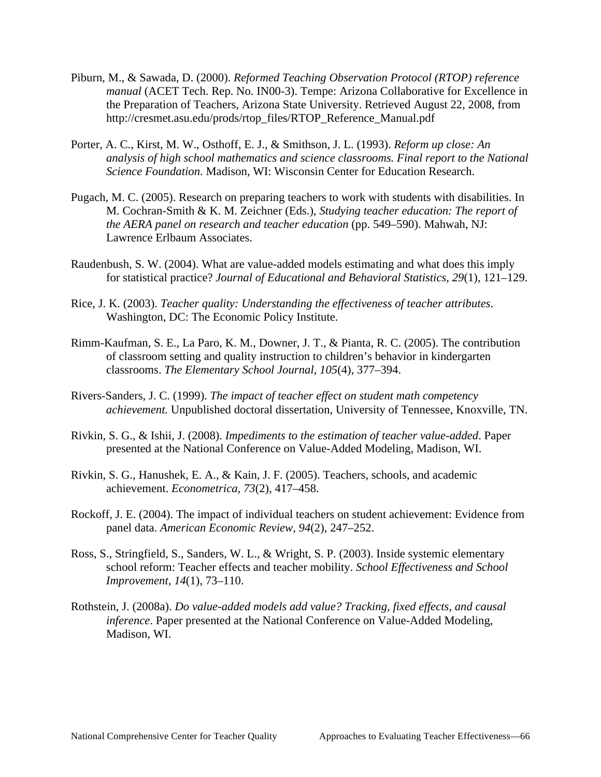- Piburn, M., & Sawada, D. (2000). *Reformed Teaching Observation Protocol (RTOP) reference manual* (ACET Tech. Rep. No. IN00-3). Tempe: Arizona Collaborative for Excellence in the Preparation of Teachers, Arizona State University. Retrieved August 22, 2008, from http://cresmet.asu.edu/prods/rtop\_files/RTOP\_Reference\_Manual.pdf
- Porter, A. C., Kirst, M. W., Osthoff, E. J., & Smithson, J. L. (1993). *Reform up close: An analysis of high school mathematics and science classrooms. Final report to the National Science Foundation*. Madison, WI: Wisconsin Center for Education Research.
- Pugach, M. C. (2005). Research on preparing teachers to work with students with disabilities. In M. Cochran-Smith & K. M. Zeichner (Eds.), *Studying teacher education: The report of the AERA panel on research and teacher education* (pp. 549–590). Mahwah, NJ: Lawrence Erlbaum Associates.
- Raudenbush, S. W. (2004). What are value-added models estimating and what does this imply for statistical practice? *Journal of Educational and Behavioral Statistics, 29*(1), 121–129.
- Rice, J. K. (2003). *Teacher quality: Understanding the effectiveness of teacher attributes*. Washington, DC: The Economic Policy Institute.
- Rimm-Kaufman, S. E., La Paro, K. M., Downer, J. T., & Pianta, R. C. (2005). The contribution of classroom setting and quality instruction to children's behavior in kindergarten classrooms. *The Elementary School Journal, 105*(4), 377–394.
- Rivers-Sanders, J. C. (1999). *The impact of teacher effect on student math competency achievement.* Unpublished doctoral dissertation, University of Tennessee, Knoxville, TN.
- presented at the National Conference on Value-Added Modeling, Madison, WI. Rivkin, S. G., & Ishii, J. (2008). *Impediments to the estimation of teacher value-added*. Paper
- Rivkin, S. G., Hanushek, E. A., & Kain, J. F. (2005). Teachers, schools, and academic achievement. *Econometrica, 73*(2), 417–458.
- Rockoff, J. E. (2004). The impact of individual teachers on student achievement: Evidence from panel data. *American Economic Review, 94*(2), 247–252.
- Ross, S., Stringfield, S., Sanders, W. L., & Wright, S. P. (2003). Inside systemic elementary school reform: Teacher effects and teacher mobility. *School Effectiveness and School Improvement, 14*(1), 73–110.
- Rothstein, J. (2008a). *Do value-added models add value? Tracking, fixed effects, and causal inference*. Paper presented at the National Conference on Value-Added Modeling, Madison, WI.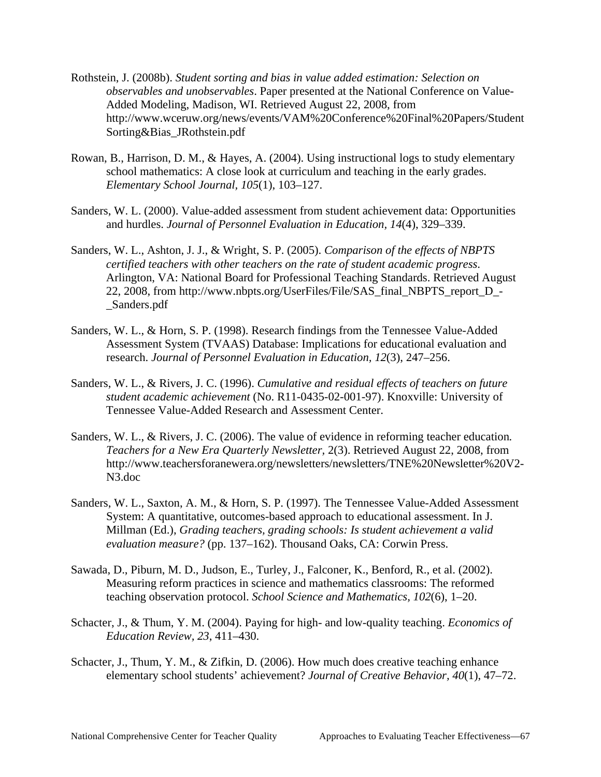- Rothstein, J. (2008b). *Student sorting and bias in value added estimation: Selection on observables and unobservables*. Paper presented at the National Conference on Value-Added Modeling, Madison, WI. Retrieved August 22, 2008, from http://www.wceruw.org/news/events/VAM%20Conference%20Final%20Papers/Student Sorting&Bias\_JRothstein.pdf
- Rowan, B., Harrison, D. M., & Hayes, A. (2004). Using instructional logs to study elementary school mathematics: A close look at curriculum and teaching in the early grades. *Elementary School Journal, 105*(1), 103–127.
- Sanders, W. L. (2000). Value-added assessment from student achievement data: Opportunities and hurdles. *Journal of Personnel Evaluation in Education, 14*(4), 329–339.
- Sanders, W. L., Ashton, J. J., & Wright, S. P. (2005). *Comparison of the effects of NBPTS certified teachers with other teachers on the rate of student academic progress*. Arlington, VA: National Board for Professional Teaching Standards. Retrieved August 22, 2008, from http://www.nbpts.org/UserFiles/File/SAS\_final\_NBPTS\_report\_D\_- \_Sanders.pdf
- Sanders, W. L., & Horn, S. P. (1998). Research findings from the Tennessee Value-Added Assessment System (TVAAS) Database: Implications for educational evaluation and research. *Journal of Personnel Evaluation in Education, 12*(3), 247–256.
- Tennessee Value-Added Research and Assessment Center. Sanders, W. L., & Rivers, J. C. (1996). *Cumulative and residual effects of teachers on future student academic achievement* (No. R11-0435-02-001-97). Knoxville: University of
- Sanders, W. L., & Rivers, J. C. (2006). The value of evidence in reforming teacher education. *Teachers for a New Era Quarterly Newsletter,* 2(3). Retrieved August 22, 2008, from http://www.teachersforanewera.org/newsletters/newsletters/TNE%20Newsletter%20V2- N3.doc
- Sanders, W. L., Saxton, A. M., & Horn, S. P. (1997). The Tennessee Value-Added Assessment System: A quantitative, outcomes-based approach to educational assessment. In J. Millman (Ed.), *Grading teachers, grading schools: Is student achievement a valid evaluation measure?* (pp. 137–162). Thousand Oaks, CA: Corwin Press.
- Sawada, D., Piburn, M. D., Judson, E., Turley, J., Falconer, K., Benford, R., et al. (2002). Measuring reform practices in science and mathematics classrooms: The reformed teaching observation protocol. *School Science and Mathematics, 102*(6), 1–20.
- Schacter, J., & Thum, Y. M. (2004). Paying for high- and low-quality teaching. *Economics of Education Review, 23*, 411–430.
- Schacter, J., Thum, Y. M., & Zifkin, D. (2006). How much does creative teaching enhance elementary school students' achievement? *Journal of Creative Behavior, 40*(1), 47–72.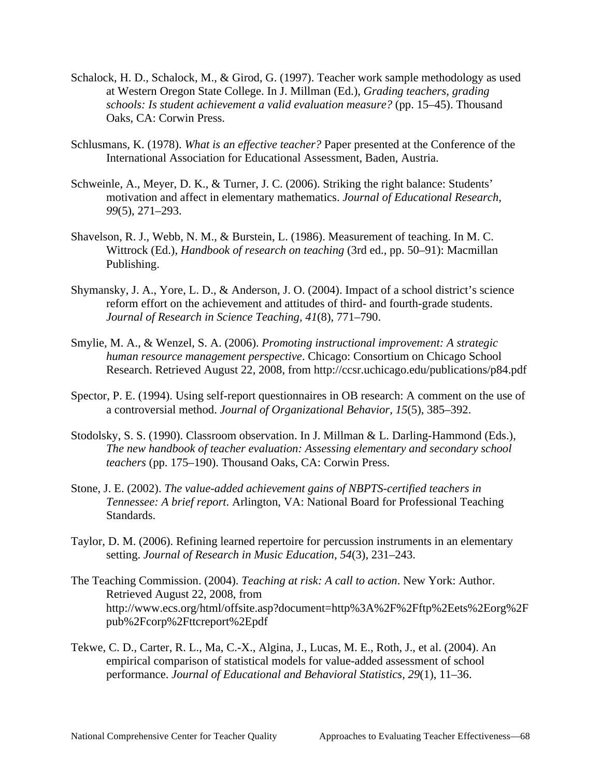- Schalock, H. D., Schalock, M., & Girod, G. (1997). Teacher work sample methodology as used at Western Oregon State College. In J. Millman (Ed.), *Grading teachers, grading schools: Is student achievement a valid evaluation measure?* (pp. 15–45). Thousand Oaks, CA: Corwin Press.
- Schlusmans, K. (1978). *What is an effective teacher?* Paper presented at the Conference of the International Association for Educational Assessment, Baden, Austria.
- Schweinle, A., Meyer, D. K., & Turner, J. C. (2006). Striking the right balance: Students' motivation and affect in elementary mathematics. *Journal of Educational Research, 99*(5), 271–293.
- Shavelson, R. J., Webb, N. M., & Burstein, L. (1986). Measurement of teaching. In M. C. Wittrock (Ed.), *Handbook of research on teaching* (3rd ed., pp. 50–91): Macmillan Publishing.
- Shymansky, J. A., Yore, L. D., & Anderson, J. O. (2004). Impact of a school district's science reform effort on the achievement and attitudes of third- and fourth-grade students. *Journal of Research in Science Teaching, 41*(8), 771–790.
- Smylie, M. A., & Wenzel, S. A. (2006). *Promoting instructional improvement: A strategic human resource management perspective*. Chicago: Consortium on Chicago School Research. Retrieved August 22, 2008, from http://ccsr.uchicago.edu/publications/p84.pdf
- Spector, P. E. (1994). Using self-report questionnaires in OB research: A comment on the use of a controversial method. *Journal of Organizational Behavior, 15*(5), 385–392.
- Stodolsky, S. S. (1990). Classroom observation. In J. Millman & L. Darling-Hammond (Eds.), *The new handbook of teacher evaluation: Assessing elementary and secondary school teachers* (pp. 175–190). Thousand Oaks, CA: Corwin Press.
- Stone, J. E. (2002). *The value-added achievement gains of NBPTS-certified teachers in Tennessee: A brief report*. Arlington, VA: National Board for Professional Teaching Standards.
- Taylor, D. M. (2006). Refining learned repertoire for percussion instruments in an elementary setting. *Journal of Research in Music Education, 54*(3), 231–243.
- The Teaching Commission. (2004). *Teaching at risk: A call to action*. New York: Author. Retrieved August 22, 2008, from http://www.ecs.org/html/offsite.asp?document=http%3A%2F%2Fftp%2Eets%2Eorg%2F pub%2Fcorp%2Fttcreport%2Epdf
- Tekwe, C. D., Carter, R. L., Ma, C.-X., Algina, J., Lucas, M. E., Roth, J., et al. (2004). An empirical comparison of statistical models for value-added assessment of school performance. *Journal of Educational and Behavioral Statistics, 29*(1), 11–36.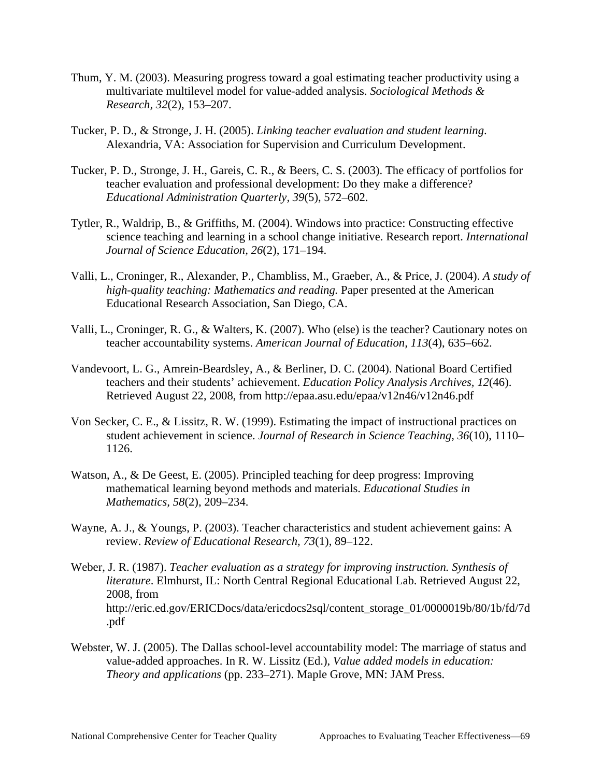- Thum, Y. M. (2003). Measuring progress toward a goal estimating teacher productivity using a multivariate multilevel model for value-added analysis. *Sociological Methods & Research, 32*(2), 153–207.
- Tucker, P. D., & Stronge, J. H. (2005). *Linking teacher evaluation and student learning*. Alexandria, VA: Association for Supervision and Curriculum Development.
- Tucker, P. D., Stronge, J. H., Gareis, C. R., & Beers, C. S. (2003). The efficacy of portfolios for teacher evaluation and professional development: Do they make a difference? *Educational Administration Quarterly, 39*(5), 572–602.
- Tytler, R., Waldrip, B., & Griffiths, M. (2004). Windows into practice: Constructing effective science teaching and learning in a school change initiative. Research report. *International Journal of Science Education, 26*(2), 171–194.
- Valli, L., Croninger, R., Alexander, P., Chambliss, M., Graeber, A., & Price, J. (2004). *A study of high-quality teaching: Mathematics and reading.* Paper presented at the American Educational Research Association, San Diego, CA.
- Valli, L., Croninger, R. G., & Walters, K. (2007). Who (else) is the teacher? Cautionary notes on teacher accountability systems. *American Journal of Education, 113*(4), 635–662.
- Vandevoort, L. G., Amrein-Beardsley, A., & Berliner, D. C. (2004). National Board Certified teachers and their students' achievement. *Education Policy Analysis Archives, 12*(46). Retrieved August 22, 2008, from http://epaa.asu.edu/epaa/v12n46/v12n46.pdf
- Von Secker, C. E., & Lissitz, R. W. (1999). Estimating the impact of instructional practices on student achievement in science. *Journal of Research in Science Teaching, 36*(10), 1110– 1126.
- Watson, A., & De Geest, E. (2005). Principled teaching for deep progress: Improving mathematical learning beyond methods and materials. *Educational Studies in Mathematics, 58*(2), 209–234.
- Wayne, A. J., & Youngs, P. (2003). Teacher characteristics and student achievement gains: A review. *Review of Educational Research, 73*(1), 89–122.
- Weber, J. R. (1987). *Teacher evaluation as a strategy for improving instruction. Synthesis of literature*. Elmhurst, IL: North Central Regional Educational Lab. Retrieved August 22, 2008, from http://eric.ed.gov/ERICDocs/data/ericdocs2sql/content\_storage\_01/0000019b/80/1b/fd/7d .pdf
- Webster, W. J. (2005). The Dallas school-level accountability model: The marriage of status and value-added approaches. In R. W. Lissitz (Ed.), *Value added models in education: Theory and applications* (pp. 233–271). Maple Grove, MN: JAM Press.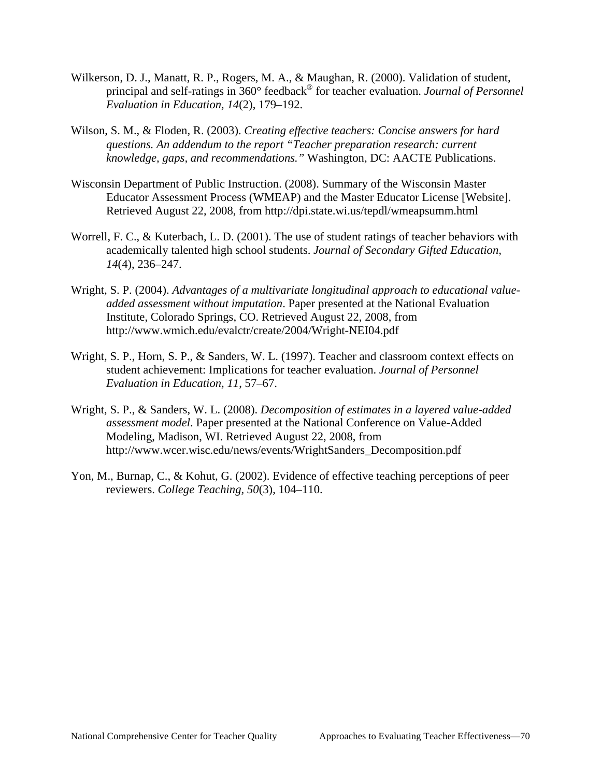- Wilkerson, D. J., Manatt, R. P., Rogers, M. A., & Maughan, R. (2000). Validation of student, principal and self-ratings in 360° feedback® for teacher evaluation. *Journal of Personnel Evaluation in Education, 14*(2), 179–192.
- Wilson, S. M., & Floden, R. (2003). *Creating effective teachers: Concise answers for hard questions. An addendum to the report "Teacher preparation research: current knowledge, gaps, and recommendations."* Washington, DC: AACTE Publications.
- Wisconsin Department of Public Instruction. (2008). Summary of the Wisconsin Master Educator Assessment Process (WMEAP) and the Master Educator License [Website]. Retrieved August 22, 2008, from http://dpi.state.wi.us/tepdl/wmeapsumm.html
- Worrell, F. C., & Kuterbach, L. D. (2001). The use of student ratings of teacher behaviors with academically talented high school students. *Journal of Secondary Gifted Education, 14*(4), 236–247.
- Wright, S. P. (2004). *Advantages of a multivariate longitudinal approach to educational valueadded assessment without imputation*. Paper presented at the National Evaluation Institute, Colorado Springs, CO. Retrieved August 22, 2008, from http://www.wmich.edu/evalctr/create/2004/Wright-NEI04.pdf
- Wright, S. P., Horn, S. P., & Sanders, W. L. (1997). Teacher and classroom context effects on student achievement: Implications for teacher evaluation. *Journal of Personnel Evaluation in Education, 11*, 57–67.
- Wright, S. P., & Sanders, W. L. (2008). *Decomposition of estimates in a layered value-added assessment model*. Paper presented at the National Conference on Value-Added Modeling, Madison, WI. Retrieved August 22, 2008, from http://www.wcer.wisc.edu/news/events/WrightSanders\_Decomposition.pdf
- Yon, M., Burnap, C., & Kohut, G. (2002). Evidence of effective teaching perceptions of peer reviewers. *College Teaching, 50*(3), 104–110.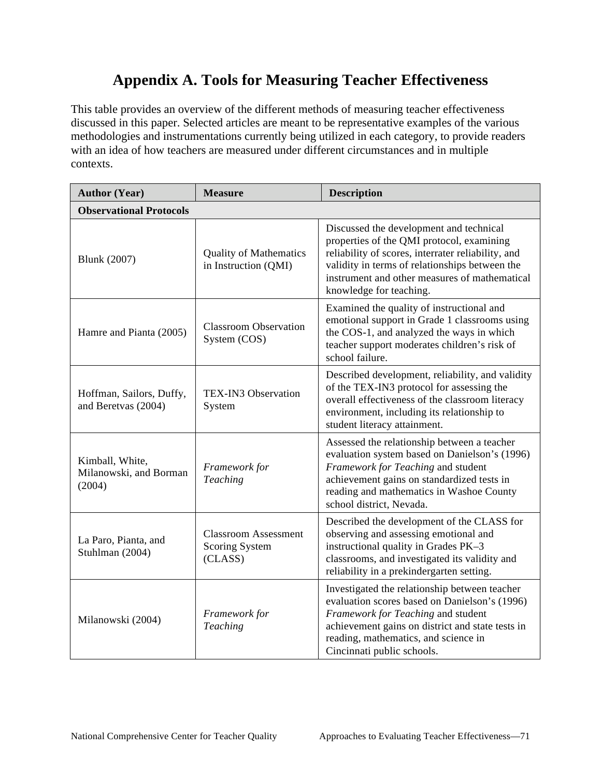## **Appendix A. Tools for Measuring Teacher Effectiveness**

This table provides an overview of the different methods of measuring teacher effectiveness discussed in this paper. Selected articles are meant to be representative examples of the various methodologies and instrumentations currently being utilized in each category, to provide readers with an idea of how teachers are measured under different circumstances and in multiple contexts.

| <b>Author (Year)</b>                                | <b>Measure</b>                                           | <b>Description</b>                                                                                                                                                                                                                                                       |
|-----------------------------------------------------|----------------------------------------------------------|--------------------------------------------------------------------------------------------------------------------------------------------------------------------------------------------------------------------------------------------------------------------------|
| <b>Observational Protocols</b>                      |                                                          |                                                                                                                                                                                                                                                                          |
| <b>Blunk</b> (2007)                                 | <b>Quality of Mathematics</b><br>in Instruction (QMI)    | Discussed the development and technical<br>properties of the QMI protocol, examining<br>reliability of scores, interrater reliability, and<br>validity in terms of relationships between the<br>instrument and other measures of mathematical<br>knowledge for teaching. |
| Hamre and Pianta (2005)                             | <b>Classroom Observation</b><br>System (COS)             | Examined the quality of instructional and<br>emotional support in Grade 1 classrooms using<br>the COS-1, and analyzed the ways in which<br>teacher support moderates children's risk of<br>school failure.                                                               |
| Hoffman, Sailors, Duffy,<br>and Beretvas (2004)     | TEX-IN3 Observation<br>System                            | Described development, reliability, and validity<br>of the TEX-IN3 protocol for assessing the<br>overall effectiveness of the classroom literacy<br>environment, including its relationship to<br>student literacy attainment.                                           |
| Kimball, White,<br>Milanowski, and Borman<br>(2004) | Framework for<br>Teaching                                | Assessed the relationship between a teacher<br>evaluation system based on Danielson's (1996)<br>Framework for Teaching and student<br>achievement gains on standardized tests in<br>reading and mathematics in Washoe County<br>school district, Nevada.                 |
| La Paro, Pianta, and<br>Stuhlman (2004)             | <b>Classroom Assessment</b><br>Scoring System<br>(CLASS) | Described the development of the CLASS for<br>observing and assessing emotional and<br>instructional quality in Grades PK-3<br>classrooms, and investigated its validity and<br>reliability in a prekindergarten setting.                                                |
| Milanowski (2004)                                   | Framework for<br>Teaching                                | Investigated the relationship between teacher<br>evaluation scores based on Danielson's (1996)<br>Framework for Teaching and student<br>achievement gains on district and state tests in<br>reading, mathematics, and science in<br>Cincinnati public schools.           |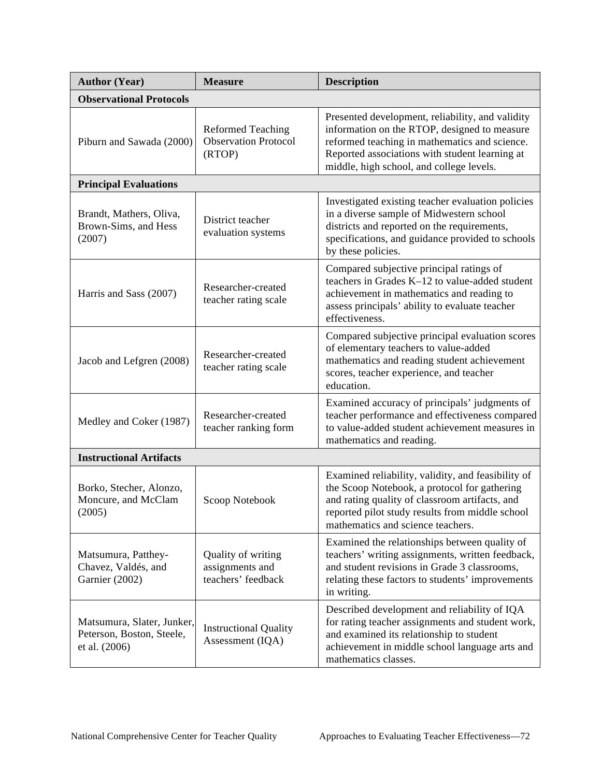| <b>Author (Year)</b>                                                     | <b>Measure</b>                                                    | <b>Description</b>                                                                                                                                                                                                                              |
|--------------------------------------------------------------------------|-------------------------------------------------------------------|-------------------------------------------------------------------------------------------------------------------------------------------------------------------------------------------------------------------------------------------------|
| <b>Observational Protocols</b>                                           |                                                                   |                                                                                                                                                                                                                                                 |
| Piburn and Sawada (2000)                                                 | <b>Reformed Teaching</b><br><b>Observation Protocol</b><br>(RTOP) | Presented development, reliability, and validity<br>information on the RTOP, designed to measure<br>reformed teaching in mathematics and science.<br>Reported associations with student learning at<br>middle, high school, and college levels. |
| <b>Principal Evaluations</b>                                             |                                                                   |                                                                                                                                                                                                                                                 |
| Brandt, Mathers, Oliva,<br>Brown-Sims, and Hess<br>(2007)                | District teacher<br>evaluation systems                            | Investigated existing teacher evaluation policies<br>in a diverse sample of Midwestern school<br>districts and reported on the requirements,<br>specifications, and guidance provided to schools<br>by these policies.                          |
| Harris and Sass (2007)                                                   | Researcher-created<br>teacher rating scale                        | Compared subjective principal ratings of<br>teachers in Grades K-12 to value-added student<br>achievement in mathematics and reading to<br>assess principals' ability to evaluate teacher<br>effectiveness.                                     |
| Jacob and Lefgren (2008)                                                 | Researcher-created<br>teacher rating scale                        | Compared subjective principal evaluation scores<br>of elementary teachers to value-added<br>mathematics and reading student achievement<br>scores, teacher experience, and teacher<br>education.                                                |
| Medley and Coker (1987)                                                  | Researcher-created<br>teacher ranking form                        | Examined accuracy of principals' judgments of<br>teacher performance and effectiveness compared<br>to value-added student achievement measures in<br>mathematics and reading.                                                                   |
| <b>Instructional Artifacts</b>                                           |                                                                   |                                                                                                                                                                                                                                                 |
| Borko, Stecher, Alonzo,<br>Moncure, and McClam<br>(2005)                 | Scoop Notebook                                                    | Examined reliability, validity, and feasibility of<br>the Scoop Notebook, a protocol for gathering<br>and rating quality of classroom artifacts, and<br>reported pilot study results from middle school<br>mathematics and science teachers.    |
| Matsumura, Patthey-<br>Chavez, Valdés, and<br>Garnier (2002)             | Quality of writing<br>assignments and<br>teachers' feedback       | Examined the relationships between quality of<br>teachers' writing assignments, written feedback,<br>and student revisions in Grade 3 classrooms,<br>relating these factors to students' improvements<br>in writing.                            |
| Matsumura, Slater, Junker,<br>Peterson, Boston, Steele,<br>et al. (2006) | <b>Instructional Quality</b><br>Assessment (IQA)                  | Described development and reliability of IQA<br>for rating teacher assignments and student work,<br>and examined its relationship to student<br>achievement in middle school language arts and<br>mathematics classes.                          |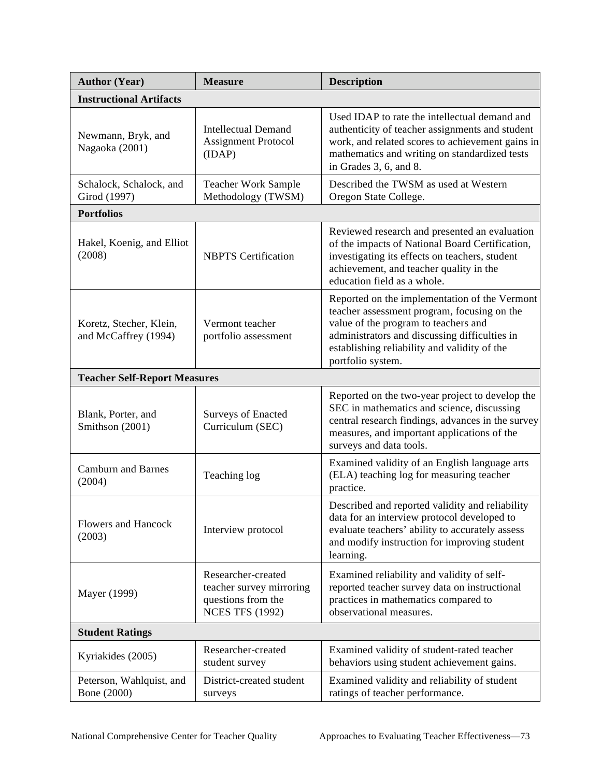| <b>Author (Year)</b>                            | <b>Measure</b>                                                                                 | <b>Description</b>                                                                                                                                                                                                                                         |  |
|-------------------------------------------------|------------------------------------------------------------------------------------------------|------------------------------------------------------------------------------------------------------------------------------------------------------------------------------------------------------------------------------------------------------------|--|
| <b>Instructional Artifacts</b>                  |                                                                                                |                                                                                                                                                                                                                                                            |  |
| Newmann, Bryk, and<br>Nagaoka (2001)            | <b>Intellectual Demand</b><br><b>Assignment Protocol</b><br>(IDAP)                             | Used IDAP to rate the intellectual demand and<br>authenticity of teacher assignments and student<br>work, and related scores to achievement gains in<br>mathematics and writing on standardized tests<br>in Grades 3, 6, and 8.                            |  |
| Schalock, Schalock, and<br>Girod (1997)         | <b>Teacher Work Sample</b><br>Methodology (TWSM)                                               | Described the TWSM as used at Western<br>Oregon State College.                                                                                                                                                                                             |  |
| <b>Portfolios</b>                               |                                                                                                |                                                                                                                                                                                                                                                            |  |
| Hakel, Koenig, and Elliot<br>(2008)             | <b>NBPTS</b> Certification                                                                     | Reviewed research and presented an evaluation<br>of the impacts of National Board Certification,<br>investigating its effects on teachers, student<br>achievement, and teacher quality in the<br>education field as a whole.                               |  |
| Koretz, Stecher, Klein,<br>and McCaffrey (1994) | Vermont teacher<br>portfolio assessment                                                        | Reported on the implementation of the Vermont<br>teacher assessment program, focusing on the<br>value of the program to teachers and<br>administrators and discussing difficulties in<br>establishing reliability and validity of the<br>portfolio system. |  |
| <b>Teacher Self-Report Measures</b>             |                                                                                                |                                                                                                                                                                                                                                                            |  |
| Blank, Porter, and<br>Smithson (2001)           | <b>Surveys of Enacted</b><br>Curriculum (SEC)                                                  | Reported on the two-year project to develop the<br>SEC in mathematics and science, discussing<br>central research findings, advances in the survey<br>measures, and important applications of the<br>surveys and data tools.                               |  |
| <b>Camburn and Barnes</b><br>(2004)             | Teaching log                                                                                   | Examined validity of an English language arts<br>(ELA) teaching log for measuring teacher<br>practice.                                                                                                                                                     |  |
| Flowers and Hancock<br>(2003)                   | Interview protocol                                                                             | Described and reported validity and reliability<br>data for an interview protocol developed to<br>evaluate teachers' ability to accurately assess<br>and modify instruction for improving student<br>learning.                                             |  |
| Mayer (1999)                                    | Researcher-created<br>teacher survey mirroring<br>questions from the<br><b>NCES TFS (1992)</b> | Examined reliability and validity of self-<br>reported teacher survey data on instructional<br>practices in mathematics compared to<br>observational measures.                                                                                             |  |
| <b>Student Ratings</b>                          |                                                                                                |                                                                                                                                                                                                                                                            |  |
| Kyriakides (2005)                               | Researcher-created<br>student survey                                                           | Examined validity of student-rated teacher<br>behaviors using student achievement gains.                                                                                                                                                                   |  |
| Peterson, Wahlquist, and<br>Bone (2000)         | District-created student<br>surveys                                                            | Examined validity and reliability of student<br>ratings of teacher performance.                                                                                                                                                                            |  |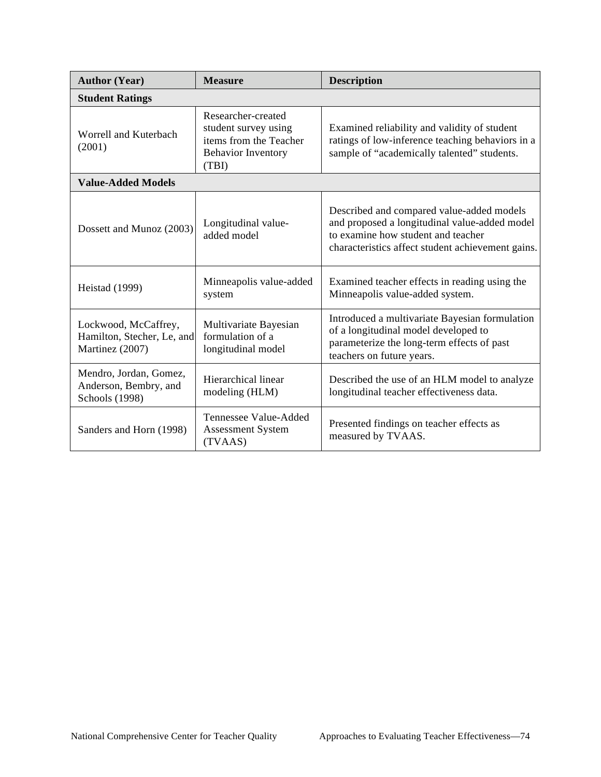| <b>Author (Year)</b>                                                  | <b>Measure</b>                                                                                             | <b>Description</b>                                                                                                                                                                    |
|-----------------------------------------------------------------------|------------------------------------------------------------------------------------------------------------|---------------------------------------------------------------------------------------------------------------------------------------------------------------------------------------|
| <b>Student Ratings</b>                                                |                                                                                                            |                                                                                                                                                                                       |
| Worrell and Kuterbach<br>(2001)                                       | Researcher-created<br>student survey using<br>items from the Teacher<br><b>Behavior Inventory</b><br>(TBI) | Examined reliability and validity of student<br>ratings of low-inference teaching behaviors in a<br>sample of "academically talented" students.                                       |
| <b>Value-Added Models</b>                                             |                                                                                                            |                                                                                                                                                                                       |
| Dossett and Munoz (2003)                                              | Longitudinal value-<br>added model                                                                         | Described and compared value-added models<br>and proposed a longitudinal value-added model<br>to examine how student and teacher<br>characteristics affect student achievement gains. |
| <b>Heistad</b> (1999)                                                 | Minneapolis value-added<br>system                                                                          | Examined teacher effects in reading using the<br>Minneapolis value-added system.                                                                                                      |
| Lockwood, McCaffrey,<br>Hamilton, Stecher, Le, and<br>Martinez (2007) | Multivariate Bayesian<br>formulation of a<br>longitudinal model                                            | Introduced a multivariate Bayesian formulation<br>of a longitudinal model developed to<br>parameterize the long-term effects of past<br>teachers on future years.                     |
| Mendro, Jordan, Gomez,<br>Anderson, Bembry, and<br>Schools (1998)     | Hierarchical linear<br>modeling (HLM)                                                                      | Described the use of an HLM model to analyze<br>longitudinal teacher effectiveness data.                                                                                              |
| Sanders and Horn (1998)                                               | Tennessee Value-Added<br>Assessment System<br>(TVAAS)                                                      | Presented findings on teacher effects as<br>measured by TVAAS.                                                                                                                        |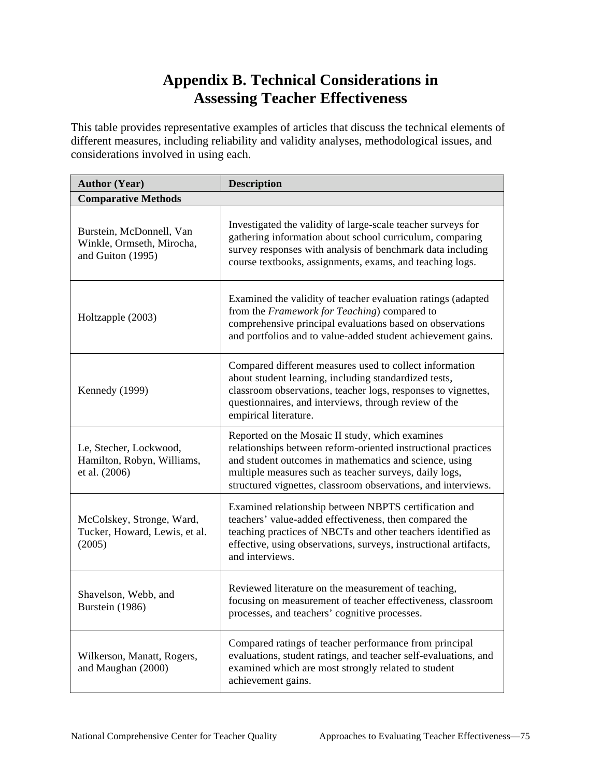## **Appendix B. Technical Considerations in Assessing Teacher Effectiveness**

This table provides representative examples of articles that discuss the technical elements of different measures, including reliability and validity analyses, methodological issues, and considerations involved in using each.

| <b>Author (Year)</b>                                                       | <b>Description</b>                                                                                                                                                                                                                                                                                    |  |  |  |
|----------------------------------------------------------------------------|-------------------------------------------------------------------------------------------------------------------------------------------------------------------------------------------------------------------------------------------------------------------------------------------------------|--|--|--|
| <b>Comparative Methods</b>                                                 |                                                                                                                                                                                                                                                                                                       |  |  |  |
| Burstein, McDonnell, Van<br>Winkle, Ormseth, Mirocha,<br>and Guiton (1995) | Investigated the validity of large-scale teacher surveys for<br>gathering information about school curriculum, comparing<br>survey responses with analysis of benchmark data including<br>course textbooks, assignments, exams, and teaching logs.                                                    |  |  |  |
| Holtzapple (2003)                                                          | Examined the validity of teacher evaluation ratings (adapted<br>from the Framework for Teaching) compared to<br>comprehensive principal evaluations based on observations<br>and portfolios and to value-added student achievement gains.                                                             |  |  |  |
| Kennedy (1999)                                                             | Compared different measures used to collect information<br>about student learning, including standardized tests,<br>classroom observations, teacher logs, responses to vignettes,<br>questionnaires, and interviews, through review of the<br>empirical literature.                                   |  |  |  |
| Le, Stecher, Lockwood,<br>Hamilton, Robyn, Williams,<br>et al. (2006)      | Reported on the Mosaic II study, which examines<br>relationships between reform-oriented instructional practices<br>and student outcomes in mathematics and science, using<br>multiple measures such as teacher surveys, daily logs,<br>structured vignettes, classroom observations, and interviews. |  |  |  |
| McColskey, Stronge, Ward,<br>Tucker, Howard, Lewis, et al.<br>(2005)       | Examined relationship between NBPTS certification and<br>teachers' value-added effectiveness, then compared the<br>teaching practices of NBCTs and other teachers identified as<br>effective, using observations, surveys, instructional artifacts,<br>and interviews.                                |  |  |  |
| Shavelson, Webb, and<br>Burstein (1986)                                    | Reviewed literature on the measurement of teaching,<br>focusing on measurement of teacher effectiveness, classroom<br>processes, and teachers' cognitive processes.                                                                                                                                   |  |  |  |
| Wilkerson, Manatt, Rogers,<br>and Maughan (2000)                           | Compared ratings of teacher performance from principal<br>evaluations, student ratings, and teacher self-evaluations, and<br>examined which are most strongly related to student<br>achievement gains.                                                                                                |  |  |  |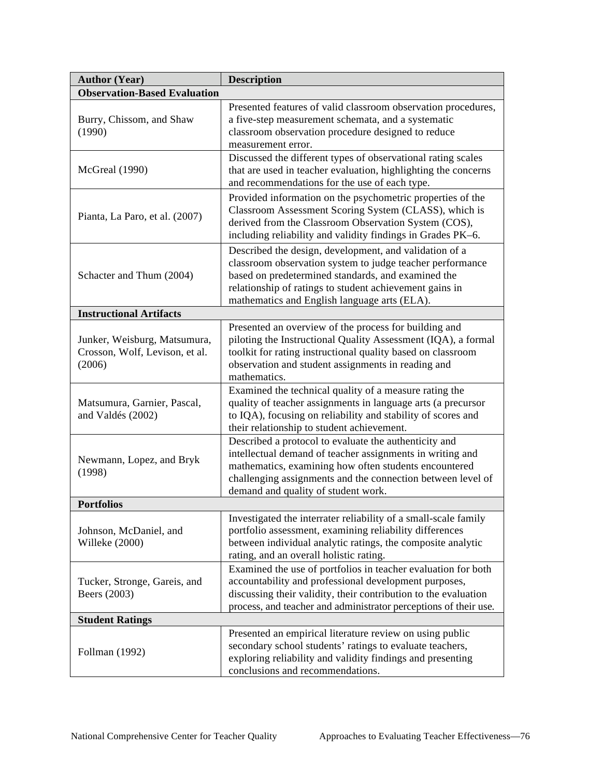| <b>Author (Year)</b>                                                                                                                                                                              | <b>Description</b>                                                                                                                                                                                                                                                                   |  |  |
|---------------------------------------------------------------------------------------------------------------------------------------------------------------------------------------------------|--------------------------------------------------------------------------------------------------------------------------------------------------------------------------------------------------------------------------------------------------------------------------------------|--|--|
| <b>Observation-Based Evaluation</b>                                                                                                                                                               |                                                                                                                                                                                                                                                                                      |  |  |
| Burry, Chissom, and Shaw<br>(1990)                                                                                                                                                                | Presented features of valid classroom observation procedures,<br>a five-step measurement schemata, and a systematic<br>classroom observation procedure designed to reduce<br>measurement error.                                                                                      |  |  |
| Discussed the different types of observational rating scales<br>that are used in teacher evaluation, highlighting the concerns<br>McGreal (1990)<br>and recommendations for the use of each type. |                                                                                                                                                                                                                                                                                      |  |  |
| Pianta, La Paro, et al. (2007)                                                                                                                                                                    | Provided information on the psychometric properties of the<br>Classroom Assessment Scoring System (CLASS), which is<br>derived from the Classroom Observation System (COS),<br>including reliability and validity findings in Grades PK-6.                                           |  |  |
| Schacter and Thum (2004)                                                                                                                                                                          | Described the design, development, and validation of a<br>classroom observation system to judge teacher performance<br>based on predetermined standards, and examined the<br>relationship of ratings to student achievement gains in<br>mathematics and English language arts (ELA). |  |  |
| <b>Instructional Artifacts</b>                                                                                                                                                                    |                                                                                                                                                                                                                                                                                      |  |  |
| Junker, Weisburg, Matsumura,<br>Crosson, Wolf, Levison, et al.<br>(2006)                                                                                                                          | Presented an overview of the process for building and<br>piloting the Instructional Quality Assessment (IQA), a formal<br>toolkit for rating instructional quality based on classroom<br>observation and student assignments in reading and<br>mathematics.                          |  |  |
| Matsumura, Garnier, Pascal,<br>and Valdés (2002)                                                                                                                                                  | Examined the technical quality of a measure rating the<br>quality of teacher assignments in language arts (a precursor<br>to IQA), focusing on reliability and stability of scores and<br>their relationship to student achievement.                                                 |  |  |
| Newmann, Lopez, and Bryk<br>(1998)                                                                                                                                                                | Described a protocol to evaluate the authenticity and<br>intellectual demand of teacher assignments in writing and<br>mathematics, examining how often students encountered<br>challenging assignments and the connection between level of<br>demand and quality of student work.    |  |  |
| <b>Portfolios</b>                                                                                                                                                                                 |                                                                                                                                                                                                                                                                                      |  |  |
| Johnson, McDaniel, and<br>Willeke (2000)                                                                                                                                                          | Investigated the interrater reliability of a small-scale family<br>portfolio assessment, examining reliability differences<br>between individual analytic ratings, the composite analytic<br>rating, and an overall holistic rating.                                                 |  |  |
| Tucker, Stronge, Gareis, and<br>Beers (2003)                                                                                                                                                      | Examined the use of portfolios in teacher evaluation for both<br>accountability and professional development purposes,<br>discussing their validity, their contribution to the evaluation<br>process, and teacher and administrator perceptions of their use.                        |  |  |
| <b>Student Ratings</b>                                                                                                                                                                            |                                                                                                                                                                                                                                                                                      |  |  |
| Follman (1992)                                                                                                                                                                                    | Presented an empirical literature review on using public<br>secondary school students' ratings to evaluate teachers,<br>exploring reliability and validity findings and presenting<br>conclusions and recommendations.                                                               |  |  |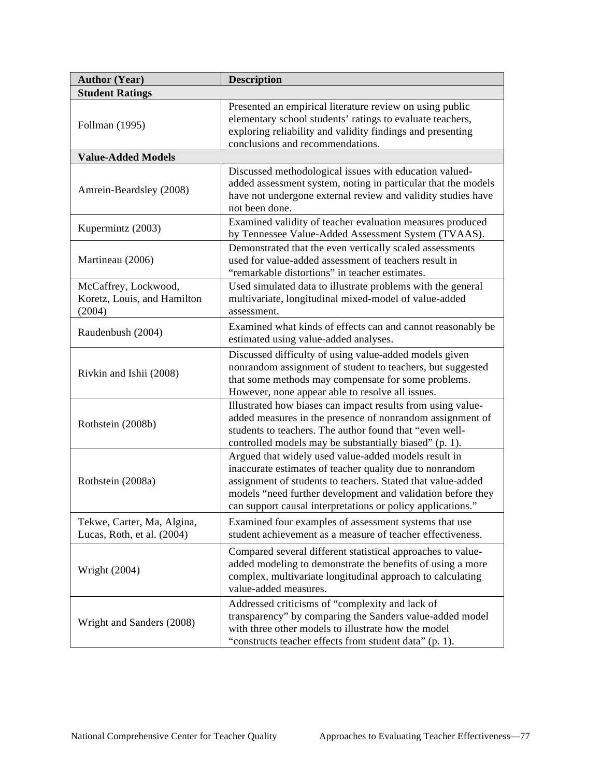| <b>Author (Year)</b>                                          | <b>Description</b>                                                                                                                                                                                                                                                                                            |  |  |
|---------------------------------------------------------------|---------------------------------------------------------------------------------------------------------------------------------------------------------------------------------------------------------------------------------------------------------------------------------------------------------------|--|--|
| <b>Student Ratings</b>                                        |                                                                                                                                                                                                                                                                                                               |  |  |
| Follman (1995)                                                | Presented an empirical literature review on using public<br>elementary school students' ratings to evaluate teachers,<br>exploring reliability and validity findings and presenting<br>conclusions and recommendations.                                                                                       |  |  |
| <b>Value-Added Models</b>                                     |                                                                                                                                                                                                                                                                                                               |  |  |
| Amrein-Beardsley (2008)                                       | Discussed methodological issues with education valued-<br>added assessment system, noting in particular that the models<br>have not undergone external review and validity studies have<br>not been done.                                                                                                     |  |  |
| Kupermintz (2003)                                             | Examined validity of teacher evaluation measures produced<br>by Tennessee Value-Added Assessment System (TVAAS).                                                                                                                                                                                              |  |  |
| Martineau (2006)                                              | Demonstrated that the even vertically scaled assessments<br>used for value-added assessment of teachers result in<br>"remarkable distortions" in teacher estimates.                                                                                                                                           |  |  |
| McCaffrey, Lockwood,<br>Koretz, Louis, and Hamilton<br>(2004) | Used simulated data to illustrate problems with the general<br>multivariate, longitudinal mixed-model of value-added<br>assessment.                                                                                                                                                                           |  |  |
| Raudenbush (2004)                                             | Examined what kinds of effects can and cannot reasonably be<br>estimated using value-added analyses.                                                                                                                                                                                                          |  |  |
| Rivkin and Ishii (2008)                                       | Discussed difficulty of using value-added models given<br>nonrandom assignment of student to teachers, but suggested<br>that some methods may compensate for some problems.<br>However, none appear able to resolve all issues.                                                                               |  |  |
| Rothstein (2008b)                                             | Illustrated how biases can impact results from using value-<br>added measures in the presence of nonrandom assignment of<br>students to teachers. The author found that "even well-<br>controlled models may be substantially biased" (p. 1).                                                                 |  |  |
| Rothstein (2008a)                                             | Argued that widely used value-added models result in<br>inaccurate estimates of teacher quality due to nonrandom<br>assignment of students to teachers. Stated that value-added<br>models "need further development and validation before they<br>can support causal interpretations or policy applications." |  |  |
| Tekwe, Carter, Ma, Algina,<br>Lucas, Roth, et al. (2004)      | Examined four examples of assessment systems that use<br>student achievement as a measure of teacher effectiveness.                                                                                                                                                                                           |  |  |
| Wright (2004)                                                 | Compared several different statistical approaches to value-<br>added modeling to demonstrate the benefits of using a more<br>complex, multivariate longitudinal approach to calculating<br>value-added measures.                                                                                              |  |  |
| Wright and Sanders (2008)                                     | Addressed criticisms of "complexity and lack of<br>transparency" by comparing the Sanders value-added model<br>with three other models to illustrate how the model<br>"constructs teacher effects from student data" (p. 1).                                                                                  |  |  |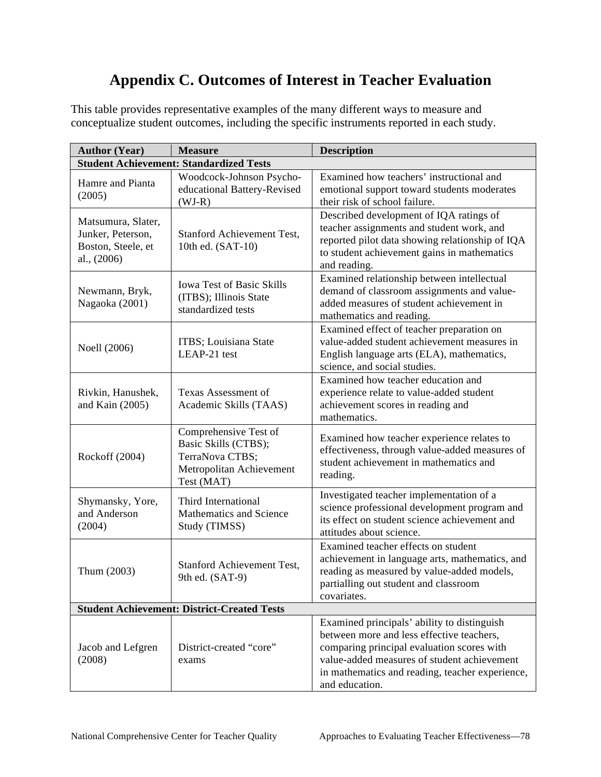## **Appendix C. Outcomes of Interest in Teacher Evaluation**

This table provides representative examples of the many different ways to measure and conceptualize student outcomes, including the specific instruments reported in each study.

| <b>Author (Year)</b>                                                         | <b>Measure</b>                                                                                             | <b>Description</b>                                                                                                                                                                                                                                         |  |
|------------------------------------------------------------------------------|------------------------------------------------------------------------------------------------------------|------------------------------------------------------------------------------------------------------------------------------------------------------------------------------------------------------------------------------------------------------------|--|
| <b>Student Achievement: Standardized Tests</b>                               |                                                                                                            |                                                                                                                                                                                                                                                            |  |
| Hamre and Pianta<br>(2005)                                                   | Woodcock-Johnson Psycho-<br>educational Battery-Revised<br>$(WJ-R)$                                        | Examined how teachers' instructional and<br>emotional support toward students moderates<br>their risk of school failure.                                                                                                                                   |  |
| Matsumura, Slater,<br>Junker, Peterson,<br>Boston, Steele, et<br>al., (2006) | Stanford Achievement Test,<br>10th ed. (SAT-10)                                                            | Described development of IQA ratings of<br>teacher assignments and student work, and<br>reported pilot data showing relationship of IQA<br>to student achievement gains in mathematics<br>and reading.                                                     |  |
| Newmann, Bryk,<br>Nagaoka (2001)                                             | <b>Iowa Test of Basic Skills</b><br>(ITBS); Illinois State<br>standardized tests                           | Examined relationship between intellectual<br>demand of classroom assignments and value-<br>added measures of student achievement in<br>mathematics and reading.                                                                                           |  |
| Noell (2006)                                                                 | ITBS; Louisiana State<br>LEAP-21 test                                                                      | Examined effect of teacher preparation on<br>value-added student achievement measures in<br>English language arts (ELA), mathematics,<br>science, and social studies.                                                                                      |  |
| Rivkin, Hanushek,<br>and Kain (2005)                                         | Texas Assessment of<br>Academic Skills (TAAS)                                                              | Examined how teacher education and<br>experience relate to value-added student<br>achievement scores in reading and<br>mathematics.                                                                                                                        |  |
| Rockoff (2004)                                                               | Comprehensive Test of<br>Basic Skills (CTBS);<br>TerraNova CTBS;<br>Metropolitan Achievement<br>Test (MAT) | Examined how teacher experience relates to<br>effectiveness, through value-added measures of<br>student achievement in mathematics and<br>reading.                                                                                                         |  |
| Shymansky, Yore,<br>and Anderson<br>(2004)                                   | Third International<br>Mathematics and Science<br>Study (TIMSS)                                            | Investigated teacher implementation of a<br>science professional development program and<br>its effect on student science achievement and<br>attitudes about science.                                                                                      |  |
| Thum (2003)                                                                  | <b>Stanford Achievement Test,</b><br>9th ed. (SAT-9)                                                       | Examined teacher effects on student<br>achievement in language arts, mathematics, and<br>reading as measured by value-added models,<br>partialling out student and classroom<br>covariates.                                                                |  |
|                                                                              | <b>Student Achievement: District-Created Tests</b>                                                         |                                                                                                                                                                                                                                                            |  |
| Jacob and Lefgren<br>(2008)                                                  | District-created "core"<br>exams                                                                           | Examined principals' ability to distinguish<br>between more and less effective teachers,<br>comparing principal evaluation scores with<br>value-added measures of student achievement<br>in mathematics and reading, teacher experience,<br>and education. |  |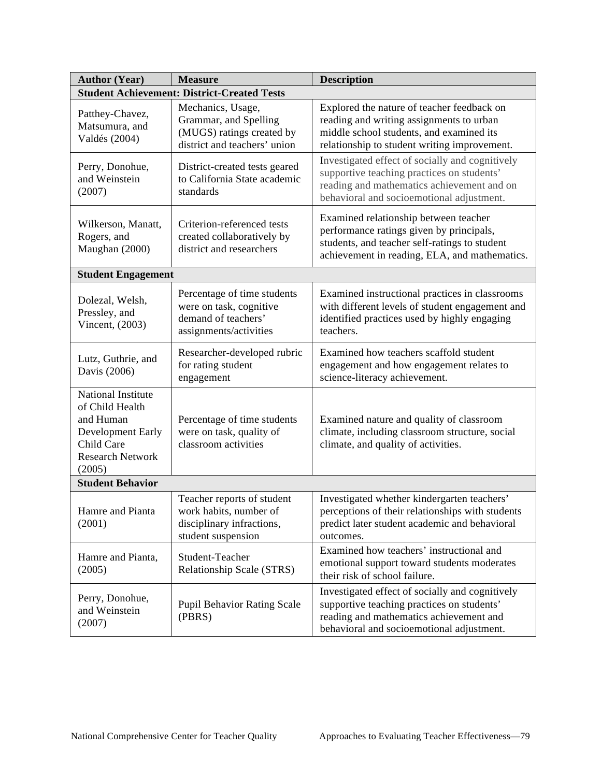| <b>Author (Year)</b>                                                                                                       | <b>Measure</b>                                                                                          | <b>Description</b>                                                                                                                                                                       |
|----------------------------------------------------------------------------------------------------------------------------|---------------------------------------------------------------------------------------------------------|------------------------------------------------------------------------------------------------------------------------------------------------------------------------------------------|
| <b>Student Achievement: District-Created Tests</b>                                                                         |                                                                                                         |                                                                                                                                                                                          |
| Patthey-Chavez,<br>Matsumura, and<br>Valdés (2004)                                                                         | Mechanics, Usage,<br>Grammar, and Spelling<br>(MUGS) ratings created by<br>district and teachers' union | Explored the nature of teacher feedback on<br>reading and writing assignments to urban<br>middle school students, and examined its<br>relationship to student writing improvement.       |
| Perry, Donohue,<br>and Weinstein<br>(2007)                                                                                 | District-created tests geared<br>to California State academic<br>standards                              | Investigated effect of socially and cognitively<br>supportive teaching practices on students'<br>reading and mathematics achievement and on<br>behavioral and socioemotional adjustment. |
| Wilkerson, Manatt,<br>Rogers, and<br>Maughan (2000)                                                                        | Criterion-referenced tests<br>created collaboratively by<br>district and researchers                    | Examined relationship between teacher<br>performance ratings given by principals,<br>students, and teacher self-ratings to student<br>achievement in reading, ELA, and mathematics.      |
| <b>Student Engagement</b>                                                                                                  |                                                                                                         |                                                                                                                                                                                          |
| Dolezal, Welsh,<br>Pressley, and<br>Vincent, (2003)                                                                        | Percentage of time students<br>were on task, cognitive<br>demand of teachers'<br>assignments/activities | Examined instructional practices in classrooms<br>with different levels of student engagement and<br>identified practices used by highly engaging<br>teachers.                           |
| Lutz, Guthrie, and<br>Davis (2006)                                                                                         | Researcher-developed rubric<br>for rating student<br>engagement                                         | Examined how teachers scaffold student<br>engagement and how engagement relates to<br>science-literacy achievement.                                                                      |
| National Institute<br>of Child Health<br>and Human<br>Development Early<br>Child Care<br><b>Research Network</b><br>(2005) | Percentage of time students<br>were on task, quality of<br>classroom activities                         | Examined nature and quality of classroom<br>climate, including classroom structure, social<br>climate, and quality of activities.                                                        |
| <b>Student Behavior</b>                                                                                                    |                                                                                                         |                                                                                                                                                                                          |
| Hamre and Pianta<br>(2001)                                                                                                 | Teacher reports of student<br>work habits, number of<br>disciplinary infractions,<br>student suspension | Investigated whether kindergarten teachers'<br>perceptions of their relationships with students<br>predict later student academic and behavioral<br>outcomes.                            |
| Hamre and Pianta,<br>(2005)                                                                                                | Student-Teacher<br>Relationship Scale (STRS)                                                            | Examined how teachers' instructional and<br>emotional support toward students moderates<br>their risk of school failure.                                                                 |
| Perry, Donohue,<br>and Weinstein<br>(2007)                                                                                 | <b>Pupil Behavior Rating Scale</b><br>(PBRS)                                                            | Investigated effect of socially and cognitively<br>supportive teaching practices on students'<br>reading and mathematics achievement and<br>behavioral and socioemotional adjustment.    |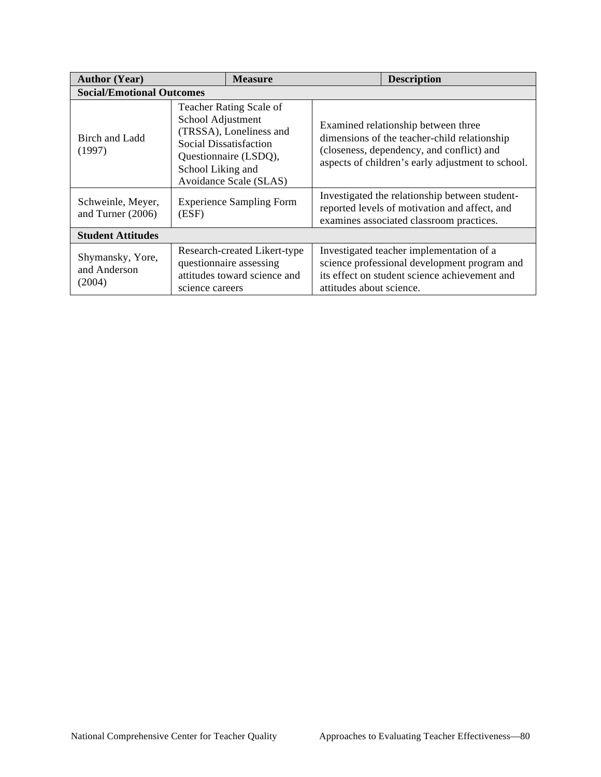| <b>Author (Year)</b>                       | <b>Measure</b>                                                                                                                                                            | <b>Description</b>                                                                                                                                                                    |  |
|--------------------------------------------|---------------------------------------------------------------------------------------------------------------------------------------------------------------------------|---------------------------------------------------------------------------------------------------------------------------------------------------------------------------------------|--|
|                                            | <b>Social/Emotional Outcomes</b>                                                                                                                                          |                                                                                                                                                                                       |  |
| Birch and Ladd<br>(1997)                   | Teacher Rating Scale of<br>School Adjustment<br>(TRSSA), Loneliness and<br>Social Dissatisfaction<br>Questionnaire (LSDQ),<br>School Liking and<br>Avoidance Scale (SLAS) | Examined relationship between three<br>dimensions of the teacher-child relationship<br>(closeness, dependency, and conflict) and<br>aspects of children's early adjustment to school. |  |
| Schweinle, Meyer,<br>and Turner (2006)     | <b>Experience Sampling Form</b><br>(ESF)                                                                                                                                  | Investigated the relationship between student-<br>reported levels of motivation and affect, and<br>examines associated classroom practices.                                           |  |
| <b>Student Attitudes</b>                   |                                                                                                                                                                           |                                                                                                                                                                                       |  |
| Shymansky, Yore,<br>and Anderson<br>(2004) | Research-created Likert-type<br>questionnaire assessing<br>attitudes toward science and<br>science careers                                                                | Investigated teacher implementation of a<br>science professional development program and<br>its effect on student science achievement and<br>attitudes about science.                 |  |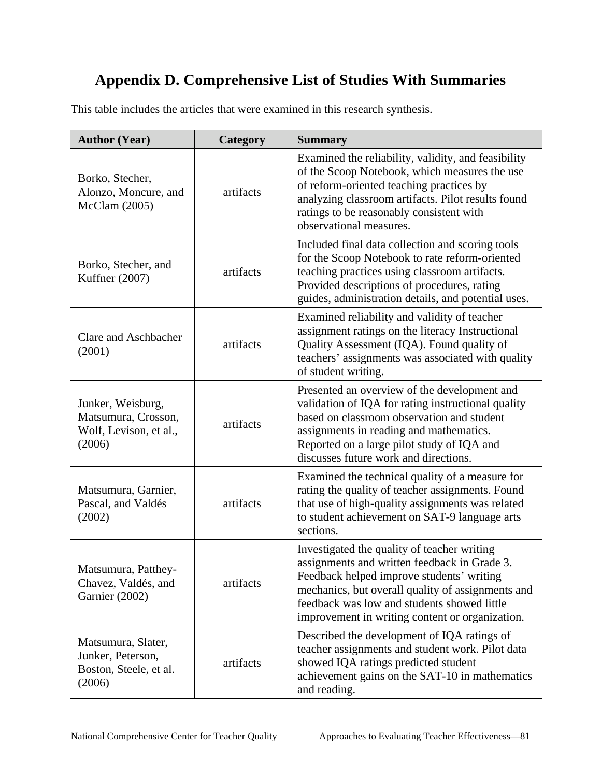## **Appendix D.Comprehensive List of Studies With Summaries**

This table includes the articles that were examined in this research synthesis.

| <b>Author (Year)</b>                                                         | Category  | <b>Summary</b>                                                                                                                                                                                                                                                                                  |
|------------------------------------------------------------------------------|-----------|-------------------------------------------------------------------------------------------------------------------------------------------------------------------------------------------------------------------------------------------------------------------------------------------------|
| Borko, Stecher,<br>Alonzo, Moncure, and<br>McClam (2005)                     | artifacts | Examined the reliability, validity, and feasibility<br>of the Scoop Notebook, which measures the use<br>of reform-oriented teaching practices by<br>analyzing classroom artifacts. Pilot results found<br>ratings to be reasonably consistent with<br>observational measures.                   |
| Borko, Stecher, and<br>Kuffner (2007)                                        | artifacts | Included final data collection and scoring tools<br>for the Scoop Notebook to rate reform-oriented<br>teaching practices using classroom artifacts.<br>Provided descriptions of procedures, rating<br>guides, administration details, and potential uses.                                       |
| Clare and Aschbacher<br>(2001)                                               | artifacts | Examined reliability and validity of teacher<br>assignment ratings on the literacy Instructional<br>Quality Assessment (IQA). Found quality of<br>teachers' assignments was associated with quality<br>of student writing.                                                                      |
| Junker, Weisburg,<br>Matsumura, Crosson,<br>Wolf, Levison, et al.,<br>(2006) | artifacts | Presented an overview of the development and<br>validation of IQA for rating instructional quality<br>based on classroom observation and student<br>assignments in reading and mathematics.<br>Reported on a large pilot study of IQA and<br>discusses future work and directions.              |
| Matsumura, Garnier,<br>Pascal, and Valdés<br>(2002)                          | artifacts | Examined the technical quality of a measure for<br>rating the quality of teacher assignments. Found<br>that use of high-quality assignments was related<br>to student achievement on SAT-9 language arts<br>sections.                                                                           |
| Matsumura, Patthey-<br>Chavez, Valdés, and<br>Garnier (2002)                 | artifacts | Investigated the quality of teacher writing<br>assignments and written feedback in Grade 3.<br>Feedback helped improve students' writing<br>mechanics, but overall quality of assignments and<br>feedback was low and students showed little<br>improvement in writing content or organization. |
| Matsumura, Slater,<br>Junker, Peterson,<br>Boston, Steele, et al.<br>(2006)  | artifacts | Described the development of IQA ratings of<br>teacher assignments and student work. Pilot data<br>showed IQA ratings predicted student<br>achievement gains on the SAT-10 in mathematics<br>and reading.                                                                                       |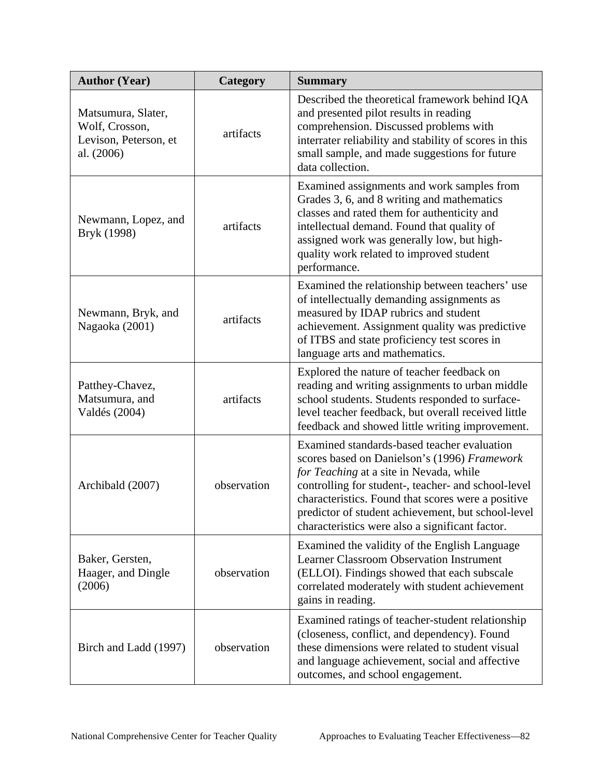| <b>Author (Year)</b>                                                        | Category    | <b>Summary</b>                                                                                                                                                                                                                                                                                                                                               |
|-----------------------------------------------------------------------------|-------------|--------------------------------------------------------------------------------------------------------------------------------------------------------------------------------------------------------------------------------------------------------------------------------------------------------------------------------------------------------------|
| Matsumura, Slater,<br>Wolf, Crosson,<br>Levison, Peterson, et<br>al. (2006) | artifacts   | Described the theoretical framework behind IQA<br>and presented pilot results in reading<br>comprehension. Discussed problems with<br>interrater reliability and stability of scores in this<br>small sample, and made suggestions for future<br>data collection.                                                                                            |
| Newmann, Lopez, and<br>Bryk (1998)                                          | artifacts   | Examined assignments and work samples from<br>Grades 3, 6, and 8 writing and mathematics<br>classes and rated them for authenticity and<br>intellectual demand. Found that quality of<br>assigned work was generally low, but high-<br>quality work related to improved student<br>performance.                                                              |
| Newmann, Bryk, and<br>Nagaoka (2001)                                        | artifacts   | Examined the relationship between teachers' use<br>of intellectually demanding assignments as<br>measured by IDAP rubrics and student<br>achievement. Assignment quality was predictive<br>of ITBS and state proficiency test scores in<br>language arts and mathematics.                                                                                    |
| Patthey-Chavez,<br>Matsumura, and<br>Valdés (2004)                          | artifacts   | Explored the nature of teacher feedback on<br>reading and writing assignments to urban middle<br>school students. Students responded to surface-<br>level teacher feedback, but overall received little<br>feedback and showed little writing improvement.                                                                                                   |
| Archibald (2007)                                                            | observation | Examined standards-based teacher evaluation<br>scores based on Danielson's (1996) Framework<br>for Teaching at a site in Nevada, while<br>controlling for student-, teacher- and school-level<br>characteristics. Found that scores were a positive<br>predictor of student achievement, but school-level<br>characteristics were also a significant factor. |
| Baker, Gersten,<br>Haager, and Dingle<br>(2006)                             | observation | Examined the validity of the English Language<br><b>Learner Classroom Observation Instrument</b><br>(ELLOI). Findings showed that each subscale<br>correlated moderately with student achievement<br>gains in reading.                                                                                                                                       |
| Birch and Ladd (1997)                                                       | observation | Examined ratings of teacher-student relationship<br>(closeness, conflict, and dependency). Found<br>these dimensions were related to student visual<br>and language achievement, social and affective<br>outcomes, and school engagement.                                                                                                                    |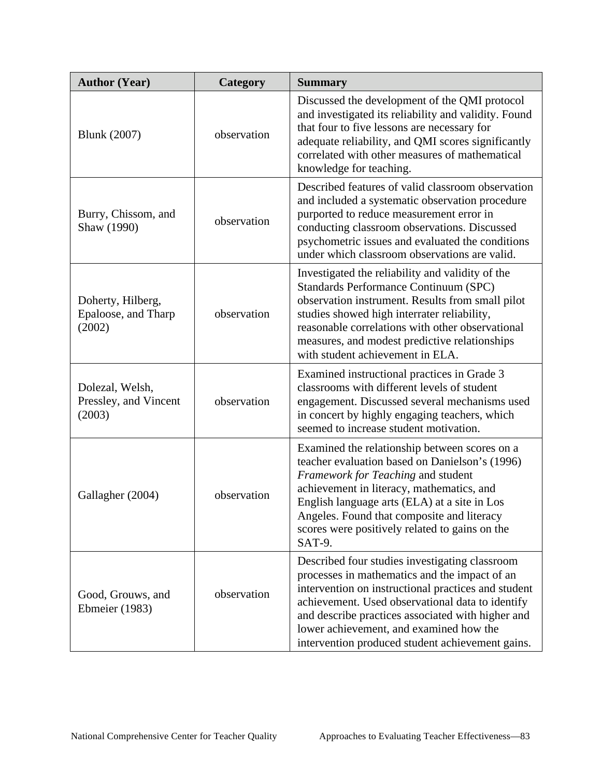| <b>Author (Year)</b>                               | Category    | <b>Summary</b>                                                                                                                                                                                                                                                                                                                                                 |
|----------------------------------------------------|-------------|----------------------------------------------------------------------------------------------------------------------------------------------------------------------------------------------------------------------------------------------------------------------------------------------------------------------------------------------------------------|
| <b>Blunk</b> (2007)                                | observation | Discussed the development of the QMI protocol<br>and investigated its reliability and validity. Found<br>that four to five lessons are necessary for<br>adequate reliability, and QMI scores significantly<br>correlated with other measures of mathematical<br>knowledge for teaching.                                                                        |
| Burry, Chissom, and<br>Shaw (1990)                 | observation | Described features of valid classroom observation<br>and included a systematic observation procedure<br>purported to reduce measurement error in<br>conducting classroom observations. Discussed<br>psychometric issues and evaluated the conditions<br>under which classroom observations are valid.                                                          |
| Doherty, Hilberg,<br>Epaloose, and Tharp<br>(2002) | observation | Investigated the reliability and validity of the<br>Standards Performance Continuum (SPC)<br>observation instrument. Results from small pilot<br>studies showed high interrater reliability,<br>reasonable correlations with other observational<br>measures, and modest predictive relationships<br>with student achievement in ELA.                          |
| Dolezal, Welsh,<br>Pressley, and Vincent<br>(2003) | observation | Examined instructional practices in Grade 3<br>classrooms with different levels of student<br>engagement. Discussed several mechanisms used<br>in concert by highly engaging teachers, which<br>seemed to increase student motivation.                                                                                                                         |
| Gallagher (2004)                                   | observation | Examined the relationship between scores on a<br>teacher evaluation based on Danielson's (1996)<br>Framework for Teaching and student<br>achievement in literacy, mathematics, and<br>English language arts (ELA) at a site in Los<br>Angeles. Found that composite and literacy<br>scores were positively related to gains on the<br>SAT-9.                   |
| Good, Grouws, and<br><b>Ebmeier</b> (1983)         | observation | Described four studies investigating classroom<br>processes in mathematics and the impact of an<br>intervention on instructional practices and student<br>achievement. Used observational data to identify<br>and describe practices associated with higher and<br>lower achievement, and examined how the<br>intervention produced student achievement gains. |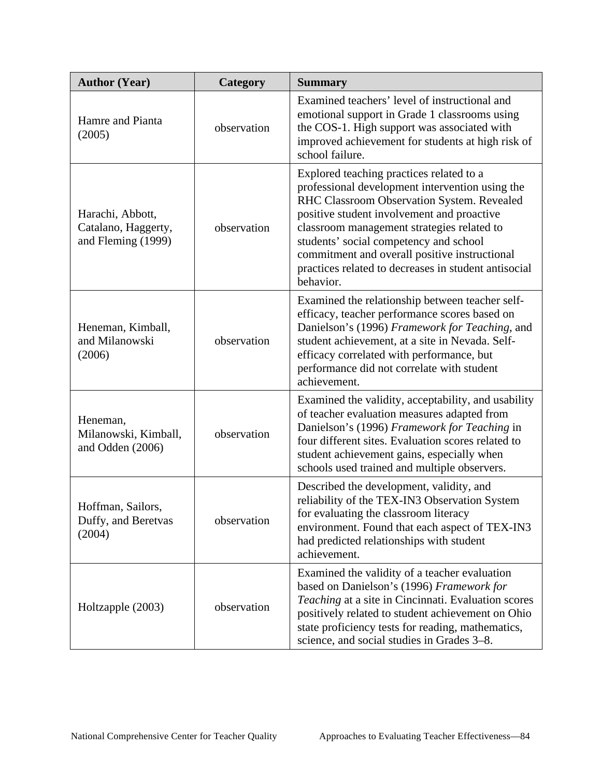| <b>Author (Year)</b>                                          | Category    | <b>Summary</b>                                                                                                                                                                                                                                                                                                                                                                                        |
|---------------------------------------------------------------|-------------|-------------------------------------------------------------------------------------------------------------------------------------------------------------------------------------------------------------------------------------------------------------------------------------------------------------------------------------------------------------------------------------------------------|
| Hamre and Pianta<br>(2005)                                    | observation | Examined teachers' level of instructional and<br>emotional support in Grade 1 classrooms using<br>the COS-1. High support was associated with<br>improved achievement for students at high risk of<br>school failure.                                                                                                                                                                                 |
| Harachi, Abbott,<br>Catalano, Haggerty,<br>and Fleming (1999) | observation | Explored teaching practices related to a<br>professional development intervention using the<br>RHC Classroom Observation System. Revealed<br>positive student involvement and proactive<br>classroom management strategies related to<br>students' social competency and school<br>commitment and overall positive instructional<br>practices related to decreases in student antisocial<br>behavior. |
| Heneman, Kimball,<br>and Milanowski<br>(2006)                 | observation | Examined the relationship between teacher self-<br>efficacy, teacher performance scores based on<br>Danielson's (1996) Framework for Teaching, and<br>student achievement, at a site in Nevada. Self-<br>efficacy correlated with performance, but<br>performance did not correlate with student<br>achievement.                                                                                      |
| Heneman,<br>Milanowski, Kimball,<br>and Odden (2006)          | observation | Examined the validity, acceptability, and usability<br>of teacher evaluation measures adapted from<br>Danielson's (1996) Framework for Teaching in<br>four different sites. Evaluation scores related to<br>student achievement gains, especially when<br>schools used trained and multiple observers.                                                                                                |
| Hoffman, Sailors,<br>Duffy, and Beretvas<br>(2004)            | observation | Described the development, validity, and<br>reliability of the TEX-IN3 Observation System<br>for evaluating the classroom literacy<br>environment. Found that each aspect of TEX-IN3<br>had predicted relationships with student<br>achievement.                                                                                                                                                      |
| Holtzapple (2003)                                             | observation | Examined the validity of a teacher evaluation<br>based on Danielson's (1996) Framework for<br>Teaching at a site in Cincinnati. Evaluation scores<br>positively related to student achievement on Ohio<br>state proficiency tests for reading, mathematics,<br>science, and social studies in Grades 3–8.                                                                                             |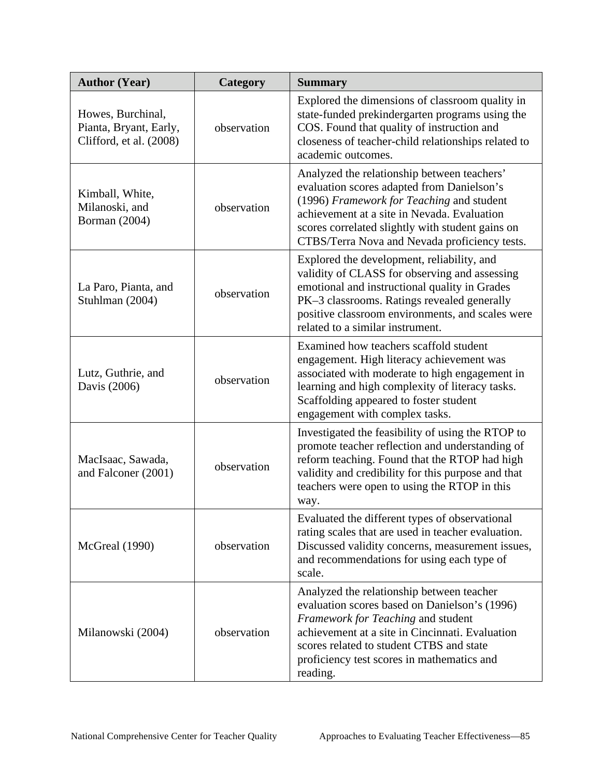| <b>Author (Year)</b>                                                   | Category    | <b>Summary</b>                                                                                                                                                                                                                                                                             |
|------------------------------------------------------------------------|-------------|--------------------------------------------------------------------------------------------------------------------------------------------------------------------------------------------------------------------------------------------------------------------------------------------|
| Howes, Burchinal,<br>Pianta, Bryant, Early,<br>Clifford, et al. (2008) | observation | Explored the dimensions of classroom quality in<br>state-funded prekindergarten programs using the<br>COS. Found that quality of instruction and<br>closeness of teacher-child relationships related to<br>academic outcomes.                                                              |
| Kimball, White,<br>Milanoski, and<br><b>Borman</b> (2004)              | observation | Analyzed the relationship between teachers'<br>evaluation scores adapted from Danielson's<br>(1996) Framework for Teaching and student<br>achievement at a site in Nevada. Evaluation<br>scores correlated slightly with student gains on<br>CTBS/Terra Nova and Nevada proficiency tests. |
| La Paro, Pianta, and<br>Stuhlman (2004)                                | observation | Explored the development, reliability, and<br>validity of CLASS for observing and assessing<br>emotional and instructional quality in Grades<br>PK-3 classrooms. Ratings revealed generally<br>positive classroom environments, and scales were<br>related to a similar instrument.        |
| Lutz, Guthrie, and<br>Davis (2006)                                     | observation | Examined how teachers scaffold student<br>engagement. High literacy achievement was<br>associated with moderate to high engagement in<br>learning and high complexity of literacy tasks.<br>Scaffolding appeared to foster student<br>engagement with complex tasks.                       |
| MacIsaac, Sawada,<br>and Falconer (2001)                               | observation | Investigated the feasibility of using the RTOP to<br>promote teacher reflection and understanding of<br>reform teaching. Found that the RTOP had high<br>validity and credibility for this purpose and that<br>teachers were open to using the RTOP in this<br>way.                        |
| <b>McGreal</b> (1990)                                                  | observation | Evaluated the different types of observational<br>rating scales that are used in teacher evaluation.<br>Discussed validity concerns, measurement issues,<br>and recommendations for using each type of<br>scale.                                                                           |
| Milanowski (2004)                                                      | observation | Analyzed the relationship between teacher<br>evaluation scores based on Danielson's (1996)<br>Framework for Teaching and student<br>achievement at a site in Cincinnati. Evaluation<br>scores related to student CTBS and state<br>proficiency test scores in mathematics and<br>reading.  |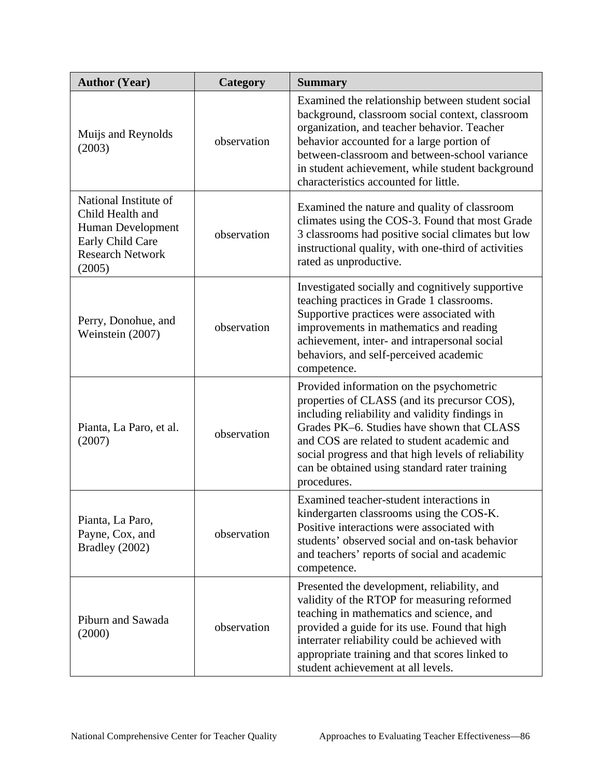| <b>Author (Year)</b>                                                                                                    | Category    | <b>Summary</b>                                                                                                                                                                                                                                                                                                                                                 |
|-------------------------------------------------------------------------------------------------------------------------|-------------|----------------------------------------------------------------------------------------------------------------------------------------------------------------------------------------------------------------------------------------------------------------------------------------------------------------------------------------------------------------|
| Muijs and Reynolds<br>(2003)                                                                                            | observation | Examined the relationship between student social<br>background, classroom social context, classroom<br>organization, and teacher behavior. Teacher<br>behavior accounted for a large portion of<br>between-classroom and between-school variance<br>in student achievement, while student background<br>characteristics accounted for little.                  |
| National Institute of<br>Child Health and<br>Human Development<br>Early Child Care<br><b>Research Network</b><br>(2005) | observation | Examined the nature and quality of classroom<br>climates using the COS-3. Found that most Grade<br>3 classrooms had positive social climates but low<br>instructional quality, with one-third of activities<br>rated as unproductive.                                                                                                                          |
| Perry, Donohue, and<br>Weinstein (2007)                                                                                 | observation | Investigated socially and cognitively supportive<br>teaching practices in Grade 1 classrooms.<br>Supportive practices were associated with<br>improvements in mathematics and reading<br>achievement, inter- and intrapersonal social<br>behaviors, and self-perceived academic<br>competence.                                                                 |
| Pianta, La Paro, et al.<br>(2007)                                                                                       | observation | Provided information on the psychometric<br>properties of CLASS (and its precursor COS),<br>including reliability and validity findings in<br>Grades PK-6. Studies have shown that CLASS<br>and COS are related to student academic and<br>social progress and that high levels of reliability<br>can be obtained using standard rater training<br>procedures. |
| Pianta, La Paro,<br>Payne, Cox, and<br>Bradley (2002)                                                                   | observation | Examined teacher-student interactions in<br>kindergarten classrooms using the COS-K.<br>Positive interactions were associated with<br>students' observed social and on-task behavior<br>and teachers' reports of social and academic<br>competence.                                                                                                            |
| Piburn and Sawada<br>(2000)                                                                                             | observation | Presented the development, reliability, and<br>validity of the RTOP for measuring reformed<br>teaching in mathematics and science, and<br>provided a guide for its use. Found that high<br>interrater reliability could be achieved with<br>appropriate training and that scores linked to<br>student achievement at all levels.                               |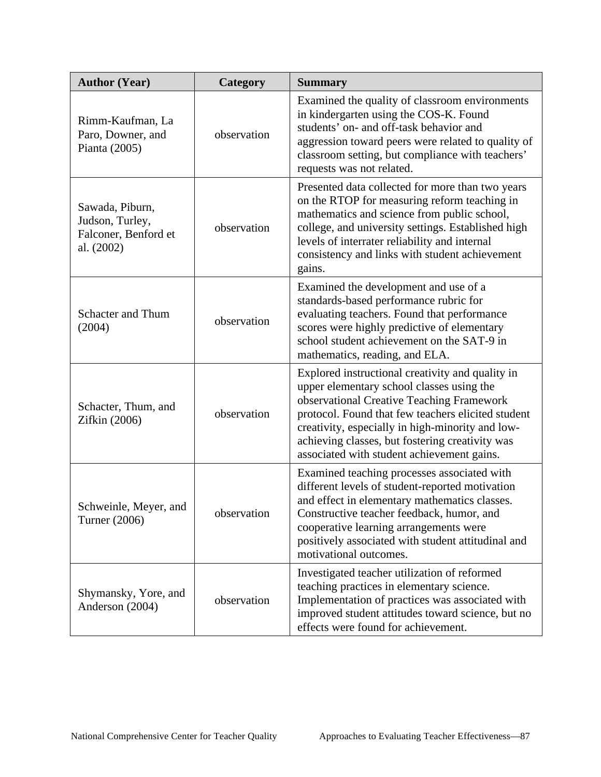| <b>Author (Year)</b>                                                     | Category    | <b>Summary</b>                                                                                                                                                                                                                                                                                                                                        |
|--------------------------------------------------------------------------|-------------|-------------------------------------------------------------------------------------------------------------------------------------------------------------------------------------------------------------------------------------------------------------------------------------------------------------------------------------------------------|
| Rimm-Kaufman, La<br>Paro, Downer, and<br>Pianta (2005)                   | observation | Examined the quality of classroom environments<br>in kindergarten using the COS-K. Found<br>students' on- and off-task behavior and<br>aggression toward peers were related to quality of<br>classroom setting, but compliance with teachers'<br>requests was not related.                                                                            |
| Sawada, Piburn,<br>Judson, Turley,<br>Falconer, Benford et<br>al. (2002) | observation | Presented data collected for more than two years<br>on the RTOP for measuring reform teaching in<br>mathematics and science from public school,<br>college, and university settings. Established high<br>levels of interrater reliability and internal<br>consistency and links with student achievement<br>gains.                                    |
| <b>Schacter and Thum</b><br>(2004)                                       | observation | Examined the development and use of a<br>standards-based performance rubric for<br>evaluating teachers. Found that performance<br>scores were highly predictive of elementary<br>school student achievement on the SAT-9 in<br>mathematics, reading, and ELA.                                                                                         |
| Schacter, Thum, and<br>Zifkin (2006)                                     | observation | Explored instructional creativity and quality in<br>upper elementary school classes using the<br>observational Creative Teaching Framework<br>protocol. Found that few teachers elicited student<br>creativity, especially in high-minority and low-<br>achieving classes, but fostering creativity was<br>associated with student achievement gains. |
| Schweinle, Meyer, and<br>Turner (2006)                                   | observation | Examined teaching processes associated with<br>different levels of student-reported motivation<br>and effect in elementary mathematics classes.<br>Constructive teacher feedback, humor, and<br>cooperative learning arrangements were<br>positively associated with student attitudinal and<br>motivational outcomes.                                |
| Shymansky, Yore, and<br>Anderson (2004)                                  | observation | Investigated teacher utilization of reformed<br>teaching practices in elementary science.<br>Implementation of practices was associated with<br>improved student attitudes toward science, but no<br>effects were found for achievement.                                                                                                              |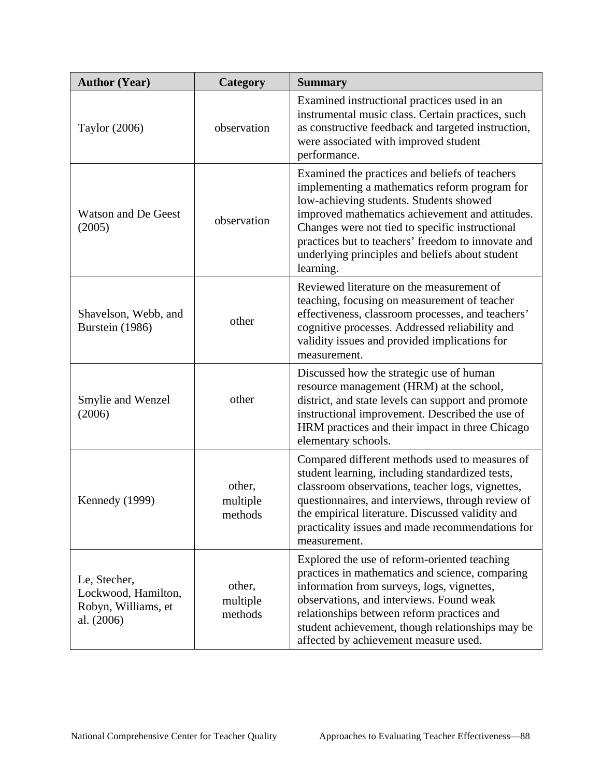| <b>Author (Year)</b>                                                     | Category                      | <b>Summary</b>                                                                                                                                                                                                                                                                                                                                                         |
|--------------------------------------------------------------------------|-------------------------------|------------------------------------------------------------------------------------------------------------------------------------------------------------------------------------------------------------------------------------------------------------------------------------------------------------------------------------------------------------------------|
| Taylor (2006)                                                            | observation                   | Examined instructional practices used in an<br>instrumental music class. Certain practices, such<br>as constructive feedback and targeted instruction,<br>were associated with improved student<br>performance.                                                                                                                                                        |
| <b>Watson and De Geest</b><br>(2005)                                     | observation                   | Examined the practices and beliefs of teachers<br>implementing a mathematics reform program for<br>low-achieving students. Students showed<br>improved mathematics achievement and attitudes.<br>Changes were not tied to specific instructional<br>practices but to teachers' freedom to innovate and<br>underlying principles and beliefs about student<br>learning. |
| Shavelson, Webb, and<br>Burstein (1986)                                  | other                         | Reviewed literature on the measurement of<br>teaching, focusing on measurement of teacher<br>effectiveness, classroom processes, and teachers'<br>cognitive processes. Addressed reliability and<br>validity issues and provided implications for<br>measurement.                                                                                                      |
| Smylie and Wenzel<br>(2006)                                              | other                         | Discussed how the strategic use of human<br>resource management (HRM) at the school,<br>district, and state levels can support and promote<br>instructional improvement. Described the use of<br>HRM practices and their impact in three Chicago<br>elementary schools.                                                                                                |
| Kennedy (1999)                                                           | other,<br>multiple<br>methods | Compared different methods used to measures of<br>student learning, including standardized tests,<br>classroom observations, teacher logs, vignettes,<br>questionnaires, and interviews, through review of<br>the empirical literature. Discussed validity and<br>practicality issues and made recommendations for<br>measurement.                                     |
| Le, Stecher,<br>Lockwood, Hamilton,<br>Robyn, Williams, et<br>al. (2006) | other,<br>multiple<br>methods | Explored the use of reform-oriented teaching<br>practices in mathematics and science, comparing<br>information from surveys, logs, vignettes,<br>observations, and interviews. Found weak<br>relationships between reform practices and<br>student achievement, though relationships may be<br>affected by achievement measure used.                                   |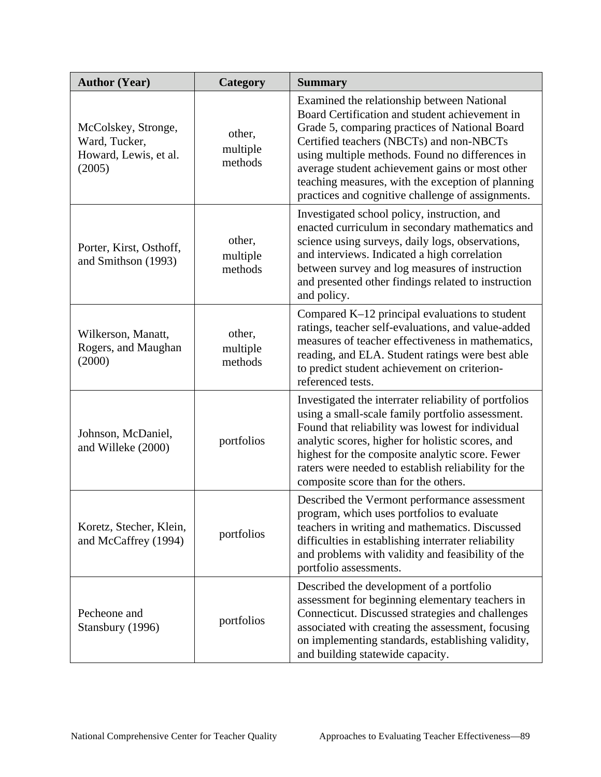| <b>Author (Year)</b>                                                    | Category                      | <b>Summary</b>                                                                                                                                                                                                                                                                                                                                                                                             |
|-------------------------------------------------------------------------|-------------------------------|------------------------------------------------------------------------------------------------------------------------------------------------------------------------------------------------------------------------------------------------------------------------------------------------------------------------------------------------------------------------------------------------------------|
| McColskey, Stronge,<br>Ward, Tucker,<br>Howard, Lewis, et al.<br>(2005) | other,<br>multiple<br>methods | Examined the relationship between National<br>Board Certification and student achievement in<br>Grade 5, comparing practices of National Board<br>Certified teachers (NBCTs) and non-NBCTs<br>using multiple methods. Found no differences in<br>average student achievement gains or most other<br>teaching measures, with the exception of planning<br>practices and cognitive challenge of assignments. |
| Porter, Kirst, Osthoff,<br>and Smithson (1993)                          | other,<br>multiple<br>methods | Investigated school policy, instruction, and<br>enacted curriculum in secondary mathematics and<br>science using surveys, daily logs, observations,<br>and interviews. Indicated a high correlation<br>between survey and log measures of instruction<br>and presented other findings related to instruction<br>and policy.                                                                                |
| Wilkerson, Manatt,<br>Rogers, and Maughan<br>(2000)                     | other,<br>multiple<br>methods | Compared K-12 principal evaluations to student<br>ratings, teacher self-evaluations, and value-added<br>measures of teacher effectiveness in mathematics,<br>reading, and ELA. Student ratings were best able<br>to predict student achievement on criterion-<br>referenced tests.                                                                                                                         |
| Johnson, McDaniel,<br>and Willeke (2000)                                | portfolios                    | Investigated the interrater reliability of portfolios<br>using a small-scale family portfolio assessment.<br>Found that reliability was lowest for individual<br>analytic scores, higher for holistic scores, and<br>highest for the composite analytic score. Fewer<br>raters were needed to establish reliability for the<br>composite score than for the others.                                        |
| Koretz, Stecher, Klein,<br>and McCaffrey (1994)                         | portfolios                    | Described the Vermont performance assessment<br>program, which uses portfolios to evaluate<br>teachers in writing and mathematics. Discussed<br>difficulties in establishing interrater reliability<br>and problems with validity and feasibility of the<br>portfolio assessments.                                                                                                                         |
| Pecheone and<br>Stansbury (1996)                                        | portfolios                    | Described the development of a portfolio<br>assessment for beginning elementary teachers in<br>Connecticut. Discussed strategies and challenges<br>associated with creating the assessment, focusing<br>on implementing standards, establishing validity,<br>and building statewide capacity.                                                                                                              |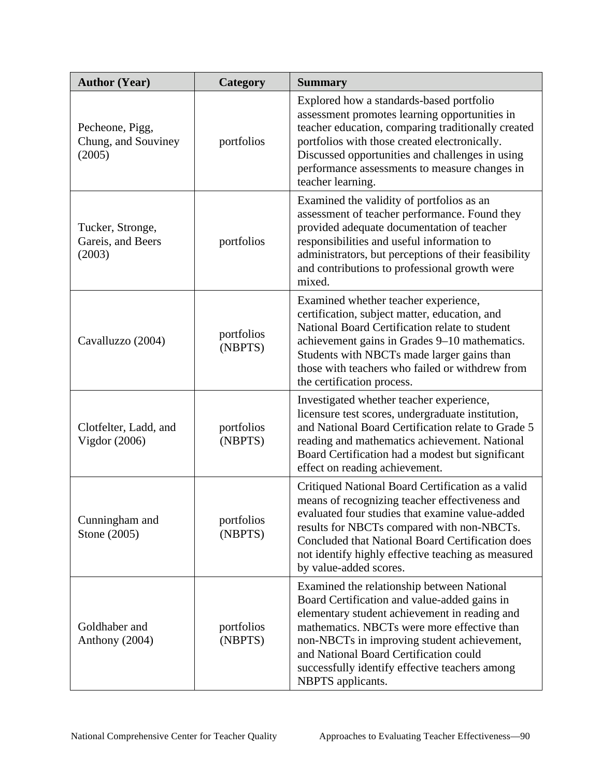| <b>Author (Year)</b>                             | Category              | <b>Summary</b>                                                                                                                                                                                                                                                                                                                                             |
|--------------------------------------------------|-----------------------|------------------------------------------------------------------------------------------------------------------------------------------------------------------------------------------------------------------------------------------------------------------------------------------------------------------------------------------------------------|
| Pecheone, Pigg,<br>Chung, and Souviney<br>(2005) | portfolios            | Explored how a standards-based portfolio<br>assessment promotes learning opportunities in<br>teacher education, comparing traditionally created<br>portfolios with those created electronically.<br>Discussed opportunities and challenges in using<br>performance assessments to measure changes in<br>teacher learning.                                  |
| Tucker, Stronge,<br>Gareis, and Beers<br>(2003)  | portfolios            | Examined the validity of portfolios as an<br>assessment of teacher performance. Found they<br>provided adequate documentation of teacher<br>responsibilities and useful information to<br>administrators, but perceptions of their feasibility<br>and contributions to professional growth were<br>mixed.                                                  |
| Cavalluzzo (2004)                                | portfolios<br>(NBPTS) | Examined whether teacher experience,<br>certification, subject matter, education, and<br>National Board Certification relate to student<br>achievement gains in Grades 9-10 mathematics.<br>Students with NBCTs made larger gains than<br>those with teachers who failed or withdrew from<br>the certification process.                                    |
| Clotfelter, Ladd, and<br>Vigdor (2006)           | portfolios<br>(NBPTS) | Investigated whether teacher experience,<br>licensure test scores, undergraduate institution,<br>and National Board Certification relate to Grade 5<br>reading and mathematics achievement. National<br>Board Certification had a modest but significant<br>effect on reading achievement.                                                                 |
| Cunningham and<br>Stone (2005)                   | portfolios<br>(NBPTS) | Critiqued National Board Certification as a valid<br>means of recognizing teacher effectiveness and<br>evaluated four studies that examine value-added<br>results for NBCTs compared with non-NBCTs.<br>Concluded that National Board Certification does<br>not identify highly effective teaching as measured<br>by value-added scores.                   |
| Goldhaber and<br>Anthony (2004)                  | portfolios<br>(NBPTS) | Examined the relationship between National<br>Board Certification and value-added gains in<br>elementary student achievement in reading and<br>mathematics. NBCTs were more effective than<br>non-NBCTs in improving student achievement,<br>and National Board Certification could<br>successfully identify effective teachers among<br>NBPTS applicants. |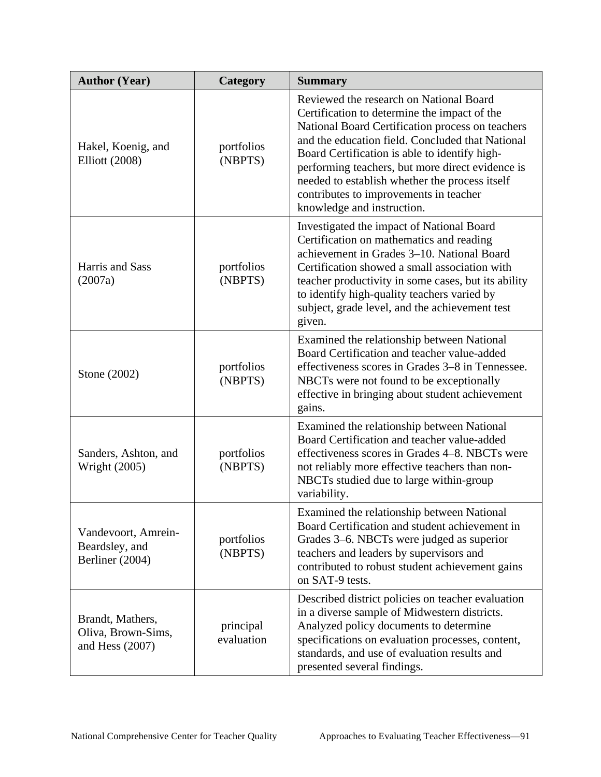| <b>Author (Year)</b>                                        | Category                | <b>Summary</b>                                                                                                                                                                                                                                                                                                                                                                                                                 |
|-------------------------------------------------------------|-------------------------|--------------------------------------------------------------------------------------------------------------------------------------------------------------------------------------------------------------------------------------------------------------------------------------------------------------------------------------------------------------------------------------------------------------------------------|
| Hakel, Koenig, and<br><b>Elliott</b> (2008)                 | portfolios<br>(NBPTS)   | Reviewed the research on National Board<br>Certification to determine the impact of the<br>National Board Certification process on teachers<br>and the education field. Concluded that National<br>Board Certification is able to identify high-<br>performing teachers, but more direct evidence is<br>needed to establish whether the process itself<br>contributes to improvements in teacher<br>knowledge and instruction. |
| Harris and Sass<br>(2007a)                                  | portfolios<br>(NBPTS)   | Investigated the impact of National Board<br>Certification on mathematics and reading<br>achievement in Grades 3-10. National Board<br>Certification showed a small association with<br>teacher productivity in some cases, but its ability<br>to identify high-quality teachers varied by<br>subject, grade level, and the achievement test<br>given.                                                                         |
| Stone (2002)                                                | portfolios<br>(NBPTS)   | Examined the relationship between National<br>Board Certification and teacher value-added<br>effectiveness scores in Grades 3–8 in Tennessee.<br>NBCTs were not found to be exceptionally<br>effective in bringing about student achievement<br>gains.                                                                                                                                                                         |
| Sanders, Ashton, and<br><b>Wright (2005)</b>                | portfolios<br>(NBPTS)   | Examined the relationship between National<br>Board Certification and teacher value-added<br>effectiveness scores in Grades 4–8. NBCTs were<br>not reliably more effective teachers than non-<br>NBCTs studied due to large within-group<br>variability.                                                                                                                                                                       |
| Vandevoort, Amrein-<br>Beardsley, and<br>Berliner (2004)    | portfolios<br>(NBPTS)   | Examined the relationship between National<br>Board Certification and student achievement in<br>Grades 3–6. NBCTs were judged as superior<br>teachers and leaders by supervisors and<br>contributed to robust student achievement gains<br>on SAT-9 tests.                                                                                                                                                                     |
| Brandt, Mathers,<br>Oliva, Brown-Sims,<br>and Hess $(2007)$ | principal<br>evaluation | Described district policies on teacher evaluation<br>in a diverse sample of Midwestern districts.<br>Analyzed policy documents to determine<br>specifications on evaluation processes, content,<br>standards, and use of evaluation results and<br>presented several findings.                                                                                                                                                 |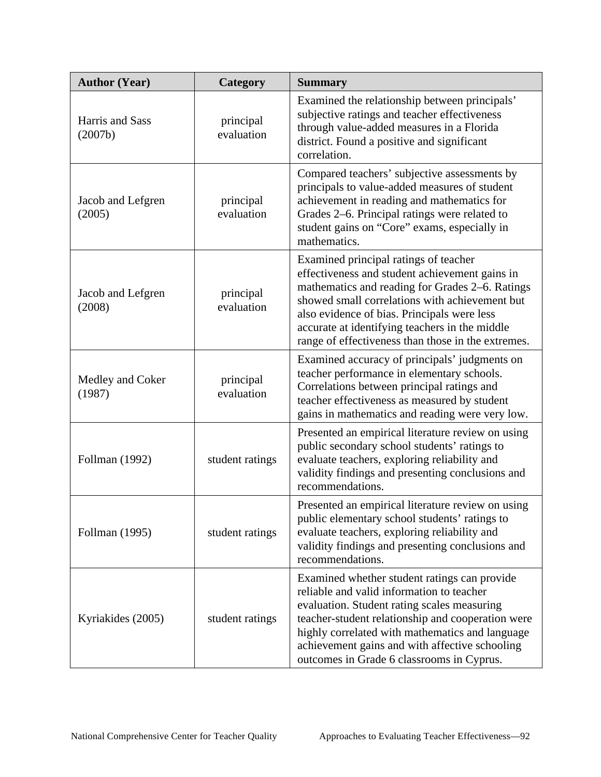| <b>Author (Year)</b>        | Category                | <b>Summary</b>                                                                                                                                                                                                                                                                                                                                      |
|-----------------------------|-------------------------|-----------------------------------------------------------------------------------------------------------------------------------------------------------------------------------------------------------------------------------------------------------------------------------------------------------------------------------------------------|
| Harris and Sass<br>(2007b)  | principal<br>evaluation | Examined the relationship between principals'<br>subjective ratings and teacher effectiveness<br>through value-added measures in a Florida<br>district. Found a positive and significant<br>correlation.                                                                                                                                            |
| Jacob and Lefgren<br>(2005) | principal<br>evaluation | Compared teachers' subjective assessments by<br>principals to value-added measures of student<br>achievement in reading and mathematics for<br>Grades 2–6. Principal ratings were related to<br>student gains on "Core" exams, especially in<br>mathematics.                                                                                        |
| Jacob and Lefgren<br>(2008) | principal<br>evaluation | Examined principal ratings of teacher<br>effectiveness and student achievement gains in<br>mathematics and reading for Grades 2–6. Ratings<br>showed small correlations with achievement but<br>also evidence of bias. Principals were less<br>accurate at identifying teachers in the middle<br>range of effectiveness than those in the extremes. |
| Medley and Coker<br>(1987)  | principal<br>evaluation | Examined accuracy of principals' judgments on<br>teacher performance in elementary schools.<br>Correlations between principal ratings and<br>teacher effectiveness as measured by student<br>gains in mathematics and reading were very low.                                                                                                        |
| Follman (1992)              | student ratings         | Presented an empirical literature review on using<br>public secondary school students' ratings to<br>evaluate teachers, exploring reliability and<br>validity findings and presenting conclusions and<br>recommendations.                                                                                                                           |
| Follman (1995)              | student ratings         | Presented an empirical literature review on using<br>public elementary school students' ratings to<br>evaluate teachers, exploring reliability and<br>validity findings and presenting conclusions and<br>recommendations.                                                                                                                          |
| Kyriakides (2005)           | student ratings         | Examined whether student ratings can provide<br>reliable and valid information to teacher<br>evaluation. Student rating scales measuring<br>teacher-student relationship and cooperation were<br>highly correlated with mathematics and language<br>achievement gains and with affective schooling<br>outcomes in Grade 6 classrooms in Cyprus.     |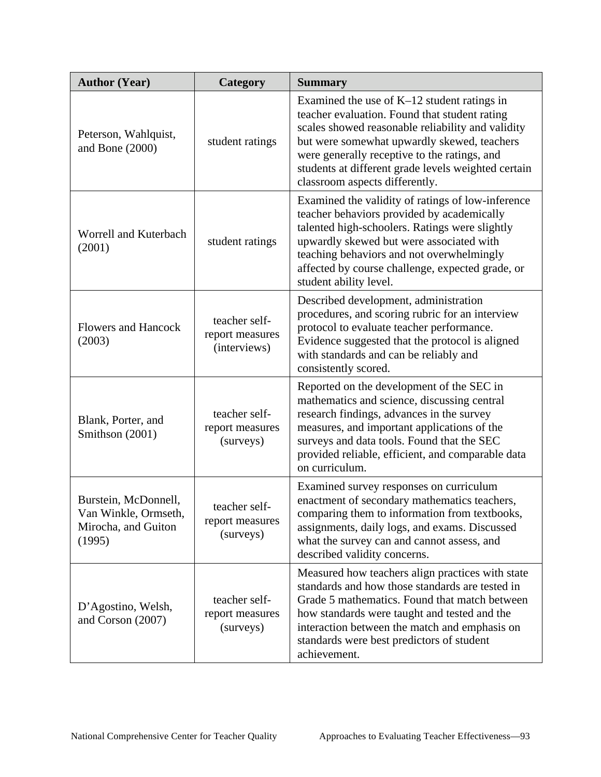| <b>Author (Year)</b>                                                          | Category                                         | <b>Summary</b>                                                                                                                                                                                                                                                                                                                              |
|-------------------------------------------------------------------------------|--------------------------------------------------|---------------------------------------------------------------------------------------------------------------------------------------------------------------------------------------------------------------------------------------------------------------------------------------------------------------------------------------------|
| Peterson, Wahlquist,<br>and Bone $(2000)$                                     | student ratings                                  | Examined the use of $K-12$ student ratings in<br>teacher evaluation. Found that student rating<br>scales showed reasonable reliability and validity<br>but were somewhat upwardly skewed, teachers<br>were generally receptive to the ratings, and<br>students at different grade levels weighted certain<br>classroom aspects differently. |
| Worrell and Kuterbach<br>(2001)                                               | student ratings                                  | Examined the validity of ratings of low-inference<br>teacher behaviors provided by academically<br>talented high-schoolers. Ratings were slightly<br>upwardly skewed but were associated with<br>teaching behaviors and not overwhelmingly<br>affected by course challenge, expected grade, or<br>student ability level.                    |
| <b>Flowers and Hancock</b><br>(2003)                                          | teacher self-<br>report measures<br>(interviews) | Described development, administration<br>procedures, and scoring rubric for an interview<br>protocol to evaluate teacher performance.<br>Evidence suggested that the protocol is aligned<br>with standards and can be reliably and<br>consistently scored.                                                                                  |
| Blank, Porter, and<br>Smithson (2001)                                         | teacher self-<br>report measures<br>(surveys)    | Reported on the development of the SEC in<br>mathematics and science, discussing central<br>research findings, advances in the survey<br>measures, and important applications of the<br>surveys and data tools. Found that the SEC<br>provided reliable, efficient, and comparable data<br>on curriculum.                                   |
| Burstein, McDonnell,<br>Van Winkle, Ormseth,<br>Mirocha, and Guiton<br>(1995) | teacher self-<br>report measures<br>(surveys)    | Examined survey responses on curriculum<br>enactment of secondary mathematics teachers,<br>comparing them to information from textbooks,<br>assignments, daily logs, and exams. Discussed<br>what the survey can and cannot assess, and<br>described validity concerns.                                                                     |
| D'Agostino, Welsh,<br>and Corson (2007)                                       | teacher self-<br>report measures<br>(surveys)    | Measured how teachers align practices with state<br>standards and how those standards are tested in<br>Grade 5 mathematics. Found that match between<br>how standards were taught and tested and the<br>interaction between the match and emphasis on<br>standards were best predictors of student<br>achievement.                          |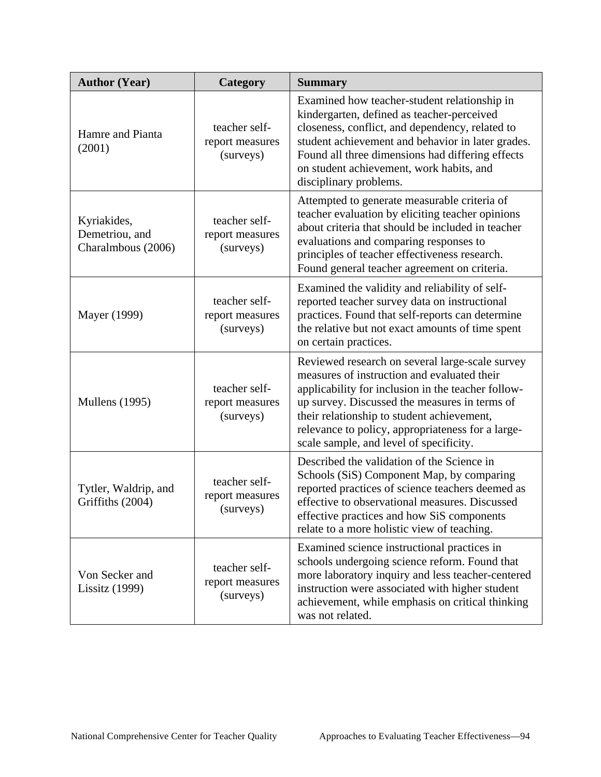| <b>Author (Year)</b>                                | Category                                      | <b>Summary</b>                                                                                                                                                                                                                                                                                                                                      |
|-----------------------------------------------------|-----------------------------------------------|-----------------------------------------------------------------------------------------------------------------------------------------------------------------------------------------------------------------------------------------------------------------------------------------------------------------------------------------------------|
| Hamre and Pianta<br>(2001)                          | teacher self-<br>report measures<br>(surveys) | Examined how teacher-student relationship in<br>kindergarten, defined as teacher-perceived<br>closeness, conflict, and dependency, related to<br>student achievement and behavior in later grades.<br>Found all three dimensions had differing effects<br>on student achievement, work habits, and<br>disciplinary problems.                        |
| Kyriakides,<br>Demetriou, and<br>Charalmbous (2006) | teacher self-<br>report measures<br>(surveys) | Attempted to generate measurable criteria of<br>teacher evaluation by eliciting teacher opinions<br>about criteria that should be included in teacher<br>evaluations and comparing responses to<br>principles of teacher effectiveness research.<br>Found general teacher agreement on criteria.                                                    |
| Mayer (1999)                                        | teacher self-<br>report measures<br>(surveys) | Examined the validity and reliability of self-<br>reported teacher survey data on instructional<br>practices. Found that self-reports can determine<br>the relative but not exact amounts of time spent<br>on certain practices.                                                                                                                    |
| <b>Mullens</b> (1995)                               | teacher self-<br>report measures<br>(surveys) | Reviewed research on several large-scale survey<br>measures of instruction and evaluated their<br>applicability for inclusion in the teacher follow-<br>up survey. Discussed the measures in terms of<br>their relationship to student achievement,<br>relevance to policy, appropriateness for a large-<br>scale sample, and level of specificity. |
| Tytler, Waldrip, and<br>Griffiths (2004)            | teacher self-<br>report measures<br>(surveys) | Described the validation of the Science in<br>Schools (SiS) Component Map, by comparing<br>reported practices of science teachers deemed as<br>effective to observational measures. Discussed<br>effective practices and how SiS components<br>relate to a more holistic view of teaching.                                                          |
| Von Secker and<br>Lissitz (1999)                    | teacher self-<br>report measures<br>(surveys) | Examined science instructional practices in<br>schools undergoing science reform. Found that<br>more laboratory inquiry and less teacher-centered<br>instruction were associated with higher student<br>achievement, while emphasis on critical thinking<br>was not related.                                                                        |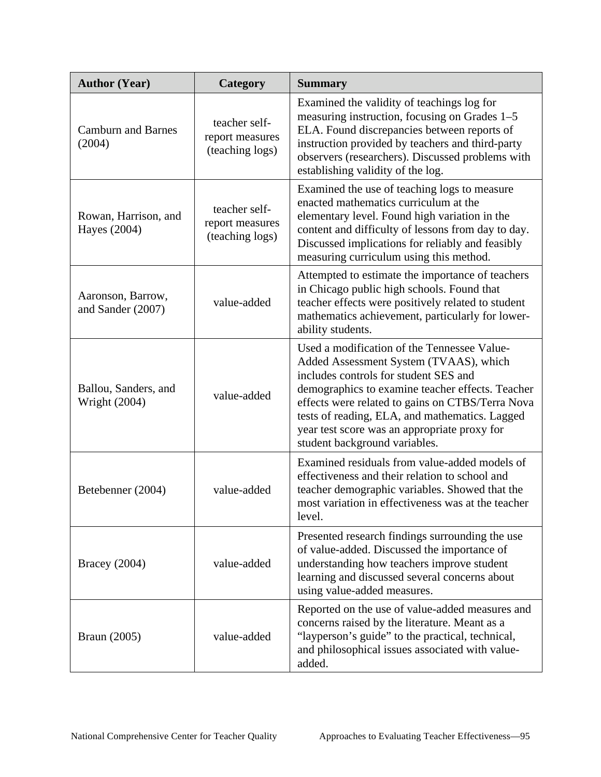| <b>Author (Year)</b>                         | Category                                            | <b>Summary</b>                                                                                                                                                                                                                                                                                                                                                            |
|----------------------------------------------|-----------------------------------------------------|---------------------------------------------------------------------------------------------------------------------------------------------------------------------------------------------------------------------------------------------------------------------------------------------------------------------------------------------------------------------------|
| <b>Camburn and Barnes</b><br>(2004)          | teacher self-<br>report measures<br>(teaching logs) | Examined the validity of teachings log for<br>measuring instruction, focusing on Grades 1–5<br>ELA. Found discrepancies between reports of<br>instruction provided by teachers and third-party<br>observers (researchers). Discussed problems with<br>establishing validity of the log.                                                                                   |
| Rowan, Harrison, and<br>Hayes (2004)         | teacher self-<br>report measures<br>(teaching logs) | Examined the use of teaching logs to measure<br>enacted mathematics curriculum at the<br>elementary level. Found high variation in the<br>content and difficulty of lessons from day to day.<br>Discussed implications for reliably and feasibly<br>measuring curriculum using this method.                                                                               |
| Aaronson, Barrow,<br>and Sander (2007)       | value-added                                         | Attempted to estimate the importance of teachers<br>in Chicago public high schools. Found that<br>teacher effects were positively related to student<br>mathematics achievement, particularly for lower-<br>ability students.                                                                                                                                             |
| Ballou, Sanders, and<br><b>Wright (2004)</b> | value-added                                         | Used a modification of the Tennessee Value-<br>Added Assessment System (TVAAS), which<br>includes controls for student SES and<br>demographics to examine teacher effects. Teacher<br>effects were related to gains on CTBS/Terra Nova<br>tests of reading, ELA, and mathematics. Lagged<br>year test score was an appropriate proxy for<br>student background variables. |
| Betebenner (2004)                            | value-added                                         | Examined residuals from value-added models of<br>effectiveness and their relation to school and<br>teacher demographic variables. Showed that the<br>most variation in effectiveness was at the teacher<br>level.                                                                                                                                                         |
| Bracey $(2004)$                              | value-added                                         | Presented research findings surrounding the use<br>of value-added. Discussed the importance of<br>understanding how teachers improve student<br>learning and discussed several concerns about<br>using value-added measures.                                                                                                                                              |
| <b>Braun</b> (2005)                          | value-added                                         | Reported on the use of value-added measures and<br>concerns raised by the literature. Meant as a<br>"layperson's guide" to the practical, technical,<br>and philosophical issues associated with value-<br>added.                                                                                                                                                         |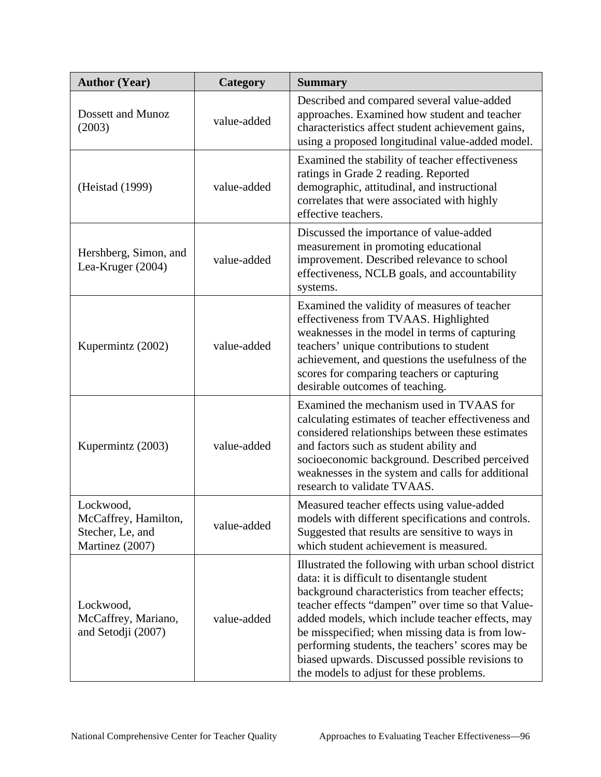| <b>Author (Year)</b>                                                     | Category    | <b>Summary</b>                                                                                                                                                                                                                                                                                                                                                                                                                                                          |
|--------------------------------------------------------------------------|-------------|-------------------------------------------------------------------------------------------------------------------------------------------------------------------------------------------------------------------------------------------------------------------------------------------------------------------------------------------------------------------------------------------------------------------------------------------------------------------------|
| Dossett and Munoz<br>(2003)                                              | value-added | Described and compared several value-added<br>approaches. Examined how student and teacher<br>characteristics affect student achievement gains,<br>using a proposed longitudinal value-added model.                                                                                                                                                                                                                                                                     |
| (Heistad (1999)                                                          | value-added | Examined the stability of teacher effectiveness<br>ratings in Grade 2 reading. Reported<br>demographic, attitudinal, and instructional<br>correlates that were associated with highly<br>effective teachers.                                                                                                                                                                                                                                                            |
| Hershberg, Simon, and<br>Lea-Kruger (2004)                               | value-added | Discussed the importance of value-added<br>measurement in promoting educational<br>improvement. Described relevance to school<br>effectiveness, NCLB goals, and accountability<br>systems.                                                                                                                                                                                                                                                                              |
| Kupermintz (2002)                                                        | value-added | Examined the validity of measures of teacher<br>effectiveness from TVAAS. Highlighted<br>weaknesses in the model in terms of capturing<br>teachers' unique contributions to student<br>achievement, and questions the usefulness of the<br>scores for comparing teachers or capturing<br>desirable outcomes of teaching.                                                                                                                                                |
| Kupermintz (2003)                                                        | value-added | Examined the mechanism used in TVAAS for<br>calculating estimates of teacher effectiveness and<br>considered relationships between these estimates<br>and factors such as student ability and<br>socioeconomic background. Described perceived<br>weaknesses in the system and calls for additional<br>research to validate TVAAS.                                                                                                                                      |
| Lockwood,<br>McCaffrey, Hamilton,<br>Stecher, Le, and<br>Martinez (2007) | value-added | Measured teacher effects using value-added<br>models with different specifications and controls.<br>Suggested that results are sensitive to ways in<br>which student achievement is measured.                                                                                                                                                                                                                                                                           |
| Lockwood,<br>McCaffrey, Mariano,<br>and Setodji (2007)                   | value-added | Illustrated the following with urban school district<br>data: it is difficult to disentangle student<br>background characteristics from teacher effects;<br>teacher effects "dampen" over time so that Value-<br>added models, which include teacher effects, may<br>be misspecified; when missing data is from low-<br>performing students, the teachers' scores may be<br>biased upwards. Discussed possible revisions to<br>the models to adjust for these problems. |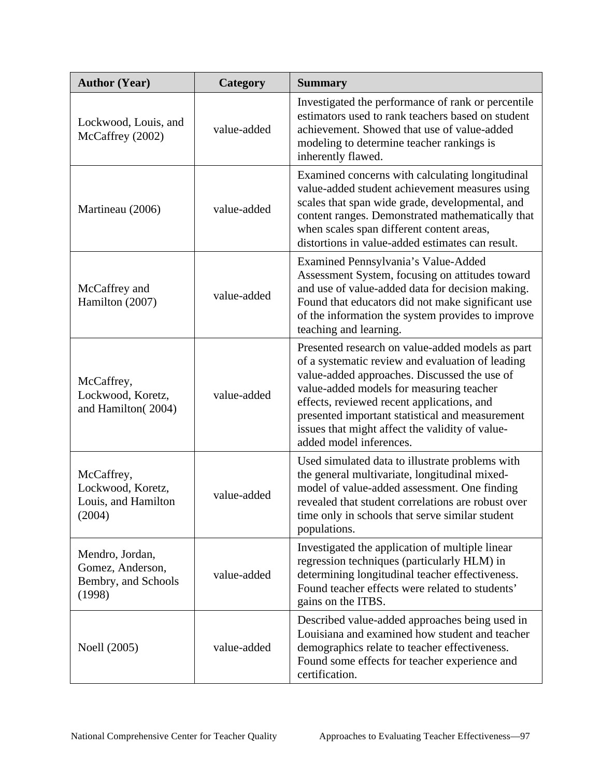| <b>Author (Year)</b>                                                 | Category    | <b>Summary</b>                                                                                                                                                                                                                                                                                                                                                                  |
|----------------------------------------------------------------------|-------------|---------------------------------------------------------------------------------------------------------------------------------------------------------------------------------------------------------------------------------------------------------------------------------------------------------------------------------------------------------------------------------|
| Lockwood, Louis, and<br>McCaffrey (2002)                             | value-added | Investigated the performance of rank or percentile<br>estimators used to rank teachers based on student<br>achievement. Showed that use of value-added<br>modeling to determine teacher rankings is<br>inherently flawed.                                                                                                                                                       |
| Martineau (2006)                                                     | value-added | Examined concerns with calculating longitudinal<br>value-added student achievement measures using<br>scales that span wide grade, developmental, and<br>content ranges. Demonstrated mathematically that<br>when scales span different content areas,<br>distortions in value-added estimates can result.                                                                       |
| McCaffrey and<br>Hamilton (2007)                                     | value-added | Examined Pennsylvania's Value-Added<br>Assessment System, focusing on attitudes toward<br>and use of value-added data for decision making.<br>Found that educators did not make significant use<br>of the information the system provides to improve<br>teaching and learning.                                                                                                  |
| McCaffrey,<br>Lockwood, Koretz,<br>and Hamilton(2004)                | value-added | Presented research on value-added models as part<br>of a systematic review and evaluation of leading<br>value-added approaches. Discussed the use of<br>value-added models for measuring teacher<br>effects, reviewed recent applications, and<br>presented important statistical and measurement<br>issues that might affect the validity of value-<br>added model inferences. |
| McCaffrey,<br>Lockwood, Koretz,<br>Louis, and Hamilton<br>(2004)     | value-added | Used simulated data to illustrate problems with<br>the general multivariate, longitudinal mixed-<br>model of value-added assessment. One finding<br>revealed that student correlations are robust over<br>time only in schools that serve similar student<br>populations.                                                                                                       |
| Mendro, Jordan,<br>Gomez, Anderson,<br>Bembry, and Schools<br>(1998) | value-added | Investigated the application of multiple linear<br>regression techniques (particularly HLM) in<br>determining longitudinal teacher effectiveness.<br>Found teacher effects were related to students'<br>gains on the ITBS.                                                                                                                                                      |
| Noell (2005)                                                         | value-added | Described value-added approaches being used in<br>Louisiana and examined how student and teacher<br>demographics relate to teacher effectiveness.<br>Found some effects for teacher experience and<br>certification.                                                                                                                                                            |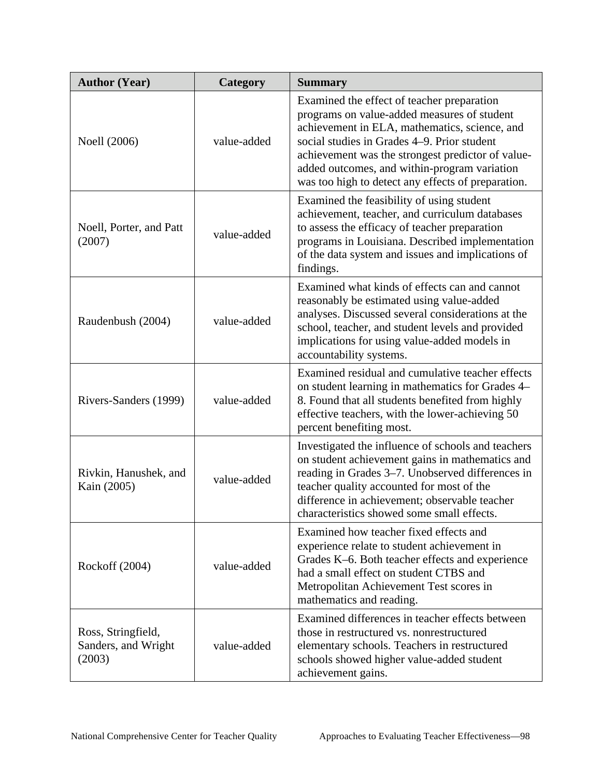| <b>Author (Year)</b>                                | Category    | <b>Summary</b>                                                                                                                                                                                                                                                                                                                                       |
|-----------------------------------------------------|-------------|------------------------------------------------------------------------------------------------------------------------------------------------------------------------------------------------------------------------------------------------------------------------------------------------------------------------------------------------------|
| Noell (2006)                                        | value-added | Examined the effect of teacher preparation<br>programs on value-added measures of student<br>achievement in ELA, mathematics, science, and<br>social studies in Grades 4–9. Prior student<br>achievement was the strongest predictor of value-<br>added outcomes, and within-program variation<br>was too high to detect any effects of preparation. |
| Noell, Porter, and Patt<br>(2007)                   | value-added | Examined the feasibility of using student<br>achievement, teacher, and curriculum databases<br>to assess the efficacy of teacher preparation<br>programs in Louisiana. Described implementation<br>of the data system and issues and implications of<br>findings.                                                                                    |
| Raudenbush (2004)                                   | value-added | Examined what kinds of effects can and cannot<br>reasonably be estimated using value-added<br>analyses. Discussed several considerations at the<br>school, teacher, and student levels and provided<br>implications for using value-added models in<br>accountability systems.                                                                       |
| Rivers-Sanders (1999)                               | value-added | Examined residual and cumulative teacher effects<br>on student learning in mathematics for Grades 4–<br>8. Found that all students benefited from highly<br>effective teachers, with the lower-achieving 50<br>percent benefiting most.                                                                                                              |
| Rivkin, Hanushek, and<br>Kain (2005)                | value-added | Investigated the influence of schools and teachers<br>on student achievement gains in mathematics and<br>reading in Grades 3-7. Unobserved differences in<br>teacher quality accounted for most of the<br>difference in achievement; observable teacher<br>characteristics showed some small effects.                                                |
| Rockoff (2004)                                      | value-added | Examined how teacher fixed effects and<br>experience relate to student achievement in<br>Grades K-6. Both teacher effects and experience<br>had a small effect on student CTBS and<br>Metropolitan Achievement Test scores in<br>mathematics and reading.                                                                                            |
| Ross, Stringfield,<br>Sanders, and Wright<br>(2003) | value-added | Examined differences in teacher effects between<br>those in restructured vs. nonrestructured<br>elementary schools. Teachers in restructured<br>schools showed higher value-added student<br>achievement gains.                                                                                                                                      |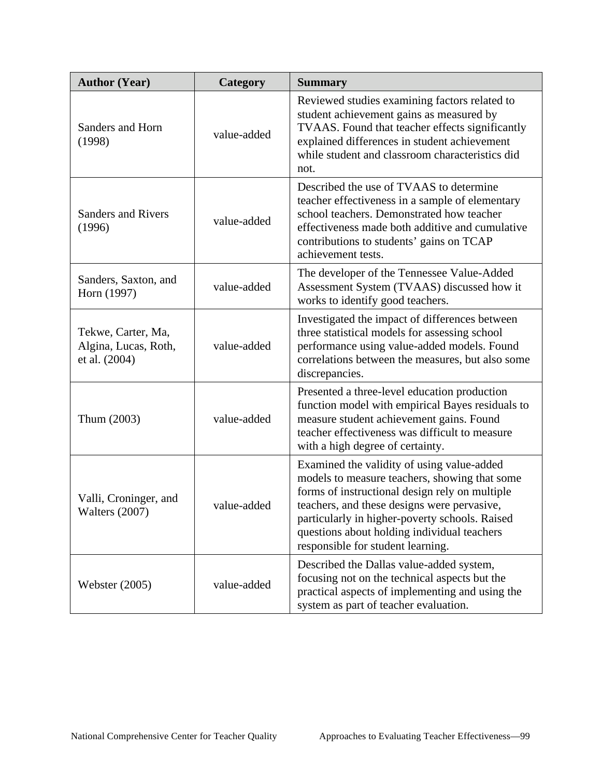| <b>Author (Year)</b>                                        | Category    | <b>Summary</b>                                                                                                                                                                                                                                                                                                                     |
|-------------------------------------------------------------|-------------|------------------------------------------------------------------------------------------------------------------------------------------------------------------------------------------------------------------------------------------------------------------------------------------------------------------------------------|
| Sanders and Horn<br>(1998)                                  | value-added | Reviewed studies examining factors related to<br>student achievement gains as measured by<br>TVAAS. Found that teacher effects significantly<br>explained differences in student achievement<br>while student and classroom characteristics did<br>not.                                                                            |
| <b>Sanders and Rivers</b><br>(1996)                         | value-added | Described the use of TVAAS to determine<br>teacher effectiveness in a sample of elementary<br>school teachers. Demonstrated how teacher<br>effectiveness made both additive and cumulative<br>contributions to students' gains on TCAP<br>achievement tests.                                                                       |
| Sanders, Saxton, and<br>Horn (1997)                         | value-added | The developer of the Tennessee Value-Added<br>Assessment System (TVAAS) discussed how it<br>works to identify good teachers.                                                                                                                                                                                                       |
| Tekwe, Carter, Ma,<br>Algina, Lucas, Roth,<br>et al. (2004) | value-added | Investigated the impact of differences between<br>three statistical models for assessing school<br>performance using value-added models. Found<br>correlations between the measures, but also some<br>discrepancies.                                                                                                               |
| Thum (2003)                                                 | value-added | Presented a three-level education production<br>function model with empirical Bayes residuals to<br>measure student achievement gains. Found<br>teacher effectiveness was difficult to measure<br>with a high degree of certainty.                                                                                                 |
| Valli, Croninger, and<br>Walters (2007)                     | value-added | Examined the validity of using value-added<br>models to measure teachers, showing that some<br>forms of instructional design rely on multiple<br>teachers, and these designs were pervasive,<br>particularly in higher-poverty schools. Raised<br>questions about holding individual teachers<br>responsible for student learning. |
| <b>Webster</b> (2005)                                       | value-added | Described the Dallas value-added system,<br>focusing not on the technical aspects but the<br>practical aspects of implementing and using the<br>system as part of teacher evaluation.                                                                                                                                              |